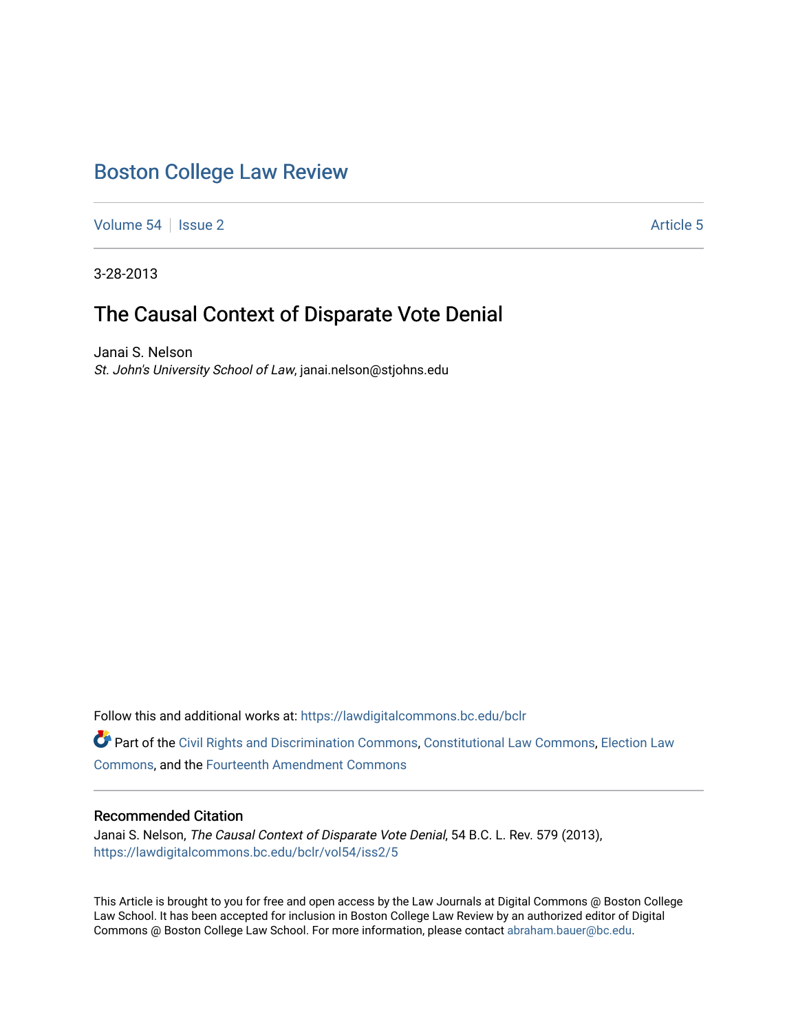# [Boston College Law Review](https://lawdigitalcommons.bc.edu/bclr)

[Volume 54](https://lawdigitalcommons.bc.edu/bclr/vol54) | [Issue 2](https://lawdigitalcommons.bc.edu/bclr/vol54/iss2) Article 5

3-28-2013

## The Causal Context of Disparate Vote Denial

Janai S. Nelson St. John's University School of Law, janai.nelson@stjohns.edu

Follow this and additional works at: [https://lawdigitalcommons.bc.edu/bclr](https://lawdigitalcommons.bc.edu/bclr?utm_source=lawdigitalcommons.bc.edu%2Fbclr%2Fvol54%2Fiss2%2F5&utm_medium=PDF&utm_campaign=PDFCoverPages) 

Part of the [Civil Rights and Discrimination Commons,](http://network.bepress.com/hgg/discipline/585?utm_source=lawdigitalcommons.bc.edu%2Fbclr%2Fvol54%2Fiss2%2F5&utm_medium=PDF&utm_campaign=PDFCoverPages) [Constitutional Law Commons,](http://network.bepress.com/hgg/discipline/589?utm_source=lawdigitalcommons.bc.edu%2Fbclr%2Fvol54%2Fiss2%2F5&utm_medium=PDF&utm_campaign=PDFCoverPages) [Election Law](http://network.bepress.com/hgg/discipline/1121?utm_source=lawdigitalcommons.bc.edu%2Fbclr%2Fvol54%2Fiss2%2F5&utm_medium=PDF&utm_campaign=PDFCoverPages)  [Commons](http://network.bepress.com/hgg/discipline/1121?utm_source=lawdigitalcommons.bc.edu%2Fbclr%2Fvol54%2Fiss2%2F5&utm_medium=PDF&utm_campaign=PDFCoverPages), and the [Fourteenth Amendment Commons](http://network.bepress.com/hgg/discipline/1116?utm_source=lawdigitalcommons.bc.edu%2Fbclr%2Fvol54%2Fiss2%2F5&utm_medium=PDF&utm_campaign=PDFCoverPages)

## Recommended Citation

Janai S. Nelson, The Causal Context of Disparate Vote Denial, 54 B.C. L. Rev. 579 (2013), [https://lawdigitalcommons.bc.edu/bclr/vol54/iss2/5](https://lawdigitalcommons.bc.edu/bclr/vol54/iss2/5?utm_source=lawdigitalcommons.bc.edu%2Fbclr%2Fvol54%2Fiss2%2F5&utm_medium=PDF&utm_campaign=PDFCoverPages) 

This Article is brought to you for free and open access by the Law Journals at Digital Commons @ Boston College Law School. It has been accepted for inclusion in Boston College Law Review by an authorized editor of Digital Commons @ Boston College Law School. For more information, please contact [abraham.bauer@bc.edu.](mailto:abraham.bauer@bc.edu)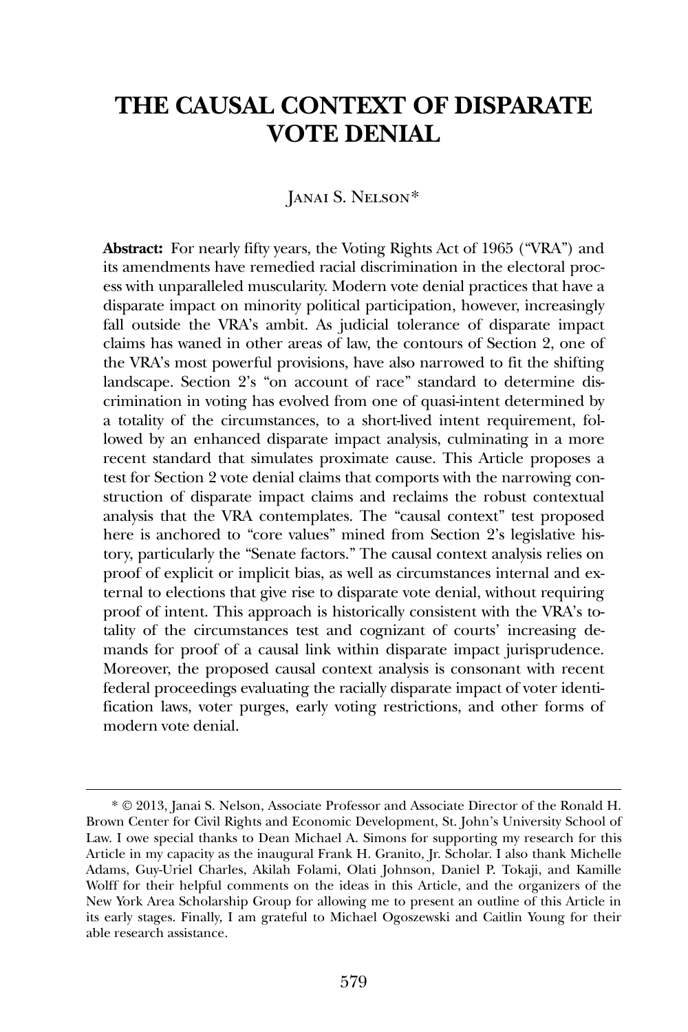## **THE CAUSAL CONTEXT OF DISPARATE VOTE DENIAL**

## JANAI S. NELSON[\\*](#page-1-0)

**Abstract:** For nearly fifty years, the Voting Rights Act of 1965 ("VRA") and its amendments have remedied racial discrimination in the electoral process with unparalleled muscularity. Modern vote denial practices that have a disparate impact on minority political participation, however, increasingly fall outside the VRA's ambit. As judicial tolerance of disparate impact claims has waned in other areas of law, the contours of Section 2, one of the VRA's most powerful provisions, have also narrowed to fit the shifting landscape. Section 2's "on account of race" standard to determine discrimination in voting has evolved from one of quasi-intent determined by a totality of the circumstances, to a short-lived intent requirement, followed by an enhanced disparate impact analysis, culminating in a more recent standard that simulates proximate cause. This Article proposes a test for Section 2 vote denial claims that comports with the narrowing construction of disparate impact claims and reclaims the robust contextual analysis that the VRA contemplates. The "causal context" test proposed here is anchored to "core values" mined from Section 2's legislative history, particularly the "Senate factors." The causal context analysis relies on proof of explicit or implicit bias, as well as circumstances internal and external to elections that give rise to disparate vote denial, without requiring proof of intent. This approach is historically consistent with the VRA's totality of the circumstances test and cognizant of courts' increasing demands for proof of a causal link within disparate impact jurisprudence. Moreover, the proposed causal context analysis is consonant with recent federal proceedings evaluating the racially disparate impact of voter identification laws, voter purges, early voting restrictions, and other forms of modern vote denial.

<span id="page-1-0"></span><sup>\*</sup> © 2013, Janai S. Nelson, Associate Professor and Associate Director of the Ronald H. Brown Center for Civil Rights and Economic Development, St. John's University School of Law. I owe special thanks to Dean Michael A. Simons for supporting my research for this Article in my capacity as the inaugural Frank H. Granito, Jr. Scholar. I also thank Michelle Adams, Guy-Uriel Charles, Akilah Folami, Olati Johnson, Daniel P. Tokaji, and Kamille Wolff for their helpful comments on the ideas in this Article, and the organizers of the New York Area Scholarship Group for allowing me to present an outline of this Article in its early stages. Finally, I am grateful to Michael Ogoszewski and Caitlin Young for their able research assistance.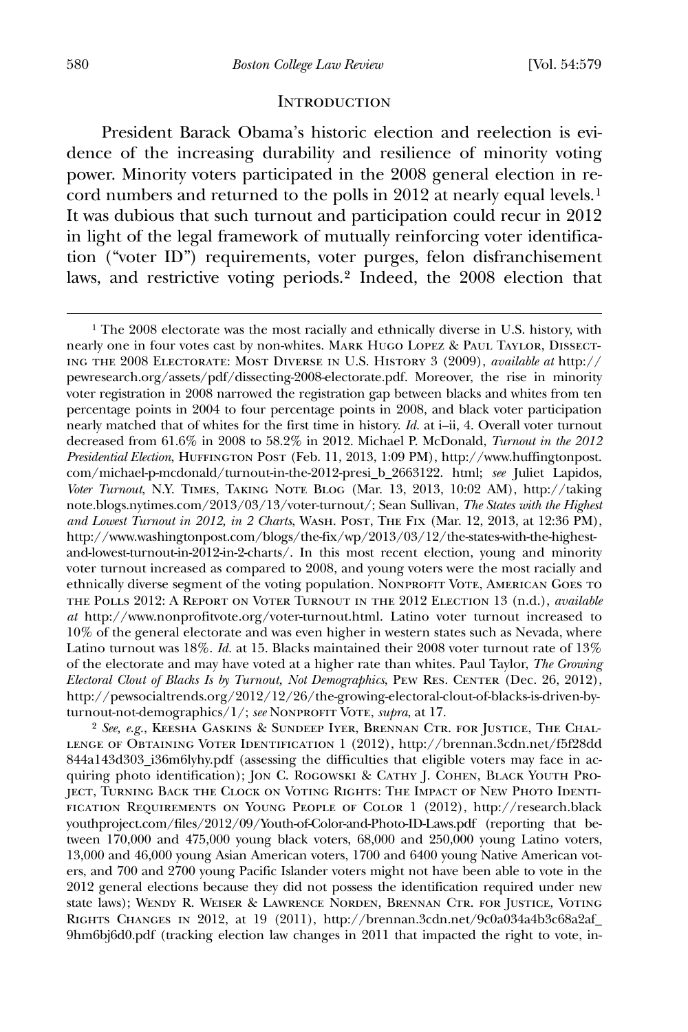#### **INTRODUCTION**

 President Barack Obama's historic election and reelection is evidence of the increasing durability and resilience of minority voting power. Minority voters participated in the 2008 general election in record numbers and returned to the polls in 2012 at nearly equal levels.[1](#page-2-0) It was dubious that such turnout and participation could recur in 2012 in light of the legal framework of mutually reinforcing voter identification ("voter ID") requirements, voter purges, felon disfranchisement laws, and restrictive voting periods.[2](#page-2-1) Indeed, the 2008 election that

<span id="page-2-1"></span>2 *See, e.g.*, Keesha Gaskins & Sundeep Iyer, Brennan Ctr. for Justice, The Challenge of Obtaining Voter Identification 1 (2012), http://brennan.3cdn.net/f5f28dd 844a143d303\_i36m6lyhy.pdf (assessing the difficulties that eligible voters may face in acquiring photo identification); Jon C. Rogowski & Cathy J. Cohen, Black Youth Project, Turning Back the Clock on Voting Rights: The Impact of New Photo Identification Requirements on Young People of Color 1 (2012), http://research.black youthproject.com/files/2012/09/Youth-of-Color-and-Photo-ID-Laws.pdf (reporting that between 170,000 and 475,000 young black voters, 68,000 and 250,000 young Latino voters, 13,000 and 46,000 young Asian American voters, 1700 and 6400 young Native American voters, and 700 and 2700 young Pacific Islander voters might not have been able to vote in the 2012 general elections because they did not possess the identification required under new state laws); Wendy R. Weiser & Lawrence Norden, Brennan Ctr. for Justice, Voting Rights Changes in 2012, at 19 (2011), http://brennan.3cdn.net/9c0a034a4b3c68a2af\_ 9hm6bj6d0.pdf (tracking election law changes in 2011 that impacted the right to vote, in-

<span id="page-2-0"></span><sup>1</sup> The 2008 electorate was the most racially and ethnically diverse in U.S. history, with nearly one in four votes cast by non-whites. Mark Hugo Lopez & Paul Taylor, Dissecting the 2008 Electorate: Most Diverse in U.S. History 3 (2009), *available at* http:// pewresearch.org/assets/pdf/dissecting-2008-electorate.pdf. Moreover, the rise in minority voter registration in 2008 narrowed the registration gap between blacks and whites from ten percentage points in 2004 to four percentage points in 2008, and black voter participation nearly matched that of whites for the first time in history. *Id.* at i–ii, 4. Overall voter turnout decreased from 61.6% in 2008 to 58.2% in 2012. Michael P. McDonald, *Turnout in the 2012 Presidential Election*, Huffington Post (Feb. 11, 2013, 1:09 PM), http://www.huffingtonpost. com/michael-p-mcdonald/turnout-in-the-2012-presi\_b\_2663122. html; *see* Juliet Lapidos, *Voter Turnout*, N.Y. Times, Taking Note Blog (Mar. 13, 2013, 10:02 AM), http://taking note.blogs.nytimes.com/2013/03/13/voter-turnout/; Sean Sullivan, *The States with the Highest and Lowest Turnout in 2012, in 2 Charts*, Wash. Post, The Fix (Mar. 12, 2013, at 12:36 PM), http://www.washingtonpost.com/blogs/the-fix/wp/2013/03/12/the-states-with-the-highestand-lowest-turnout-in-2012-in-2-charts/. In this most recent election, young and minority voter turnout increased as compared to 2008, and young voters were the most racially and ethnically diverse segment of the voting population. Nonprofit Vote, American Goes to the Polls 2012: A Report on Voter Turnout in the 2012 Election 13 (n.d.), *available at* http://www.nonprofitvote.org/voter-turnout.html. Latino voter turnout increased to 10% of the general electorate and was even higher in western states such as Nevada, where Latino turnout was 18%. *Id.* at 15. Blacks maintained their 2008 voter turnout rate of 13% of the electorate and may have voted at a higher rate than whites. Paul Taylor, *The Growing Electoral Clout of Blacks Is by Turnout, Not Demographics*, PEW RES. CENTER (Dec. 26, 2012), http://pewsocialtrends.org/2012/12/26/the-growing-electoral-clout-of-blacks-is-driven-byturnout-not-demographics/1/; *see* NONPROFIT VOTE, *supra*, at 17.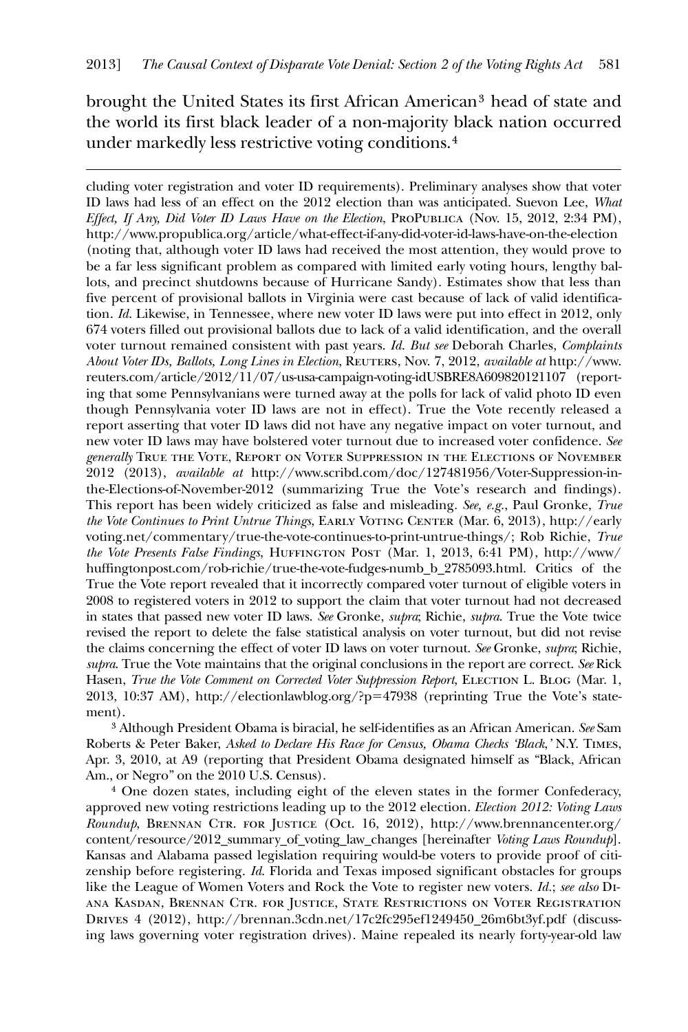brought the United States its first African American[3](#page-3-0) head of state and the world its first black leader of a non-majority black nation occurred under markedly less restrictive voting conditions.[4](#page-3-1)

<u>.</u>

cluding voter registration and voter ID requirements). Preliminary analyses show that voter ID laws had less of an effect on the 2012 election than was anticipated. Suevon Lee, *What Effect, If Any, Did Voter ID Laws Have on the Election*, ProPublica (Nov. 15, 2012, 2:34 PM), http://www.propublica.org/article/what-effect-if-any-did-voter-id-laws-have-on-the-election (noting that, although voter ID laws had received the most attention, they would prove to be a far less significant problem as compared with limited early voting hours, lengthy ballots, and precinct shutdowns because of Hurricane Sandy). Estimates show that less than five percent of provisional ballots in Virginia were cast because of lack of valid identification. *Id*. Likewise, in Tennessee, where new voter ID laws were put into effect in 2012, only 674 voters filled out provisional ballots due to lack of a valid identification, and the overall voter turnout remained consistent with past years. *Id*. *But see* Deborah Charles, *Complaints About Voter IDs, Ballots, Long Lines in Election*, Reuters, Nov. 7, 2012, *available at* http://www. reuters.com/article/2012/11/07/us-usa-campaign-voting-idUSBRE8A609820121107 (reporting that some Pennsylvanians were turned away at the polls for lack of valid photo ID even though Pennsylvania voter ID laws are not in effect). True the Vote recently released a report asserting that voter ID laws did not have any negative impact on voter turnout, and new voter ID laws may have bolstered voter turnout due to increased voter confidence. *See generally* True the Vote, Report on Voter Suppression in the Elections of November 2012 (2013), *available at* http://www.scribd.com/doc/127481956/Voter-Suppression-inthe-Elections-of-November-2012 (summarizing True the Vote's research and findings). This report has been widely criticized as false and misleading. *See, e.g.*, Paul Gronke, *True the Vote Continues to Print Untrue Things*, Early Voting Center (Mar. 6, 2013), http://early voting.net/commentary/true-the-vote-continues-to-print-untrue-things/; Rob Richie, *True the Vote Presents False Findings*, Huffington Post (Mar. 1, 2013, 6:41 PM), http://www/ huffingtonpost.com/rob-richie/true-the-vote-fudges-numb\_b\_2785093.html. Critics of the True the Vote report revealed that it incorrectly compared voter turnout of eligible voters in 2008 to registered voters in 2012 to support the claim that voter turnout had not decreased in states that passed new voter ID laws. *See* Gronke, *supra*; Richie, *supra*. True the Vote twice revised the report to delete the false statistical analysis on voter turnout, but did not revise the claims concerning the effect of voter ID laws on voter turnout. *See* Gronke, *supra*; Richie, *supra*. True the Vote maintains that the original conclusions in the report are correct. *See* Rick Hasen, *True the Vote Comment on Corrected Voter Suppression Report*, ELECTION L. BLOG (Mar. 1, 2013, 10:37 AM), http://electionlawblog.org/?p=47938 (reprinting True the Vote's statement).

<span id="page-3-0"></span>3 Although President Obama is biracial, he self-identifies as an African American. *See* Sam Roberts & Peter Baker, *Asked to Declare His Race for Census, Obama Checks 'Black*,*'* N.Y. Times, Apr. 3, 2010, at A9 (reporting that President Obama designated himself as "Black, African Am., or Negro" on the 2010 U.S. Census).

<span id="page-3-1"></span>4 One dozen states, including eight of the eleven states in the former Confederacy, approved new voting restrictions leading up to the 2012 election. *Election 2012: Voting Laws Roundup*, Brennan Ctr. for Justice (Oct. 16, 2012), http://www.brennancenter.org/ content/resource/2012\_summary\_of\_voting\_law\_changes [hereinafter *Voting Laws Roundup*]. Kansas and Alabama passed legislation requiring would-be voters to provide proof of citizenship before registering. *Id*. Florida and Texas imposed significant obstacles for groups like the League of Women Voters and Rock the Vote to register new voters. *Id.*; *see also* Diana Kasdan, Brennan Ctr. for Justice, State Restrictions on Voter Registration Drives 4 (2012), http://brennan.3cdn.net/17c2fc295ef1249450\_26m6bt3yf.pdf (discussing laws governing voter registration drives). Maine repealed its nearly forty-year-old law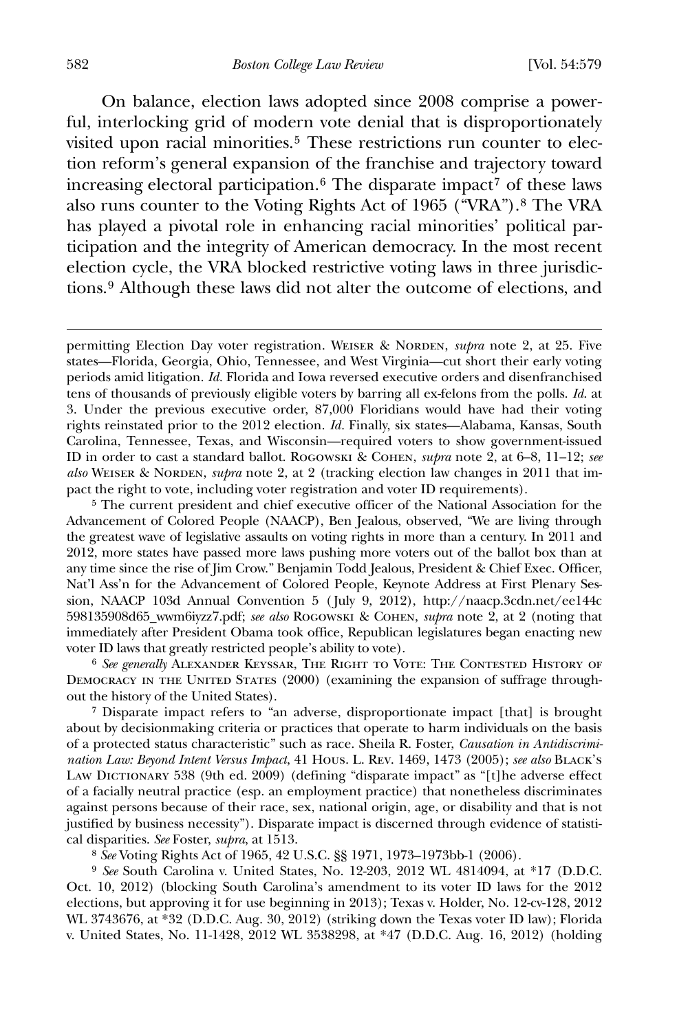On balance, election laws adopted since 2008 comprise a powerful, interlocking grid of modern vote denial that is disproportionately visited upon racial minorities.<sup>[5](#page-4-0)</sup> These restrictions run counter to election reform's general expansion of the franchise and trajectory toward increasing electoral participation.<sup>[6](#page-4-1)</sup> The disparate impact<sup>[7](#page-4-2)</sup> of these laws also runs counter to the Voting Rights Act of 1965 ("VRA").[8](#page-4-3) The VRA has played a pivotal role in enhancing racial minorities' political participation and the integrity of American democracy. In the most recent election cycle, the VRA blocked restrictive voting laws in three jurisdictions.[9](#page-4-4) Although these laws did not alter the outcome of elections, and

<span id="page-4-1"></span>6 *See generally* Alexander Keyssar, The Right to Vote: The Contested History of DEMOCRACY IN THE UNITED STATES (2000) (examining the expansion of suffrage throughout the history of the United States).

<span id="page-4-2"></span>7 Disparate impact refers to "an adverse, disproportionate impact [that] is brought about by decisionmaking criteria or practices that operate to harm individuals on the basis of a protected status characteristic" such as race. Sheila R. Foster, *Causation in Antidiscrimination Law: Beyond Intent Versus Impact*, 41 Hous. L. Rev. 1469, 1473 (2005); *see also* Black's Law Dictionary 538 (9th ed. 2009) (defining "disparate impact" as "[t]he adverse effect of a facially neutral practice (esp. an employment practice) that nonetheless discriminates against persons because of their race, sex, national origin, age, or disability and that is not justified by business necessity"). Disparate impact is discerned through evidence of statistical disparities. *See* Foster, *supra*, at 1513.

8 *See* Voting Rights Act of 1965, 42 U.S.C. §§ 1971, 1973–1973bb-1 (2006).

<span id="page-4-4"></span><span id="page-4-3"></span>9 *See* South Carolina v. United States, No. 12-203, 2012 WL 4814094, at \*17 (D.D.C. Oct. 10, 2012) (blocking South Carolina's amendment to its voter ID laws for the 2012 elections, but approving it for use beginning in 2013); Texas v. Holder, No. 12-cv-128, 2012 WL 3743676, at \*32 (D.D.C. Aug. 30, 2012) (striking down the Texas voter ID law); Florida v. United States, No. 11-1428, 2012 WL 3538298, at \*47 (D.D.C. Aug. 16, 2012) (holding

permitting Election Day voter registration. WEISER & NORDEN, *supra* note 2, at 25. Five states—Florida, Georgia, Ohio, Tennessee, and West Virginia—cut short their early voting periods amid litigation. *Id.* Florida and Iowa reversed executive orders and disenfranchised tens of thousands of previously eligible voters by barring all ex-felons from the polls. *Id*. at 3. Under the previous executive order, 87,000 Floridians would have had their voting rights reinstated prior to the 2012 election. *Id.* Finally, six states—Alabama, Kansas, South Carolina, Tennessee, Texas, and Wisconsin—required voters to show government-issued ID in order to cast a standard ballot. Rogowski & Cohen, *supra* note 2, at 6–8, 11–12; *see also* WEISER & NORDEN, *supra* note 2, at 2 (tracking election law changes in 2011 that impact the right to vote, including voter registration and voter ID requirements).

<span id="page-4-0"></span><sup>5</sup> The current president and chief executive officer of the National Association for the Advancement of Colored People (NAACP), Ben Jealous, observed, "We are living through the greatest wave of legislative assaults on voting rights in more than a century. In 2011 and 2012, more states have passed more laws pushing more voters out of the ballot box than at any time since the rise of Jim Crow." Benjamin Todd Jealous, President & Chief Exec. Officer, Nat'l Ass'n for the Advancement of Colored People, Keynote Address at First Plenary Session, NAACP 103d Annual Convention 5 ( July 9, 2012), http://naacp.3cdn.net/ee144c 598135908d65\_wwm6iyzz7.pdf; *see also* Rogowski & Cohen, *supra* note 2, at 2 (noting that immediately after President Obama took office, Republican legislatures began enacting new voter ID laws that greatly restricted people's ability to vote).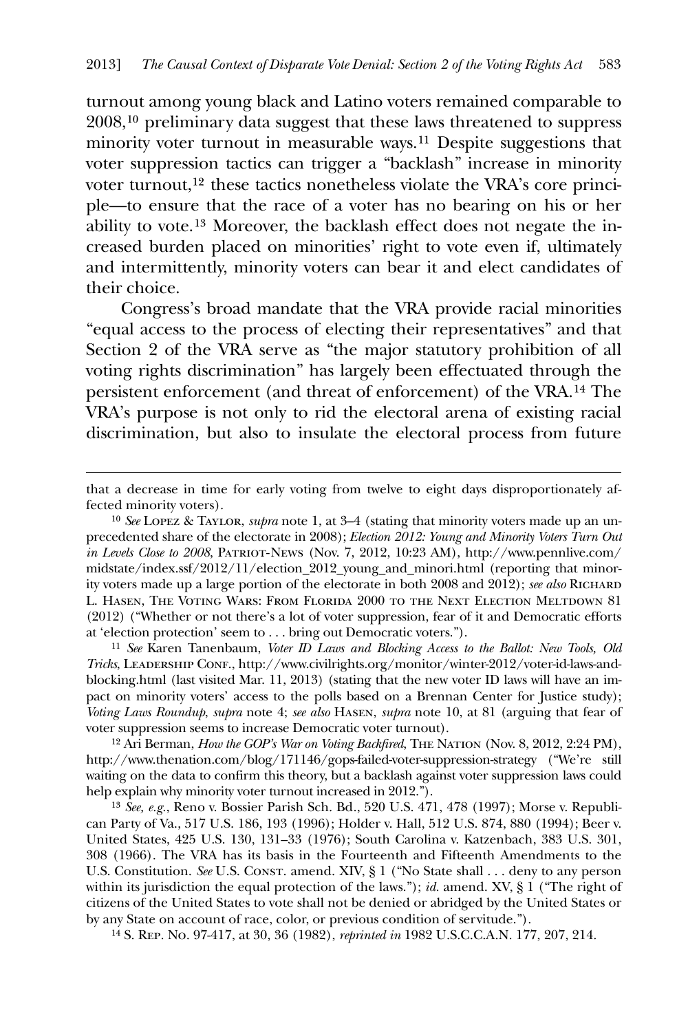turnout among young black and Latino voters remained comparable to 2008,[10](#page-5-0) preliminary data suggest that these laws threatened to suppress minority voter turnout in measurable ways.[11](#page-5-1) Despite suggestions that voter suppression tactics can trigger a "backlash" increase in minority voter turnout,[12](#page-5-2) these tactics nonetheless violate the VRA's core principle—to ensure that the race of a voter has no bearing on his or her ability to vote.[13](#page-5-3) Moreover, the backlash effect does not negate the increased burden placed on minorities' right to vote even if, ultimately and intermittently, minority voters can bear it and elect candidates of their choice.

 Congress's broad mandate that the VRA provide racial minorities "equal access to the process of electing their representatives" and that Section 2 of the VRA serve as "the major statutory prohibition of all voting rights discrimination" has largely been effectuated through the persistent enforcement (and threat of enforcement) of the VRA.[14](#page-5-4) The VRA's purpose is not only to rid the electoral arena of existing racial discrimination, but also to insulate the electoral process from future

 $\overline{a}$ 

<span id="page-5-0"></span>10 *See* Lopez & Taylor, *supra* note 1, at 3–4 (stating that minority voters made up an unprecedented share of the electorate in 2008); *Election 2012: Young and Minority Voters Turn Out in Levels Close to 2008*, Patriot-News (Nov. 7, 2012, 10:23 AM), http://www.pennlive.com/ midstate/index.ssf/2012/11/election\_2012\_young\_and\_minori.html (reporting that minority voters made up a large portion of the electorate in both 2008 and 2012); *see also* Richard L. Hasen, The Voting Wars: From Florida 2000 to the Next Election Meltdown 81 (2012) ("Whether or not there's a lot of voter suppression, fear of it and Democratic efforts at 'election protection' seem to . . . bring out Democratic voters.").

<span id="page-5-1"></span>11 *See* Karen Tanenbaum, *Voter ID Laws and Blocking Access to the Ballot: New Tools, Old Tricks*, LEADERSHIP CONF., http://www.civilrights.org/monitor/winter-2012/voter-id-laws-andblocking.html (last visited Mar. 11, 2013) (stating that the new voter ID laws will have an impact on minority voters' access to the polls based on a Brennan Center for Justice study); *Voting Laws Roundup*, *supra* note 4; *see also* Hasen, *supra* note 10, at 81 (arguing that fear of voter suppression seems to increase Democratic voter turnout).

<span id="page-5-2"></span><sup>12</sup> Ari Berman, *How the GOP's War on Voting Backfired*, THE NATION (Nov. 8, 2012, 2:24 PM), http://www.thenation.com/blog/171146/gops-failed-voter-suppression-strategy ("We're still waiting on the data to confirm this theory, but a backlash against voter suppression laws could help explain why minority voter turnout increased in 2012.").

<span id="page-5-3"></span>13 *See, e.g.*, Reno v. Bossier Parish Sch. Bd*.*, 520 U.S. 471, 478 (1997); Morse v. Republican Party of Va., 517 U.S. 186, 193 (1996); Holder v. Hall, 512 U.S. 874, 880 (1994); Beer v. United States, 425 U.S. 130, 131–33 (1976); South Carolina v. Katzenbach, 383 U.S. 301, 308 (1966). The VRA has its basis in the Fourteenth and Fifteenth Amendments to the U.S. Constitution. *See* U.S. CONST. amend. XIV, § 1 ("No State shall . . . deny to any person within its jurisdiction the equal protection of the laws."); *id.* amend. XV, § 1 ("The right of citizens of the United States to vote shall not be denied or abridged by the United States or by any State on account of race, color, or previous condition of servitude.").

<span id="page-5-4"></span>14 S. Rep. No. 97-417, at 30, 36 (1982), *reprinted in* 1982 U.S.C.C.A.N. 177, 207, 214.

that a decrease in time for early voting from twelve to eight days disproportionately affected minority voters).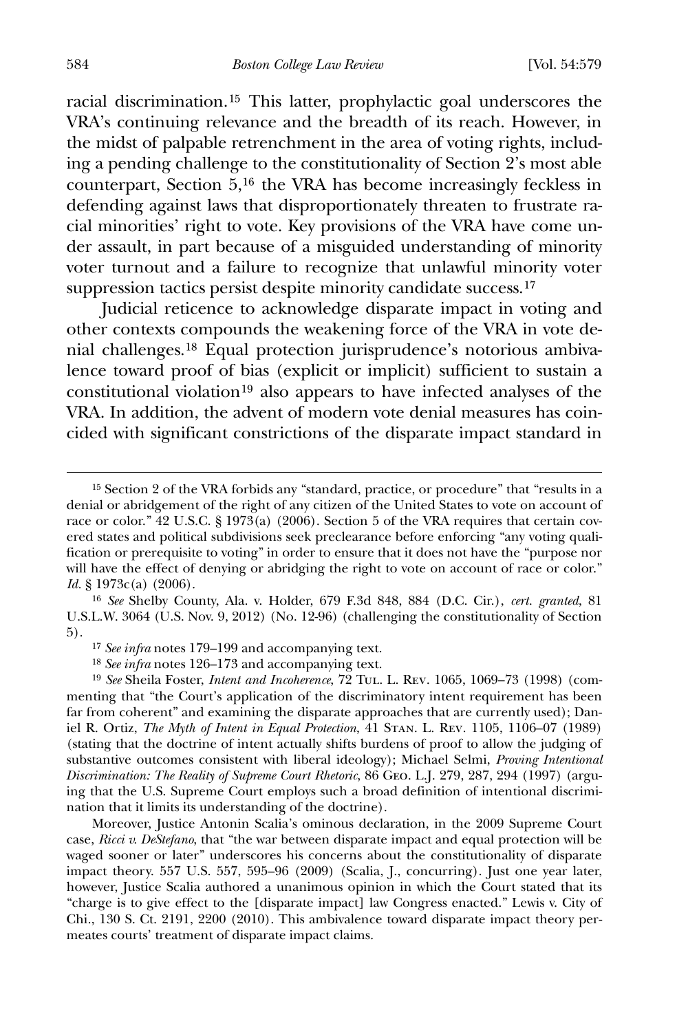584 *Boston College Law Review* [Vol. 54:579

racial discrimination.[15](#page-6-0) This latter, prophylactic goal underscores the VRA's continuing relevance and the breadth of its reach. However, in the midst of palpable retrenchment in the area of voting rights, including a pending challenge to the constitutionality of Section 2's most able counterpart, Section 5,[16](#page-6-1) the VRA has become increasingly feckless in defending against laws that disproportionately threaten to frustrate racial minorities' right to vote. Key provisions of the VRA have come under assault, in part because of a misguided understanding of minority voter turnout and a failure to recognize that unlawful minority voter suppression tactics persist despite minority candidate success.<sup>[17](#page-6-2)</sup>

 Judicial reticence to acknowledge disparate impact in voting and other contexts compounds the weakening force of the VRA in vote denial challenges.[18](#page-6-3) Equal protection jurisprudence's notorious ambivalence toward proof of bias (explicit or implicit) sufficient to sustain a constitutional violation<sup>[19](#page-6-4)</sup> also appears to have infected analyses of the VRA. In addition, the advent of modern vote denial measures has coincided with significant constrictions of the disparate impact standard in

<span id="page-6-1"></span>16 *See* Shelby County, Ala. v. Holder, 679 F.3d 848, 884 (D.C. Cir.), *cert. granted*, 81 U.S.L.W. 3064 (U.S. Nov. 9, 2012) (No. 12-96) (challenging the constitutionality of Section 5).

17 *See infra* notes 179–199 and accompanying text.

18 *See infra* notes 126–173 and accompanying text.

<span id="page-6-4"></span><span id="page-6-3"></span><span id="page-6-2"></span>19 *See* Sheila Foster, *Intent and Incoherence*, 72 Tul. L. Rev. 1065, 1069–73 (1998) (commenting that "the Court's application of the discriminatory intent requirement has been far from coherent" and examining the disparate approaches that are currently used); Daniel R. Ortiz, *The Myth of Intent in Equal Protection*, 41 Stan. L. Rev. 1105, 1106–07 (1989) (stating that the doctrine of intent actually shifts burdens of proof to allow the judging of substantive outcomes consistent with liberal ideology); Michael Selmi, *Proving Intentional Discrimination: The Reality of Supreme Court Rhetoric*, 86 Geo. L.J. 279, 287, 294 (1997) (arguing that the U.S. Supreme Court employs such a broad definition of intentional discrimination that it limits its understanding of the doctrine).

Moreover, Justice Antonin Scalia's ominous declaration, in the 2009 Supreme Court case, *Ricci v. DeStefano*, that "the war between disparate impact and equal protection will be waged sooner or later" underscores his concerns about the constitutionality of disparate impact theory. 557 U.S. 557, 595–96 (2009) (Scalia, J., concurring). Just one year later, however, Justice Scalia authored a unanimous opinion in which the Court stated that its "charge is to give effect to the [disparate impact] law Congress enacted." Lewis v. City of Chi., 130 S. Ct. 2191, 2200 (2010). This ambivalence toward disparate impact theory permeates courts' treatment of disparate impact claims.

<span id="page-6-0"></span><sup>15</sup> Section 2 of the VRA forbids any "standard, practice, or procedure" that "results in a denial or abridgement of the right of any citizen of the United States to vote on account of race or color." 42 U.S.C. § 1973(a) (2006). Section 5 of the VRA requires that certain covered states and political subdivisions seek preclearance before enforcing "any voting qualification or prerequisite to voting" in order to ensure that it does not have the "purpose nor will have the effect of denying or abridging the right to vote on account of race or color." *Id.* § 1973c(a) (2006).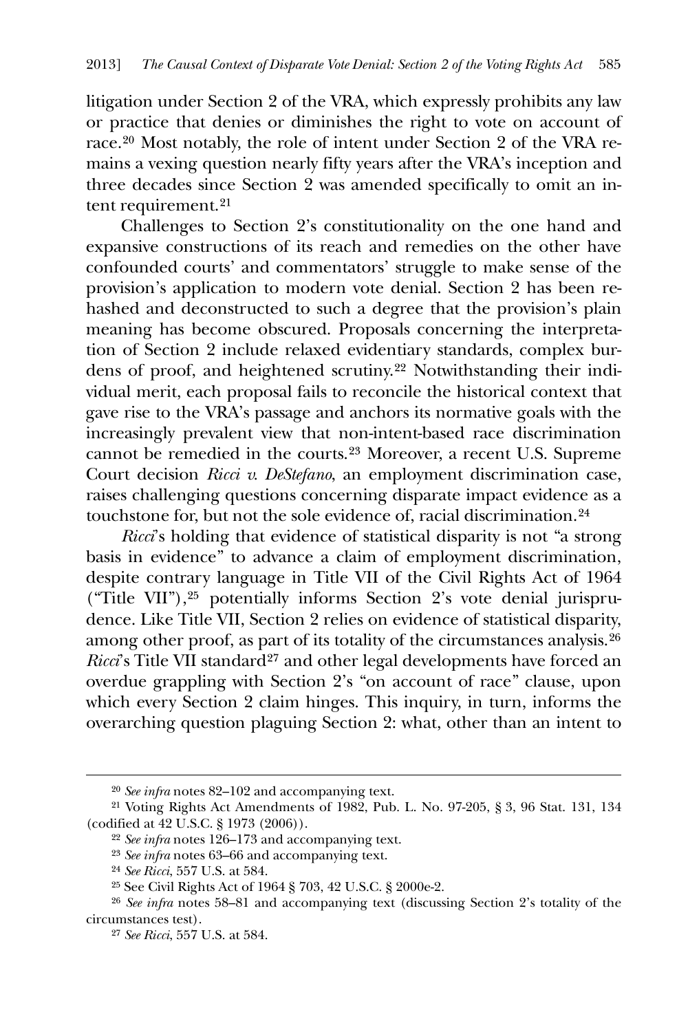litigation under Section 2 of the VRA, which expressly prohibits any law or practice that denies or diminishes the right to vote on account of race.[20](#page-7-0) Most notably, the role of intent under Section 2 of the VRA remains a vexing question nearly fifty years after the VRA's inception and three decades since Section 2 was amended specifically to omit an intent requirement.[21](#page-7-1)

 Challenges to Section 2's constitutionality on the one hand and expansive constructions of its reach and remedies on the other have confounded courts' and commentators' struggle to make sense of the provision's application to modern vote denial. Section 2 has been rehashed and deconstructed to such a degree that the provision's plain meaning has become obscured. Proposals concerning the interpretation of Section 2 include relaxed evidentiary standards, complex burdens of proof, and heightened scrutiny.[22](#page-7-2) Notwithstanding their individual merit, each proposal fails to reconcile the historical context that gave rise to the VRA's passage and anchors its normative goals with the increasingly prevalent view that non-intent-based race discrimination cannot be remedied in the courts.[23](#page-7-3) Moreover, a recent U.S. Supreme Court decision *Ricci v. DeStefano*, an employment discrimination case, raises challenging questions concerning disparate impact evidence as a touchstone for, but not the sole evidence of, racial discrimination.[24](#page-7-4)

*Ricci*'s holding that evidence of statistical disparity is not "a strong basis in evidence" to advance a claim of employment discrimination, despite contrary language in Title VII of the Civil Rights Act of 1964 ("Title VII"),[25](#page-7-5) potentially informs Section 2's vote denial jurisprudence. Like Title VII, Section 2 relies on evidence of statistical disparity, among other proof, as part of its totality of the circumstances analysis.[26](#page-7-6) *Ricci*'s Title VII standard<sup>[27](#page-7-7)</sup> and other legal developments have forced an overdue grappling with Section 2's "on account of race" clause, upon which every Section 2 claim hinges. This inquiry, in turn, informs the overarching question plaguing Section 2: what, other than an intent to

<sup>20</sup> *See infra* notes 82–102 and accompanying text.

<span id="page-7-3"></span><span id="page-7-2"></span><span id="page-7-1"></span><span id="page-7-0"></span><sup>21</sup> Voting Rights Act Amendments of 1982, Pub. L. No. 97-205, § 3, 96 Stat. 131, 134 (codified at 42 U.S.C. § 1973 (2006)).

<sup>22</sup> *See infra* notes 126–173 and accompanying text.

<sup>23</sup> *See infra* notes 63–66 and accompanying text.

<sup>24</sup> *See Ricci*, 557 U.S. at 584.

<sup>25</sup> See Civil Rights Act of 1964 § 703, 42 U.S.C. § 2000e-2.

<span id="page-7-7"></span><span id="page-7-6"></span><span id="page-7-5"></span><span id="page-7-4"></span><sup>26</sup> *See infra* notes 58–81 and accompanying text (discussing Section 2's totality of the circumstances test).

<sup>27</sup> *See Ricci*, 557 U.S. at 584.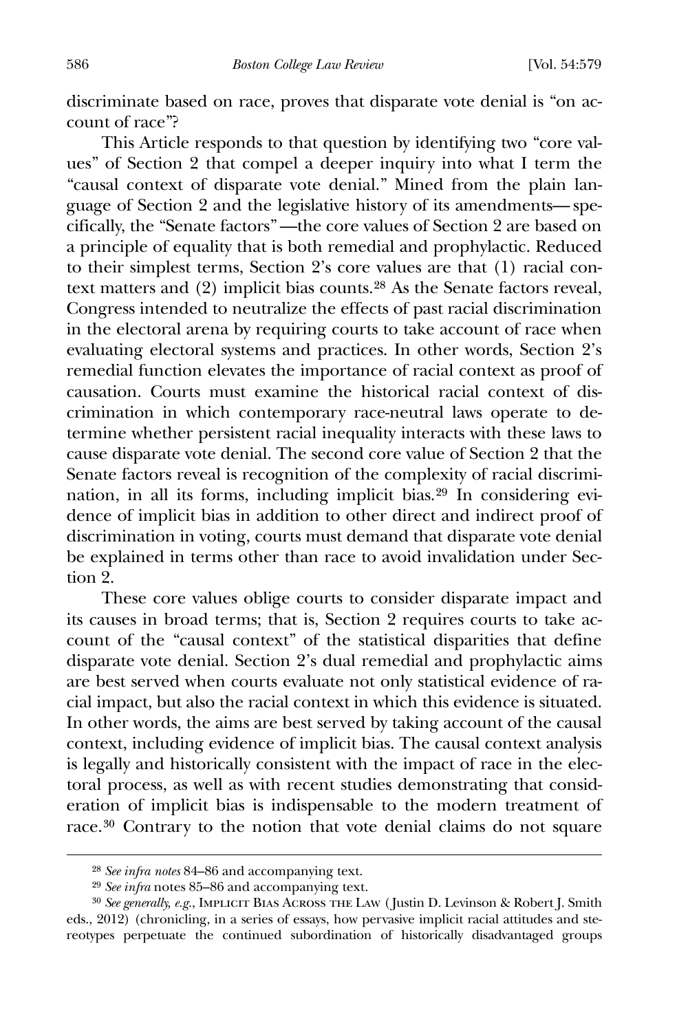discriminate based on race, proves that disparate vote denial is "on account of race"?

 This Article responds to that question by identifying two "core values" of Section 2 that compel a deeper inquiry into what I term the "causal context of disparate vote denial." Mined from the plain language of Section 2 and the legislative history of its amendments— specifically, the "Senate factors" —the core values of Section 2 are based on a principle of equality that is both remedial and prophylactic. Reduced to their simplest terms, Section 2's core values are that (1) racial context matters and (2) implicit bias counts.[28](#page-8-0) As the Senate factors reveal, Congress intended to neutralize the effects of past racial discrimination in the electoral arena by requiring courts to take account of race when evaluating electoral systems and practices. In other words, Section 2's remedial function elevates the importance of racial context as proof of causation. Courts must examine the historical racial context of discrimination in which contemporary race-neutral laws operate to determine whether persistent racial inequality interacts with these laws to cause disparate vote denial. The second core value of Section 2 that the Senate factors reveal is recognition of the complexity of racial discrimination, in all its forms, including implicit bias.[29](#page-8-1) In considering evidence of implicit bias in addition to other direct and indirect proof of discrimination in voting, courts must demand that disparate vote denial be explained in terms other than race to avoid invalidation under Section 2.

 These core values oblige courts to consider disparate impact and its causes in broad terms; that is, Section 2 requires courts to take account of the "causal context" of the statistical disparities that define disparate vote denial. Section 2's dual remedial and prophylactic aims are best served when courts evaluate not only statistical evidence of racial impact, but also the racial context in which this evidence is situated. In other words, the aims are best served by taking account of the causal context, including evidence of implicit bias. The causal context analysis is legally and historically consistent with the impact of race in the electoral process, as well as with recent studies demonstrating that consideration of implicit bias is indispensable to the modern treatment of race.[30](#page-8-2) Contrary to the notion that vote denial claims do not square

<sup>28</sup> *See infra notes* 84–86 and accompanying text.

<sup>29</sup> *See infra* notes 85–86 and accompanying text.

<span id="page-8-2"></span><span id="page-8-1"></span><span id="page-8-0"></span><sup>&</sup>lt;sup>30</sup> See generally, e.g., IMPLICIT BIAS ACROSS THE LAW (Justin D. Levinson & Robert J. Smith eds., 2012) (chronicling, in a series of essays, how pervasive implicit racial attitudes and stereotypes perpetuate the continued subordination of historically disadvantaged groups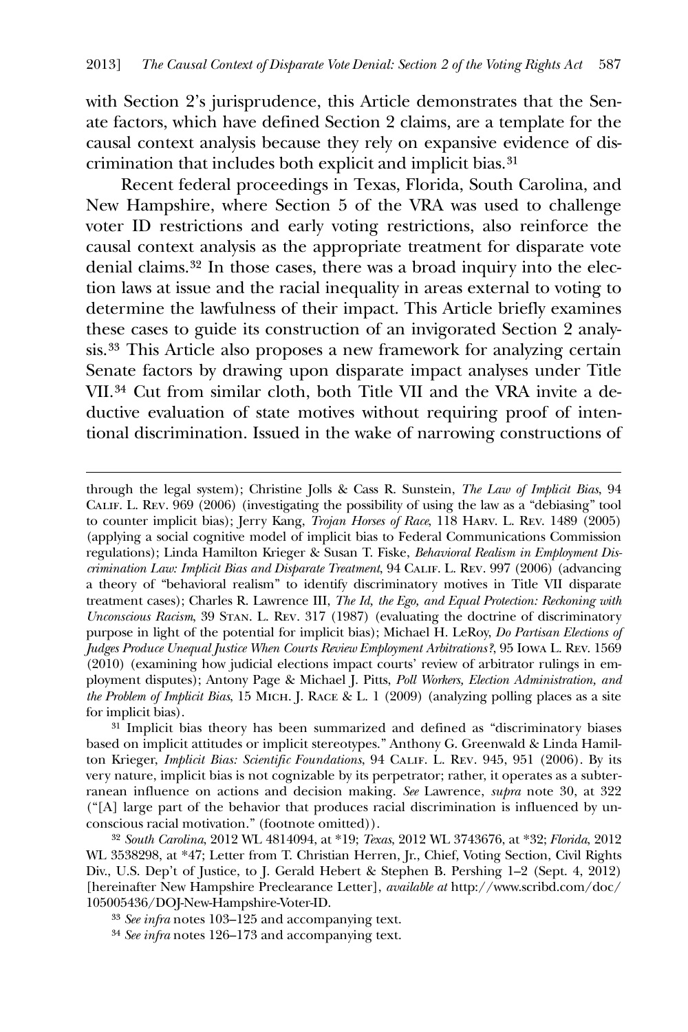with Section 2's jurisprudence, this Article demonstrates that the Senate factors, which have defined Section 2 claims, are a template for the causal context analysis because they rely on expansive evidence of discrimination that includes both explicit and implicit bias.[31](#page-9-0)

 Recent federal proceedings in Texas, Florida, South Carolina, and New Hampshire, where Section 5 of the VRA was used to challenge voter ID restrictions and early voting restrictions, also reinforce the causal context analysis as the appropriate treatment for disparate vote denial claims.[32](#page-9-1) In those cases, there was a broad inquiry into the election laws at issue and the racial inequality in areas external to voting to determine the lawfulness of their impact. This Article briefly examines these cases to guide its construction of an invigorated Section 2 analysis.[33](#page-9-2) This Article also proposes a new framework for analyzing certain Senate factors by drawing upon disparate impact analyses under Title VII.[34](#page-9-3) Cut from similar cloth, both Title VII and the VRA invite a deductive evaluation of state motives without requiring proof of intentional discrimination. Issued in the wake of narrowing constructions of

<u>.</u>

through the legal system); Christine Jolls & Cass R. Sunstein, *The Law of Implicit Bias*, 94 Calif. L. Rev. 969 (2006) (investigating the possibility of using the law as a "debiasing" tool to counter implicit bias); Jerry Kang, *Trojan Horses of Race*, 118 Harv. L. Rev. 1489 (2005) (applying a social cognitive model of implicit bias to Federal Communications Commission regulations); Linda Hamilton Krieger & Susan T. Fiske, *Behavioral Realism in Employment Discrimination Law: Implicit Bias and Disparate Treatment*, 94 Calif. L. Rev. 997 (2006) (advancing a theory of "behavioral realism" to identify discriminatory motives in Title VII disparate treatment cases); Charles R. Lawrence III, *The Id, the Ego, and Equal Protection: Reckoning with Unconscious Racism*, 39 Stan. L. Rev. 317 (1987) (evaluating the doctrine of discriminatory purpose in light of the potential for implicit bias); Michael H. LeRoy, *Do Partisan Elections of Judges Produce Unequal Justice When Courts Review Employment Arbitrations?*, 95 Iowa L. Rev. 1569 (2010) (examining how judicial elections impact courts' review of arbitrator rulings in employment disputes); Antony Page & Michael J. Pitts, *Poll Workers, Election Administration, and the Problem of Implicit Bias*, 15 Mich. J. Race & L. 1 (2009) (analyzing polling places as a site for implicit bias).

<span id="page-9-0"></span><sup>31</sup> Implicit bias theory has been summarized and defined as "discriminatory biases based on implicit attitudes or implicit stereotypes." Anthony G. Greenwald & Linda Hamilton Krieger, *Implicit Bias: Scientific Foundations*, 94 CALIF. L. REV. 945, 951 (2006). By its very nature, implicit bias is not cognizable by its perpetrator; rather, it operates as a subterranean influence on actions and decision making. *See* Lawrence, *supra* note 30, at 322 ("[A] large part of the behavior that produces racial discrimination is influenced by unconscious racial motivation." (footnote omitted)).

<span id="page-9-1"></span><sup>32</sup> *South Carolina*, 2012 WL 4814094, at \*19; *Texas*, 2012 WL 3743676, at \*32; *Florida*, 2012 WL 3538298, at \*47; Letter from T. Christian Herren, Jr., Chief, Voting Section, Civil Rights Div., U.S. Dep't of Justice, to J. Gerald Hebert & Stephen B. Pershing 1–2 (Sept. 4, 2012) [hereinafter New Hampshire Preclearance Letter], *available at* http://www.scribd.com/doc/ 105005436/DOJ-New-Hampshire-Voter-ID.

<span id="page-9-2"></span><sup>33</sup> *See infra* notes 103–125 and accompanying text.

<span id="page-9-3"></span><sup>34</sup> *See infra* notes 126–173 and accompanying text.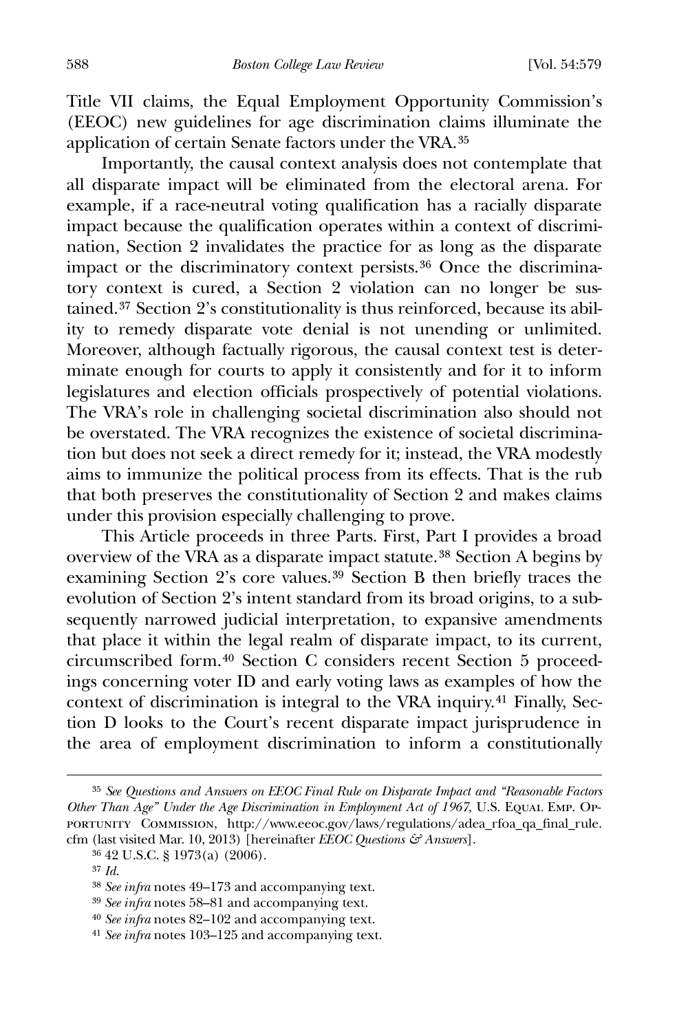Title VII claims, the Equal Employment Opportunity Commission's (EEOC) new guidelines for age discrimination claims illuminate the application of certain Senate factors under the VRA.35

 Importantly, the causal context analysis does not contemplate that all disparate impact will be eliminated from the electoral arena. For example, if a race-neutral voting qualification has a racially disparate impact because the qualification operates within a context of discrimination, Section 2 invalidates the practice for as long as the disparate impact or the discriminatory context persists.[36](#page-10-0) Once the discriminatory context is cured, a Section 2 violation can no longer be sustained.[37](#page-10-1) Section 2's constitutionality is thus reinforced, because its ability to remedy disparate vote denial is not unending or unlimited. Moreover, although factually rigorous, the causal context test is determinate enough for courts to apply it consistently and for it to inform legislatures and election officials prospectively of potential violations. The VRA's role in challenging societal discrimination also should not be overstated. The VRA recognizes the existence of societal discrimination but does not seek a direct remedy for it; instead, the VRA modestly aims to immunize the political process from its effects. That is the rub that both preserves the constitutionality of Section 2 and makes claims under this provision especially challenging to prove.

 This Article proceeds in three Parts. First, Part I provides a broad overview of the VRA as a disparate impact statute.[38](#page-10-2) Section A begins by examining Section 2's core values.[39](#page-10-3) Section B then briefly traces the evolution of Section 2's intent standard from its broad origins, to a subsequently narrowed judicial interpretation, to expansive amendments that place it within the legal realm of disparate impact, to its current, circumscribed form.[40](#page-10-4) Section C considers recent Section 5 proceedings concerning voter ID and early voting laws as examples of how the context of discrimination is integral to the VRA inquiry.[41](#page-10-5) Finally, Section D looks to the Court's recent disparate impact jurisprudence in the area of employment discrimination to inform a constitutionally

 $\overline{a}$ 

40 *See infra* notes 82–102 and accompanying text.

<sup>35</sup> *See Questions and Answers on EEOC Final Rule on Disparate Impact and "Reasonable Factors Other Than Age" Under the Age Discrimination in Employment Act of 1967*, U.S. EQUAL EMP. Opportunity Commission, http://www.eeoc.gov/laws/regulations/adea\_rfoa\_qa\_final\_rule. cfm (last visited Mar. 10, 2013) [hereinafter *EEOC Questions & Answers*].

<span id="page-10-1"></span><span id="page-10-0"></span><sup>36</sup> 42 U.S.C. § 1973(a) (2006).

<sup>37</sup> *Id*.

<span id="page-10-2"></span><sup>38</sup> *See infra* notes 49–173 and accompanying text.

<span id="page-10-4"></span><span id="page-10-3"></span><sup>39</sup> *See infra* notes 58–81 and accompanying text.

<span id="page-10-5"></span><sup>41</sup> *See infra* notes 103–125 and accompanying text.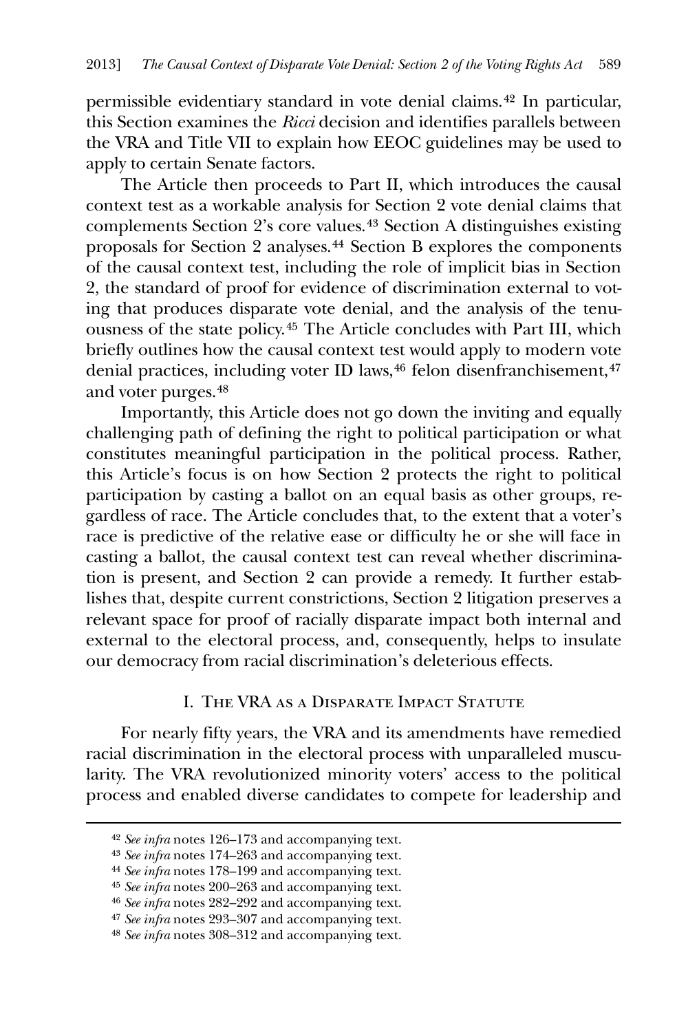permissible evidentiary standard in vote denial claims.[42](#page-11-0) In particular, this Section examines the *Ricci* decision and identifies parallels between the VRA and Title VII to explain how EEOC guidelines may be used to apply to certain Senate factors.

 The Article then proceeds to Part II, which introduces the causal context test as a workable analysis for Section 2 vote denial claims that complements Section 2's core values.[43](#page-11-1) Section A distinguishes existing proposals for Section 2 analyses.[44](#page-11-2) Section B explores the components of the causal context test, including the role of implicit bias in Section 2, the standard of proof for evidence of discrimination external to voting that produces disparate vote denial, and the analysis of the tenuousness of the state policy.[45](#page-11-3) The Article concludes with Part III, which briefly outlines how the causal context test would apply to modern vote denial practices, including voter ID laws,<sup>[46](#page-11-4)</sup> felon disenfranchisement,<sup>[47](#page-11-5)</sup> and voter purges.[48](#page-11-6)

 Importantly, this Article does not go down the inviting and equally challenging path of defining the right to political participation or what constitutes meaningful participation in the political process. Rather, this Article's focus is on how Section 2 protects the right to political participation by casting a ballot on an equal basis as other groups, regardless of race. The Article concludes that, to the extent that a voter's race is predictive of the relative ease or difficulty he or she will face in casting a ballot, the causal context test can reveal whether discrimination is present, and Section 2 can provide a remedy. It further establishes that, despite current constrictions, Section 2 litigation preserves a relevant space for proof of racially disparate impact both internal and external to the electoral process, and, consequently, helps to insulate our democracy from racial discrimination's deleterious effects.

## I. The VRA as a Disparate Impact Statute

 For nearly fifty years, the VRA and its amendments have remedied racial discrimination in the electoral process with unparalleled muscularity. The VRA revolutionized minority voters' access to the political process and enabled diverse candidates to compete for leadership and

<span id="page-11-3"></span><span id="page-11-2"></span><span id="page-11-1"></span><span id="page-11-0"></span>-

<sup>42</sup> *See infra* notes 126–173 and accompanying text.

<sup>43</sup> *See infra* notes 174–263 and accompanying text.

<sup>44</sup> *See infra* notes 178–199 and accompanying text.

<sup>45</sup> *See infra* notes 200–263 and accompanying text.

<span id="page-11-4"></span><sup>46</sup> *See infra* notes 282–292 and accompanying text.

<sup>47</sup> *See infra* notes 293–307 and accompanying text.

<span id="page-11-6"></span><span id="page-11-5"></span><sup>48</sup> *See infra* notes 308–312 and accompanying text.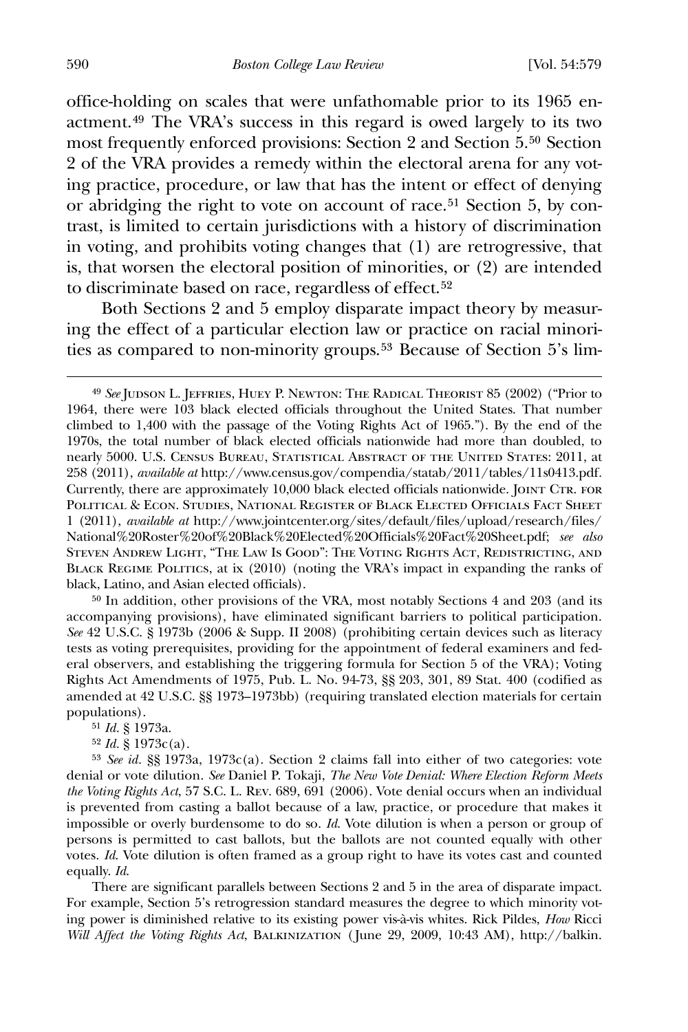office-holding on scales that were unfathomable prior to its 1965 enactment.[49](#page-12-0) The VRA's success in this regard is owed largely to its two most frequently enforced provisions: Section 2 and Section 5.[50](#page-12-1) Section 2 of the VRA provides a remedy within the electoral arena for any voting practice, procedure, or law that has the intent or effect of denying or abridging the right to vote on account of race.[51](#page-12-2) Section 5, by contrast, is limited to certain jurisdictions with a history of discrimination in voting, and prohibits voting changes that (1) are retrogressive, that is, that worsen the electoral position of minorities, or (2) are intended to discriminate based on race, regardless of effect.<sup>[52](#page-12-3)</sup>

 Both Sections 2 and 5 employ disparate impact theory by measuring the effect of a particular election law or practice on racial minorities as compared to non-minority groups.[53](#page-12-4) Because of Section 5's lim-

<span id="page-12-1"></span>50 In addition, other provisions of the VRA, most notably Sections 4 and 203 (and its accompanying provisions), have eliminated significant barriers to political participation. *See* 42 U.S.C. § 1973b (2006 & Supp. II 2008) (prohibiting certain devices such as literacy tests as voting prerequisites, providing for the appointment of federal examiners and federal observers, and establishing the triggering formula for Section 5 of the VRA); Voting Rights Act Amendments of 1975, Pub. L. No. 94-73, §§ 203, 301, 89 Stat. 400 (codified as amended at 42 U.S.C. §§ 1973–1973bb) (requiring translated election materials for certain populations).

51 *Id.* § 1973a.

52 *Id.* § 1973c(a).

<span id="page-12-4"></span><span id="page-12-3"></span><span id="page-12-2"></span>53 *See id.* §§ 1973a, 1973c(a). Section 2 claims fall into either of two categories: vote denial or vote dilution. *See* Daniel P. Tokaji, *The New Vote Denial: Where Election Reform Meets the Voting Rights Act*, 57 S.C. L. Rev. 689, 691 (2006). Vote denial occurs when an individual is prevented from casting a ballot because of a law, practice, or procedure that makes it impossible or overly burdensome to do so. *Id*. Vote dilution is when a person or group of persons is permitted to cast ballots, but the ballots are not counted equally with other votes. *Id*. Vote dilution is often framed as a group right to have its votes cast and counted equally. *Id*.

There are significant parallels between Sections 2 and 5 in the area of disparate impact. For example, Section 5's retrogression standard measures the degree to which minority voting power is diminished relative to its existing power vis-à-vis whites. Rick Pildes, *How* Ricci *Will Affect the Voting Rights Act*, Balkinization (June 29, 2009, 10:43 AM), http://balkin.

<span id="page-12-0"></span><sup>49</sup> *See* Judson L. Jeffries, Huey P. Newton: The Radical Theorist 85 (2002) ("Prior to 1964, there were 103 black elected officials throughout the United States. That number climbed to 1,400 with the passage of the Voting Rights Act of 1965."). By the end of the 1970s, the total number of black elected officials nationwide had more than doubled, to nearly 5000. U.S. Census Bureau, Statistical Abstract of the United States: 2011, at 258 (2011), *available at* http://www.census.gov/compendia/statab/2011/tables/11s0413.pdf*.* Currently, there are approximately 10,000 black elected officials nationwide. JOINT CTR. FOR Political & Econ. Studies, National Register of Black Elected Officials Fact Sheet 1 (2011), *available at* http://www.jointcenter.org/sites/default/files/upload/research/files/ National%20Roster%20of%20Black%20Elected%20Officials%20Fact%20Sheet.pdf; *see also* Steven Andrew Light, "The Law Is Good": The Voting Rights Act, Redistricting, and BLACK REGIME POLITICS, at ix (2010) (noting the VRA's impact in expanding the ranks of black, Latino, and Asian elected officials).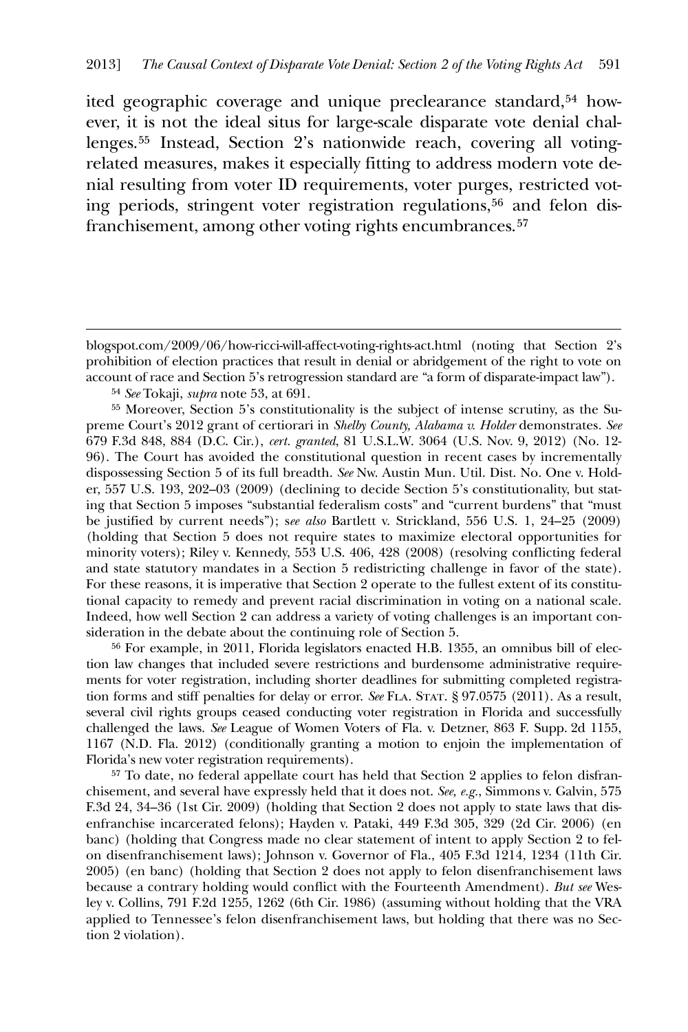ited geographic coverage and unique preclearance standard,<sup>[54](#page-13-0)</sup> however, it is not the ideal situs for large-scale disparate vote denial challenges.[55](#page-13-1) Instead, Section 2's nationwide reach, covering all votingrelated measures, makes it especially fitting to address modern vote denial resulting from voter ID requirements, voter purges, restricted voting periods, stringent voter registration regulations, $56$  and felon disfranchisement, among other voting rights encumbrances.<sup>57</sup>

54 *See* Tokaji, *supra* note 53, at 691.

 $\overline{a}$ 

<span id="page-13-1"></span><span id="page-13-0"></span>55 Moreover, Section 5's constitutionality is the subject of intense scrutiny, as the Supreme Court's 2012 grant of certiorari in *Shelby County, Alabama v. Holder* demonstrates*. See* 679 F.3d 848, 884 (D.C. Cir.), *cert. granted*, 81 U.S.L.W. 3064 (U.S. Nov. 9, 2012) (No. 12- 96). The Court has avoided the constitutional question in recent cases by incrementally dispossessing Section 5 of its full breadth. *See* Nw. Austin Mun. Util. Dist. No. One v. Holder, 557 U.S. 193, 202–03 (2009) (declining to decide Section 5's constitutionality, but stating that Section 5 imposes "substantial federalism costs" and "current burdens" that "must be justified by current needs"); s*ee also* Bartlett v. Strickland, 556 U.S. 1, 24–25 (2009) (holding that Section 5 does not require states to maximize electoral opportunities for minority voters); Riley v. Kennedy, 553 U.S. 406, 428 (2008) (resolving conflicting federal and state statutory mandates in a Section 5 redistricting challenge in favor of the state). For these reasons, it is imperative that Section 2 operate to the fullest extent of its constitutional capacity to remedy and prevent racial discrimination in voting on a national scale. Indeed, how well Section 2 can address a variety of voting challenges is an important consideration in the debate about the continuing role of Section 5.

<span id="page-13-2"></span>56 For example, in 2011, Florida legislators enacted H.B. 1355, an omnibus bill of election law changes that included severe restrictions and burdensome administrative requirements for voter registration, including shorter deadlines for submitting completed registration forms and stiff penalties for delay or error. *See* FLA. STAT. § 97.0575 (2011). As a result, several civil rights groups ceased conducting voter registration in Florida and successfully challenged the laws. *See* League of Women Voters of Fla. v. Detzner, 863 F. Supp. 2d 1155, 1167 (N.D. Fla. 2012) (conditionally granting a motion to enjoin the implementation of Florida's new voter registration requirements).

57 To date, no federal appellate court has held that Section 2 applies to felon disfranchisement, and several have expressly held that it does not. *See, e.g.*, Simmons v. Galvin, 575 F.3d 24, 34–36 (1st Cir. 2009) (holding that Section 2 does not apply to state laws that disenfranchise incarcerated felons); Hayden v. Pataki, 449 F.3d 305, 329 (2d Cir. 2006) (en banc) (holding that Congress made no clear statement of intent to apply Section 2 to felon disenfranchisement laws); Johnson v. Governor of Fla., 405 F.3d 1214, 1234 (11th Cir. 2005) (en banc) (holding that Section 2 does not apply to felon disenfranchisement laws because a contrary holding would conflict with the Fourteenth Amendment). *But see* Wesley v. Collins, 791 F.2d 1255, 1262 (6th Cir. 1986) (assuming without holding that the VRA applied to Tennessee's felon disenfranchisement laws, but holding that there was no Section 2 violation).

blogspot.com/2009/06/how-ricci-will-affect-voting-rights-act.html (noting that Section 2's prohibition of election practices that result in denial or abridgement of the right to vote on account of race and Section 5's retrogression standard are "a form of disparate-impact law").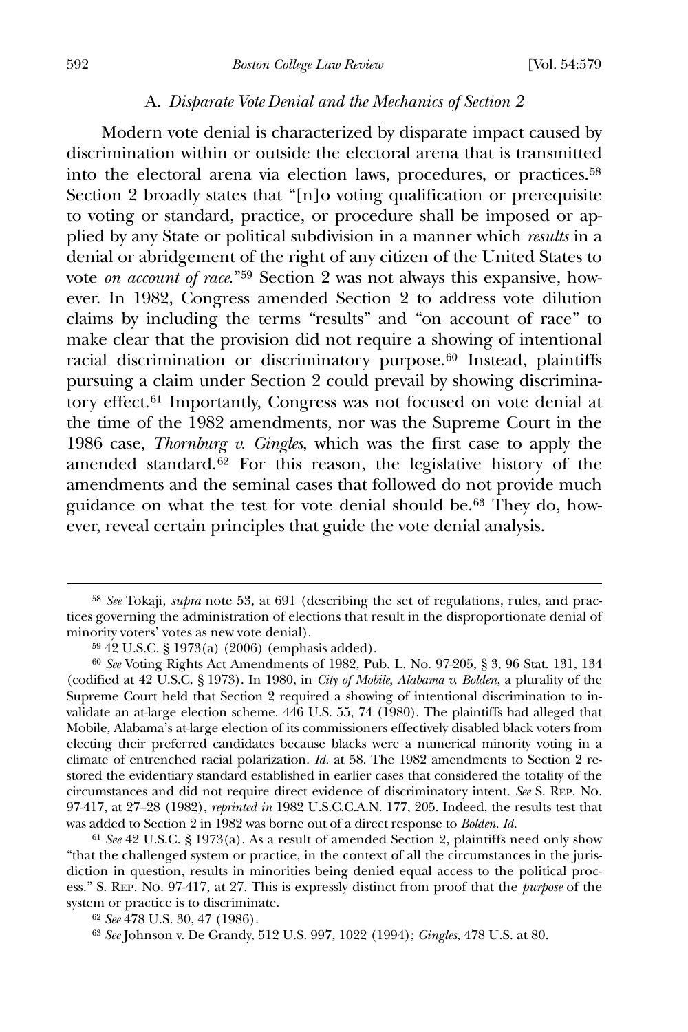#### A. *Disparate Vote Denial and the Mechanics of Section 2*

 Modern vote denial is characterized by disparate impact caused by discrimination within or outside the electoral arena that is transmitted into the electoral arena via election laws, procedures, or practices.[58](#page-14-0) Section 2 broadly states that "[n]o voting qualification or prerequisite to voting or standard, practice, or procedure shall be imposed or applied by any State or political subdivision in a manner which *results* in a denial or abridgement of the right of any citizen of the United States to vote *on account of race*."[59](#page-14-1) Section 2 was not always this expansive, however. In 1982, Congress amended Section 2 to address vote dilution claims by including the terms "results" and "on account of race" to make clear that the provision did not require a showing of intentional racial discrimination or discriminatory purpose.<sup>[60](#page-14-2)</sup> Instead, plaintiffs pursuing a claim under Section 2 could prevail by showing discrimina-tory effect.<sup>[61](#page-14-3)</sup> Importantly, Congress was not focused on vote denial at the time of the 1982 amendments, nor was the Supreme Court in the 1986 case, *Thornburg v. Gingles*, which was the first case to apply the amended standard.[62](#page-14-4) For this reason, the legislative history of the amendments and the seminal cases that followed do not provide much guidance on what the test for vote denial should be.[63](#page-14-5) They do, however, reveal certain principles that guide the vote denial analysis.

<span id="page-14-0"></span><sup>58</sup> *See* Tokaji, *supra* note 53, at 691 (describing the set of regulations, rules, and practices governing the administration of elections that result in the disproportionate denial of minority voters' votes as new vote denial).

<sup>59</sup> 42 U.S.C. § 1973(a) (2006) (emphasis added).

<span id="page-14-2"></span><span id="page-14-1"></span><sup>60</sup> *See* Voting Rights Act Amendments of 1982, Pub. L. No. 97-205, § 3, 96 Stat. 131, 134 (codified at 42 U.S.C. § 1973). In 1980, in *City of Mobile, Alabama v. Bolden*, a plurality of the Supreme Court held that Section 2 required a showing of intentional discrimination to invalidate an at-large election scheme. 446 U.S. 55, 74 (1980). The plaintiffs had alleged that Mobile, Alabama's at-large election of its commissioners effectively disabled black voters from electing their preferred candidates because blacks were a numerical minority voting in a climate of entrenched racial polarization. *Id.* at 58. The 1982 amendments to Section 2 restored the evidentiary standard established in earlier cases that considered the totality of the circumstances and did not require direct evidence of discriminatory intent. *See* S. Rep. No. 97-417, at 27–28 (1982), *reprinted in* 1982 U.S.C.C.A.N. 177, 205. Indeed, the results test that was added to Section 2 in 1982 was borne out of a direct response to *Bolden*. *Id.*

<span id="page-14-3"></span><sup>61</sup> *See* 42 U.S.C. § 1973(a). As a result of amended Section 2, plaintiffs need only show "that the challenged system or practice, in the context of all the circumstances in the jurisdiction in question, results in minorities being denied equal access to the political process." S. Rep. No. 97-417, at 27. This is expressly distinct from proof that the *purpose* of the system or practice is to discriminate.

<span id="page-14-5"></span><span id="page-14-4"></span><sup>62</sup> *See* 478 U.S. 30, 47 (1986).

<sup>63</sup> *See* Johnson v. De Grandy, 512 U.S. 997, 1022 (1994); *Gingles*, 478 U.S. at 80.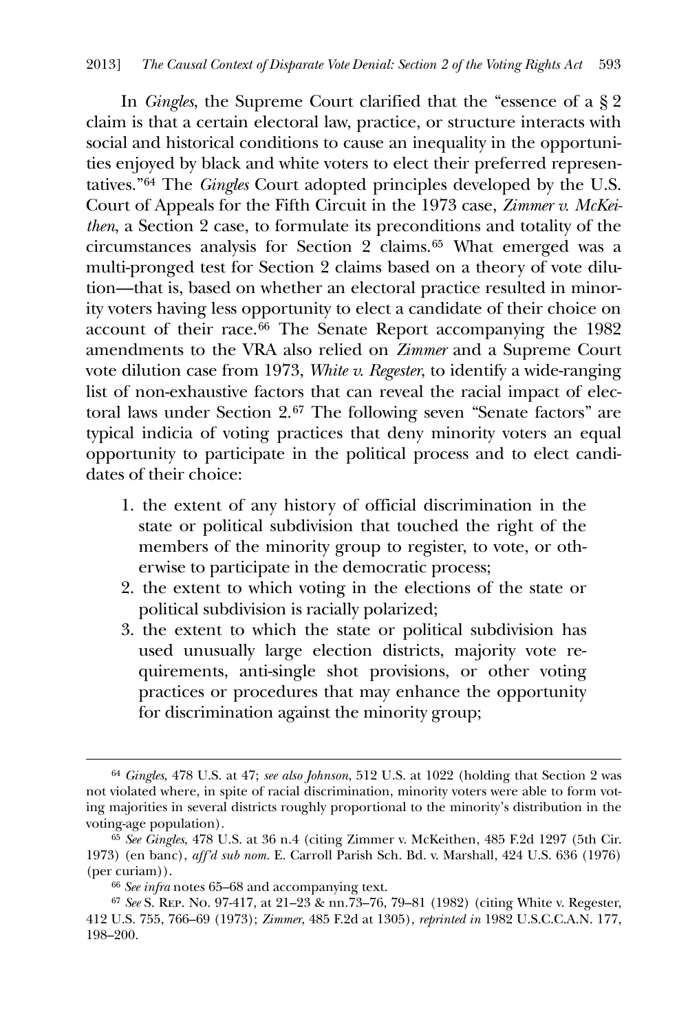In *Gingles*, the Supreme Court clarified that the "essence of a § 2 claim is that a certain electoral law, practice, or structure interacts with social and historical conditions to cause an inequality in the opportunities enjoyed by black and white voters to elect their preferred representatives."[64](#page-15-0) The *Gingles* Court adopted principles developed by the U.S. Court of Appeals for the Fifth Circuit in the 1973 case, *Zimmer v. McKeithen*, a Section 2 case, to formulate its preconditions and totality of the circumstances analysis for Section 2 claims.[65](#page-15-1) What emerged was a multi-pronged test for Section 2 claims based on a theory of vote dilution—that is, based on whether an electoral practice resulted in minority voters having less opportunity to elect a candidate of their choice on account of their race.[66](#page-15-2) The Senate Report accompanying the 1982 amendments to the VRA also relied on *Zimmer* and a Supreme Court vote dilution case from 1973, *White v. Regester*, to identify a wide-ranging list of non-exhaustive factors that can reveal the racial impact of elec-toral laws under Section 2.<sup>[67](#page-15-3)</sup> The following seven "Senate factors" are typical indicia of voting practices that deny minority voters an equal opportunity to participate in the political process and to elect candidates of their choice:

- 1. the extent of any history of official discrimination in the state or political subdivision that touched the right of the members of the minority group to register, to vote, or otherwise to participate in the democratic process;
- 2. the extent to which voting in the elections of the state or political subdivision is racially polarized;
- 3. the extent to which the state or political subdivision has used unusually large election districts, majority vote requirements, anti-single shot provisions, or other voting practices or procedures that may enhance the opportunity for discrimination against the minority group;

<span id="page-15-0"></span><sup>64</sup> *Gingles*, 478 U.S. at 47; *see also Johnson*, 512 U.S. at 1022 (holding that Section 2 was not violated where, in spite of racial discrimination, minority voters were able to form voting majorities in several districts roughly proportional to the minority's distribution in the voting-age population).

<span id="page-15-1"></span><sup>65</sup> *See Gingles*, 478 U.S. at 36 n.4 (citing Zimmer v. McKeithen, 485 F.2d 1297 (5th Cir. 1973) (en banc), *aff'd sub nom.* E. Carroll Parish Sch. Bd. v. Marshall, 424 U.S. 636 (1976) (per curiam)).

<sup>66</sup> *See infra* notes 65–68 and accompanying text.

<span id="page-15-3"></span><span id="page-15-2"></span><sup>67</sup> *See* S. Rep. No. 97-417, at 21–23 & nn.73–76, 79–81 (1982) (citing White v. Regester, 412 U.S. 755, 766–69 (1973); *Zimmer*, 485 F.2d at 1305), *reprinted in* 1982 U.S.C.C.A.N. 177, 198–200.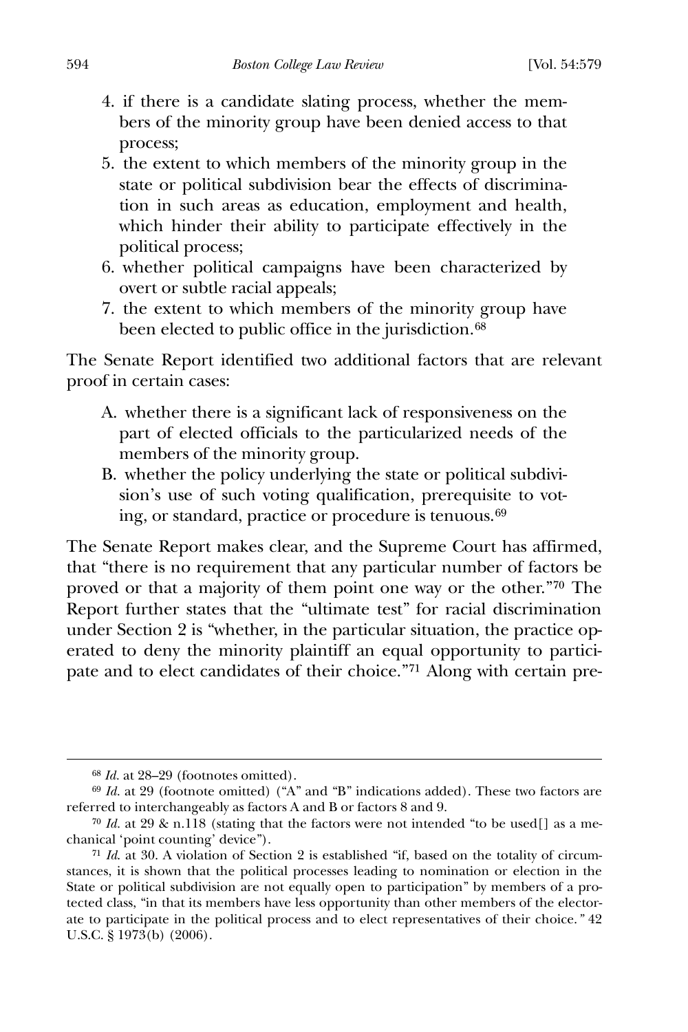- 4. if there is a candidate slating process, whether the members of the minority group have been denied access to that process;
- 5. the extent to which members of the minority group in the state or political subdivision bear the effects of discrimination in such areas as education, employment and health, which hinder their ability to participate effectively in the political process;
- 6. whether political campaigns have been characterized by overt or subtle racial appeals;
- 7. the extent to which members of the minority group have been elected to public office in the jurisdiction.<sup>[68](#page-16-0)</sup>

The Senate Report identified two additional factors that are relevant proof in certain cases:

- A. whether there is a significant lack of responsiveness on the part of elected officials to the particularized needs of the members of the minority group.
- B. whether the policy underlying the state or political subdivision's use of such voting qualification, prerequisite to voting, or standard, practice or procedure is tenuous.[69](#page-16-1)

The Senate Report makes clear, and the Supreme Court has affirmed, that "there is no requirement that any particular number of factors be proved or that a majority of them point one way or the other."[70](#page-16-2) The Report further states that the "ultimate test" for racial discrimination under Section 2 is "whether, in the particular situation, the practice operated to deny the minority plaintiff an equal opportunity to participate and to elect candidates of their choice."[71](#page-16-3) Along with certain pre-

<sup>68</sup> *Id.* at 28–29 (footnotes omitted).

<span id="page-16-1"></span><span id="page-16-0"></span><sup>69</sup> *Id.* at 29 (footnote omitted) ("A" and "B" indications added). These two factors are referred to interchangeably as factors A and B or factors 8 and 9.

<span id="page-16-2"></span><sup>70</sup> *Id.* at 29 & n.118 (stating that the factors were not intended "to be used[] as a mechanical 'point counting' device").

<span id="page-16-3"></span><sup>71</sup> *Id*. at 30. A violation of Section 2 is established "if, based on the totality of circumstances, it is shown that the political processes leading to nomination or election in the State or political subdivision are not equally open to participation" by members of a protected class, "in that its members have less opportunity than other members of the electorate to participate in the political process and to elect representatives of their choice.*"* 42 U.S.C. § 1973(b) (2006).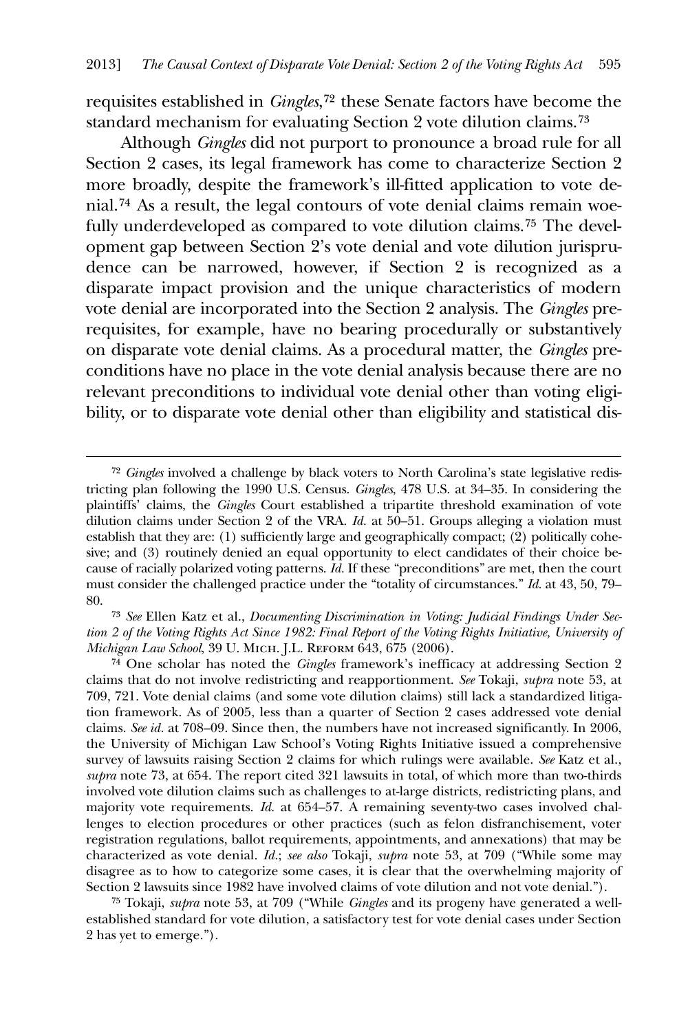requisites established in *Gingles*,[72](#page-17-0) these Senate factors have become the standard mechanism for evaluating Section 2 vote dilution claims.[73](#page-17-1)

 Although *Gingles* did not purport to pronounce a broad rule for all Section 2 cases, its legal framework has come to characterize Section 2 more broadly, despite the framework's ill-fitted application to vote denial.[74](#page-17-2) As a result, the legal contours of vote denial claims remain woefully underdeveloped as compared to vote dilution claims.[75](#page-17-3) The development gap between Section 2's vote denial and vote dilution jurisprudence can be narrowed, however, if Section 2 is recognized as a disparate impact provision and the unique characteristics of modern vote denial are incorporated into the Section 2 analysis. The *Gingles* prerequisites, for example, have no bearing procedurally or substantively on disparate vote denial claims. As a procedural matter, the *Gingles* preconditions have no place in the vote denial analysis because there are no relevant preconditions to individual vote denial other than voting eligibility, or to disparate vote denial other than eligibility and statistical dis-

<u>.</u>

<span id="page-17-3"></span>75 Tokaji, *supra* note 53, at 709 ("While *Gingles* and its progeny have generated a wellestablished standard for vote dilution, a satisfactory test for vote denial cases under Section 2 has yet to emerge.").

<span id="page-17-0"></span><sup>72</sup> *Gingles* involved a challenge by black voters to North Carolina's state legislative redistricting plan following the 1990 U.S. Census. *Gingles*, 478 U.S. at 34–35. In considering the plaintiffs' claims, the *Gingles* Court established a tripartite threshold examination of vote dilution claims under Section 2 of the VRA. *Id.* at 50–51. Groups alleging a violation must establish that they are: (1) sufficiently large and geographically compact; (2) politically cohesive; and (3) routinely denied an equal opportunity to elect candidates of their choice because of racially polarized voting patterns. *Id.* If these "preconditions" are met, then the court must consider the challenged practice under the "totality of circumstances." *Id.* at 43, 50, 79– 80.

<span id="page-17-1"></span><sup>73</sup> *See* Ellen Katz et al., *Documenting Discrimination in Voting: Judicial Findings Under Section 2 of the Voting Rights Act Since 1982: Final Report of the Voting Rights Initiative, University of Michigan Law School*, 39 U. Mich. J.L. Reform 643, 675 (2006).

<span id="page-17-2"></span><sup>74</sup> One scholar has noted the *Gingles* framework's inefficacy at addressing Section 2 claims that do not involve redistricting and reapportionment. *See* Tokaji, *supra* note 53, at 709, 721. Vote denial claims (and some vote dilution claims) still lack a standardized litigation framework. As of 2005, less than a quarter of Section 2 cases addressed vote denial claims. *See id.* at 708–09. Since then, the numbers have not increased significantly. In 2006, the University of Michigan Law School's Voting Rights Initiative issued a comprehensive survey of lawsuits raising Section 2 claims for which rulings were available. *See* Katz et al., *supra* note 73, at 654. The report cited 321 lawsuits in total, of which more than two-thirds involved vote dilution claims such as challenges to at-large districts, redistricting plans, and majority vote requirements. *Id*. at 654–57. A remaining seventy-two cases involved challenges to election procedures or other practices (such as felon disfranchisement, voter registration regulations, ballot requirements, appointments, and annexations) that may be characterized as vote denial. *Id.*; *see also* Tokaji, *supra* note 53, at 709 ("While some may disagree as to how to categorize some cases, it is clear that the overwhelming majority of Section 2 lawsuits since 1982 have involved claims of vote dilution and not vote denial.").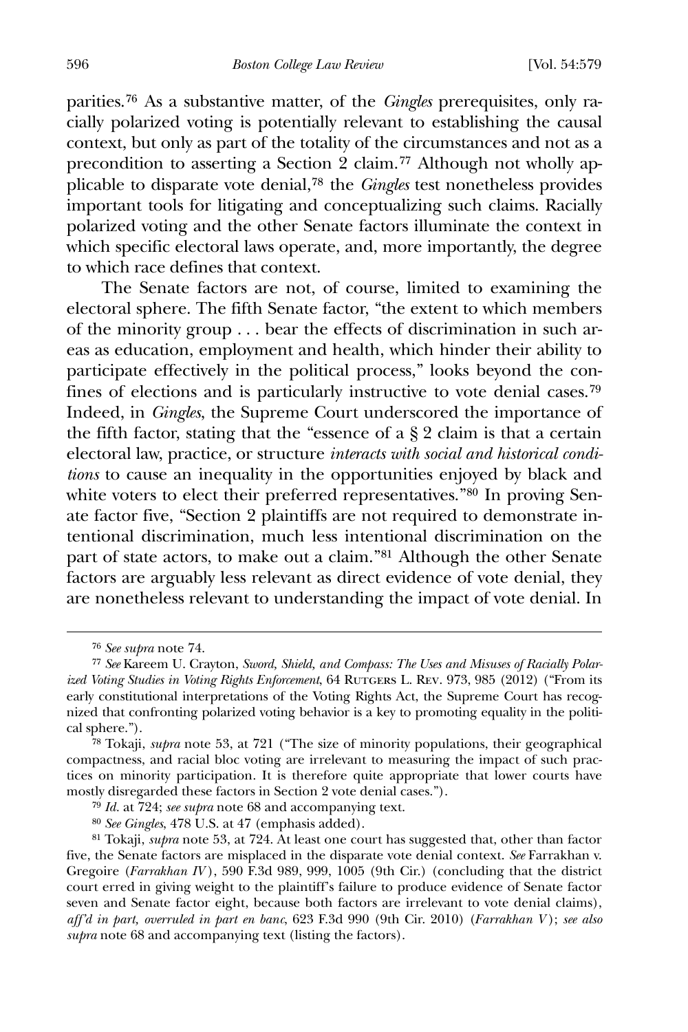parities.[76](#page-18-0) As a substantive matter, of the *Gingles* prerequisites, only racially polarized voting is potentially relevant to establishing the causal context, but only as part of the totality of the circumstances and not as a precondition to asserting a Section 2 claim.[77](#page-18-1) Although not wholly applicable to disparate vote denial,[78](#page-18-2) the *Gingles* test nonetheless provides important tools for litigating and conceptualizing such claims. Racially polarized voting and the other Senate factors illuminate the context in which specific electoral laws operate, and, more importantly, the degree to which race defines that context.

 The Senate factors are not, of course, limited to examining the electoral sphere. The fifth Senate factor, "the extent to which members of the minority group . . . bear the effects of discrimination in such areas as education, employment and health, which hinder their ability to participate effectively in the political process," looks beyond the confines of elections and is particularly instructive to vote denial cases.[79](#page-18-3) Indeed, in *Gingles*, the Supreme Court underscored the importance of the fifth factor, stating that the "essence of a  $\S 2$  claim is that a certain electoral law, practice, or structure *interacts with social and historical conditions* to cause an inequality in the opportunities enjoyed by black and white voters to elect their preferred representatives."<sup>[80](#page-18-4)</sup> In proving Senate factor five, "Section 2 plaintiffs are not required to demonstrate intentional discrimination, much less intentional discrimination on the part of state actors, to make out a claim."[81](#page-18-5) Although the other Senate factors are arguably less relevant as direct evidence of vote denial, they are nonetheless relevant to understanding the impact of vote denial. In

<sup>76</sup> *See supra* note 74.

<span id="page-18-1"></span><span id="page-18-0"></span><sup>77</sup> *See* Kareem U. Crayton, *Sword, Shield, and Compass: The Uses and Misuses of Racially Polarized Voting Studies in Voting Rights Enforcement*, 64 RUTGERS L. REV. 973, 985 (2012) ("From its early constitutional interpretations of the Voting Rights Act, the Supreme Court has recognized that confronting polarized voting behavior is a key to promoting equality in the political sphere.").

<span id="page-18-2"></span><sup>78</sup> Tokaji, *supra* note 53, at 721 ("The size of minority populations, their geographical compactness, and racial bloc voting are irrelevant to measuring the impact of such practices on minority participation. It is therefore quite appropriate that lower courts have mostly disregarded these factors in Section 2 vote denial cases.").

<sup>79</sup> *Id.* at 724; *see supra* note 68 and accompanying text.

<sup>80</sup> *See Gingles*, 478 U.S. at 47 (emphasis added).

<span id="page-18-5"></span><span id="page-18-4"></span><span id="page-18-3"></span><sup>81</sup> Tokaji, *supra* note 53, at 724. At least one court has suggested that, other than factor five, the Senate factors are misplaced in the disparate vote denial context. *See* Farrakhan v. Gregoire (*Farrakhan IV* ), 590 F.3d 989, 999, 1005 (9th Cir.) (concluding that the district court erred in giving weight to the plaintiff's failure to produce evidence of Senate factor seven and Senate factor eight, because both factors are irrelevant to vote denial claims), *aff'd in part, overruled in part en banc*, 623 F.3d 990 (9th Cir. 2010) (*Farrakhan V* ); *see also supra* note 68 and accompanying text (listing the factors).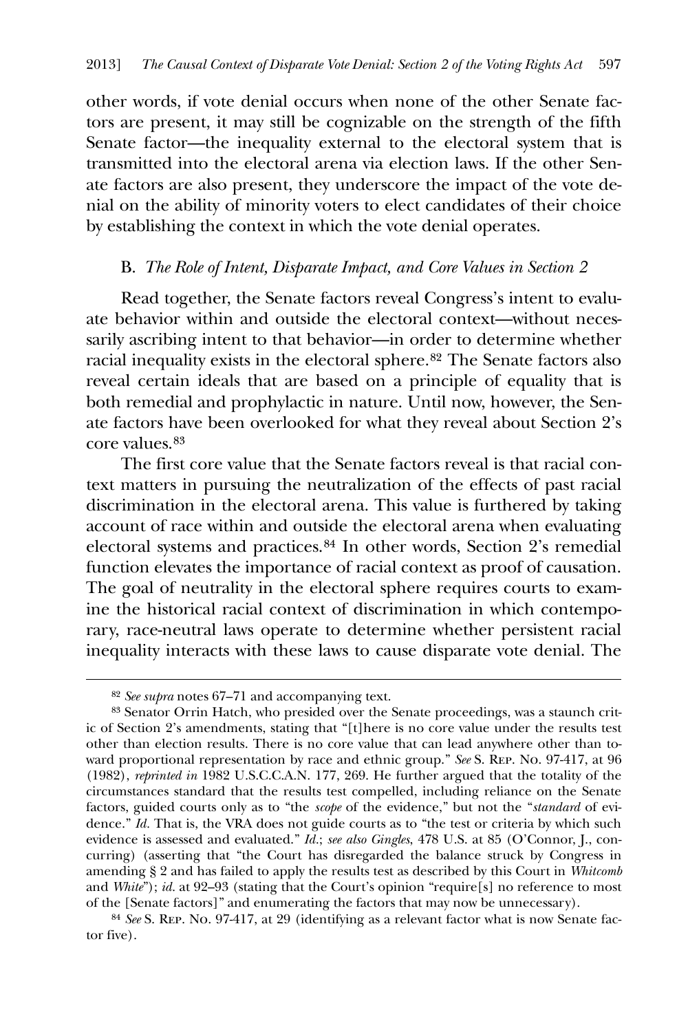other words, if vote denial occurs when none of the other Senate factors are present, it may still be cognizable on the strength of the fifth Senate factor—the inequality external to the electoral system that is transmitted into the electoral arena via election laws. If the other Senate factors are also present, they underscore the impact of the vote denial on the ability of minority voters to elect candidates of their choice by establishing the context in which the vote denial operates.

#### B. *The Role of Intent, Disparate Impact, and Core Values in Section 2*

 Read together, the Senate factors reveal Congress's intent to evaluate behavior within and outside the electoral context—without necessarily ascribing intent to that behavior—in order to determine whether racial inequality exists in the electoral sphere.[82](#page-19-0) The Senate factors also reveal certain ideals that are based on a principle of equality that is both remedial and prophylactic in nature. Until now, however, the Senate factors have been overlooked for what they reveal about Section 2's core values.[83](#page-19-1)

 The first core value that the Senate factors reveal is that racial context matters in pursuing the neutralization of the effects of past racial discrimination in the electoral arena. This value is furthered by taking account of race within and outside the electoral arena when evaluating electoral systems and practices.[84](#page-19-2) In other words, Section 2's remedial function elevates the importance of racial context as proof of causation. The goal of neutrality in the electoral sphere requires courts to examine the historical racial context of discrimination in which contemporary, race-neutral laws operate to determine whether persistent racial inequality interacts with these laws to cause disparate vote denial. The

<sup>82</sup> *See supra* notes 67–71 and accompanying text.

<span id="page-19-1"></span><span id="page-19-0"></span><sup>83</sup> Senator Orrin Hatch, who presided over the Senate proceedings, was a staunch critic of Section 2's amendments, stating that "[t]here is no core value under the results test other than election results. There is no core value that can lead anywhere other than toward proportional representation by race and ethnic group." *See* S. Rep. No. 97-417, at 96 (1982), *reprinted in* 1982 U.S.C.C.A.N. 177, 269. He further argued that the totality of the circumstances standard that the results test compelled, including reliance on the Senate factors, guided courts only as to "the *scope* of the evidence," but not the "*standard* of evidence." *Id.* That is, the VRA does not guide courts as to "the test or criteria by which such evidence is assessed and evaluated." *Id.*; *see also Gingles*, 478 U.S. at 85 (O'Connor, J., concurring) (asserting that "the Court has disregarded the balance struck by Congress in amending § 2 and has failed to apply the results test as described by this Court in *Whitcomb* and *White*"); *id.* at 92–93 (stating that the Court's opinion "require[s] no reference to most of the [Senate factors]" and enumerating the factors that may now be unnecessary).

<span id="page-19-2"></span><sup>84</sup> *See* S. Rep. No. 97-417, at 29 (identifying as a relevant factor what is now Senate factor five).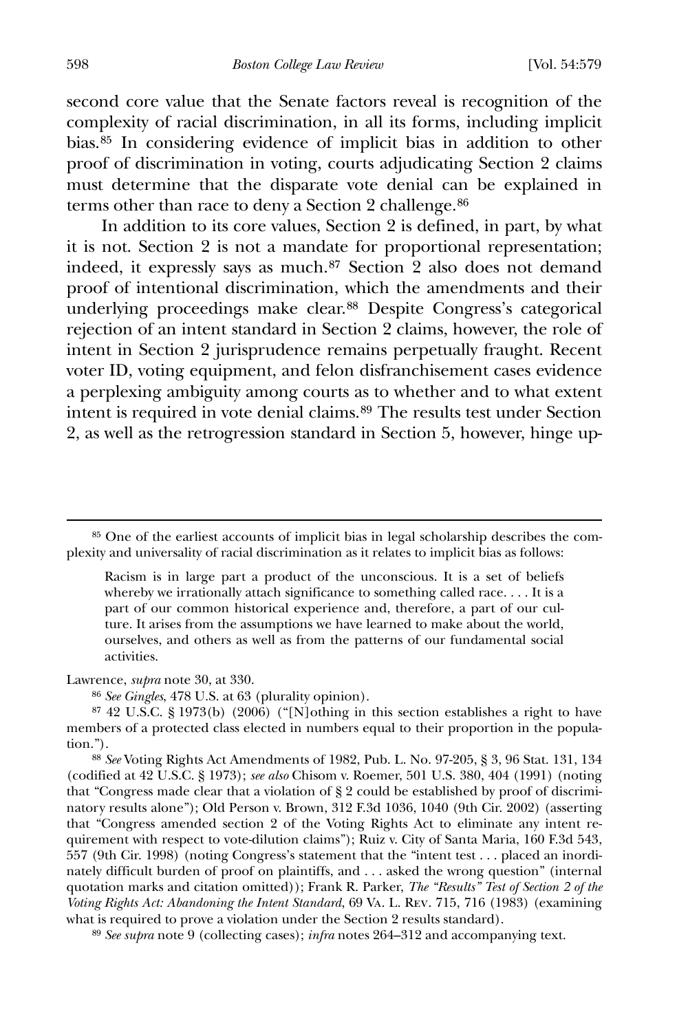second core value that the Senate factors reveal is recognition of the complexity of racial discrimination, in all its forms, including implicit bias.[85](#page-20-0) In considering evidence of implicit bias in addition to other proof of discrimination in voting, courts adjudicating Section 2 claims must determine that the disparate vote denial can be explained in terms other than race to deny a Section 2 challenge.<sup>[86](#page-20-1)</sup>

 In addition to its core values, Section 2 is defined, in part, by what it is not. Section 2 is not a mandate for proportional representation; indeed, it expressly says as much.[87](#page-20-2) Section 2 also does not demand proof of intentional discrimination, which the amendments and their underlying proceedings make clear.[88](#page-20-3) Despite Congress's categorical rejection of an intent standard in Section 2 claims, however, the role of intent in Section 2 jurisprudence remains perpetually fraught. Recent voter ID, voting equipment, and felon disfranchisement cases evidence a perplexing ambiguity among courts as to whether and to what extent intent is required in vote denial claims.[89](#page-20-4) The results test under Section 2, as well as the retrogression standard in Section 5, however, hinge up-

Racism is in large part a product of the unconscious. It is a set of beliefs whereby we irrationally attach significance to something called race. . . . It is a part of our common historical experience and, therefore, a part of our culture. It arises from the assumptions we have learned to make about the world, ourselves, and others as well as from the patterns of our fundamental social activities.

<span id="page-20-1"></span>Lawrence, *supra* note 30, at 330.

86 *See Gingles*, 478 U.S. at 63 (plurality opinion).

<span id="page-20-2"></span>87 42 U.S.C. § 1973(b) (2006) ("[N]othing in this section establishes a right to have members of a protected class elected in numbers equal to their proportion in the population.").

<span id="page-20-3"></span>88 *See* Voting Rights Act Amendments of 1982, Pub. L. No. 97-205, § 3, 96 Stat. 131, 134 (codified at 42 U.S.C. § 1973); *see also* Chisom v. Roemer, 501 U.S. 380, 404 (1991) (noting that "Congress made clear that a violation of § 2 could be established by proof of discriminatory results alone"); Old Person v. Brown, 312 F.3d 1036, 1040 (9th Cir. 2002) (asserting that "Congress amended section 2 of the Voting Rights Act to eliminate any intent requirement with respect to vote-dilution claims"); Ruiz v. City of Santa Maria, 160 F.3d 543, 557 (9th Cir. 1998) (noting Congress's statement that the "intent test . . . placed an inordinately difficult burden of proof on plaintiffs, and . . . asked the wrong question" (internal quotation marks and citation omitted)); Frank R. Parker, *The "Results" Test of Section 2 of the Voting Rights Act: Abandoning the Intent Standard*, 69 Va. L. Rev. 715, 716 (1983) (examining what is required to prove a violation under the Section 2 results standard).

<span id="page-20-4"></span>89 *See supra* note 9 (collecting cases); *infra* notes 264–312 and accompanying text.

<span id="page-20-0"></span><sup>85</sup> One of the earliest accounts of implicit bias in legal scholarship describes the complexity and universality of racial discrimination as it relates to implicit bias as follows: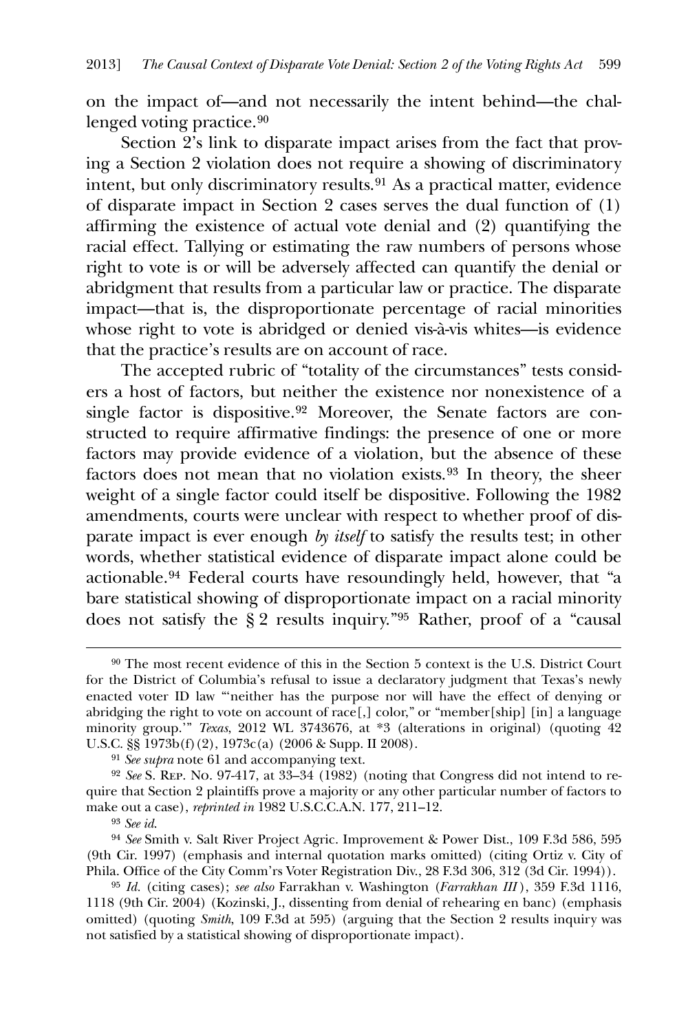on the impact of—and not necessarily the intent behind—the chal-lenged voting practice.<sup>[90](#page-21-0)</sup>

 Section 2's link to disparate impact arises from the fact that proving a Section 2 violation does not require a showing of discriminatory intent, but only discriminatory results.[91](#page-21-1) As a practical matter, evidence of disparate impact in Section 2 cases serves the dual function of (1) affirming the existence of actual vote denial and (2) quantifying the racial effect. Tallying or estimating the raw numbers of persons whose right to vote is or will be adversely affected can quantify the denial or abridgment that results from a particular law or practice. The disparate impact—that is, the disproportionate percentage of racial minorities whose right to vote is abridged or denied vis-à-vis whites—is evidence that the practice's results are on account of race.

 The accepted rubric of "totality of the circumstances" tests considers a host of factors, but neither the existence nor nonexistence of a single factor is dispositive.<sup>[92](#page-21-2)</sup> Moreover, the Senate factors are constructed to require affirmative findings: the presence of one or more factors may provide evidence of a violation, but the absence of these factors does not mean that no violation exists.[93](#page-21-3) In theory, the sheer weight of a single factor could itself be dispositive. Following the 1982 amendments, courts were unclear with respect to whether proof of disparate impact is ever enough *by itself* to satisfy the results test; in other words, whether statistical evidence of disparate impact alone could be actionable.[94](#page-21-4) Federal courts have resoundingly held, however, that "a bare statistical showing of disproportionate impact on a racial minority does not satisfy the § 2 results inquiry."[95](#page-21-5) Rather, proof of a "causal

<u>.</u>

<span id="page-21-0"></span><sup>90</sup> The most recent evidence of this in the Section 5 context is the U.S. District Court for the District of Columbia's refusal to issue a declaratory judgment that Texas's newly enacted voter ID law "'neither has the purpose nor will have the effect of denying or abridging the right to vote on account of race[,] color," or "member[ship] [in] a language minority group.'" *Texas*, 2012 WL 3743676, at \*3 (alterations in original) (quoting 42 U.S.C. §§ 1973b(f)(2), 1973c(a) (2006 & Supp. II 2008).

<sup>91</sup> *See supra* note 61 and accompanying text.

<span id="page-21-2"></span><span id="page-21-1"></span><sup>92</sup> *See* S. Rep. No. 97-417, at 33–34 (1982) (noting that Congress did not intend to require that Section 2 plaintiffs prove a majority or any other particular number of factors to make out a case), *reprinted in* 1982 U.S.C.C.A.N. 177, 211–12.

<sup>93</sup> *See id*.

<span id="page-21-4"></span><span id="page-21-3"></span><sup>94</sup> *See* Smith v. Salt River Project Agric. Improvement & Power Dist., 109 F.3d 586, 595 (9th Cir. 1997) (emphasis and internal quotation marks omitted) (citing Ortiz v. City of Phila. Office of the City Comm'rs Voter Registration Div., 28 F.3d 306, 312 (3d Cir. 1994)).

<span id="page-21-5"></span><sup>95</sup> *Id.* (citing cases); *see also* Farrakhan v. Washington (*Farrakhan III* ), 359 F.3d 1116, 1118 (9th Cir. 2004) (Kozinski, J., dissenting from denial of rehearing en banc) (emphasis omitted) (quoting *Smith*, 109 F.3d at 595) (arguing that the Section 2 results inquiry was not satisfied by a statistical showing of disproportionate impact).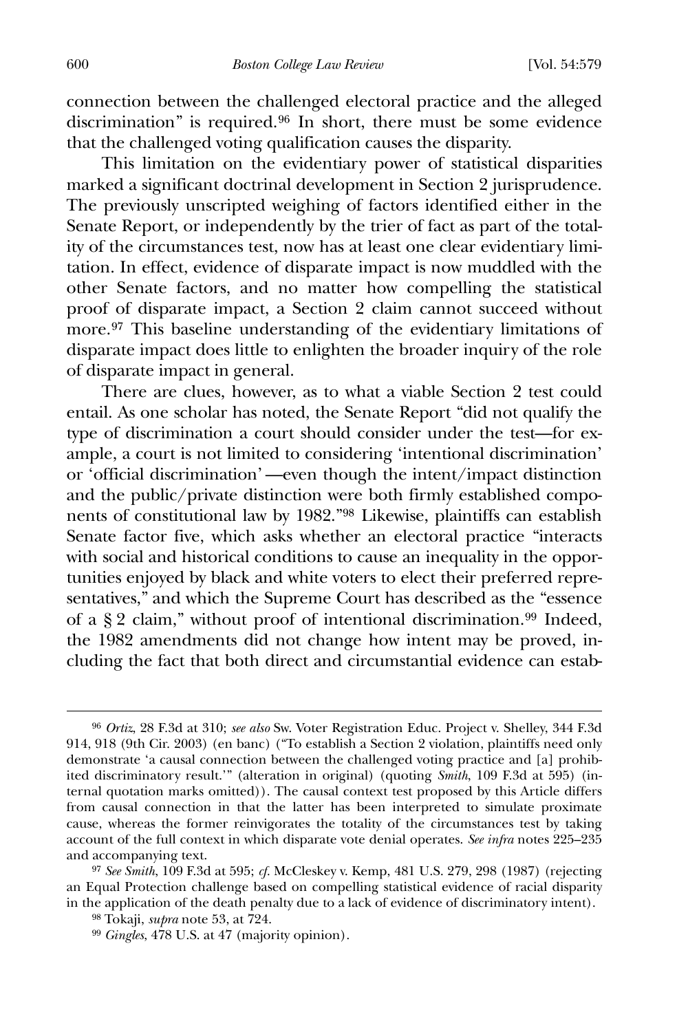connection between the challenged electoral practice and the alleged discrimination" is required.[96](#page-22-0) In short, there must be some evidence that the challenged voting qualification causes the disparity.

 This limitation on the evidentiary power of statistical disparities marked a significant doctrinal development in Section 2 jurisprudence. The previously unscripted weighing of factors identified either in the Senate Report, or independently by the trier of fact as part of the totality of the circumstances test, now has at least one clear evidentiary limitation. In effect, evidence of disparate impact is now muddled with the other Senate factors, and no matter how compelling the statistical proof of disparate impact, a Section 2 claim cannot succeed without more.[97](#page-22-1) This baseline understanding of the evidentiary limitations of disparate impact does little to enlighten the broader inquiry of the role of disparate impact in general.

 There are clues, however, as to what a viable Section 2 test could entail. As one scholar has noted, the Senate Report "did not qualify the type of discrimination a court should consider under the test—for example, a court is not limited to considering 'intentional discrimination' or 'official discrimination' —even though the intent/impact distinction and the public/private distinction were both firmly established components of constitutional law by 1982."[98](#page-22-2) Likewise, plaintiffs can establish Senate factor five, which asks whether an electoral practice "interacts with social and historical conditions to cause an inequality in the opportunities enjoyed by black and white voters to elect their preferred representatives," and which the Supreme Court has described as the "essence of a § 2 claim," without proof of intentional discrimination.[99](#page-22-3) Indeed, the 1982 amendments did not change how intent may be proved, including the fact that both direct and circumstantial evidence can estab-

<span id="page-22-0"></span><sup>96</sup> *Ortiz*, 28 F.3d at 310; *see also* Sw. Voter Registration Educ. Project v. Shelley, 344 F.3d 914, 918 (9th Cir. 2003) (en banc) ("To establish a Section 2 violation, plaintiffs need only demonstrate 'a causal connection between the challenged voting practice and [a] prohibited discriminatory result.'" (alteration in original) (quoting *Smith*, 109 F.3d at 595) (internal quotation marks omitted)). The causal context test proposed by this Article differs from causal connection in that the latter has been interpreted to simulate proximate cause, whereas the former reinvigorates the totality of the circumstances test by taking account of the full context in which disparate vote denial operates. *See infra* notes 225–235 and accompanying text.

<span id="page-22-2"></span><span id="page-22-1"></span><sup>97</sup> *See Smith*, 109 F.3d at 595; *cf.* McCleskey v. Kemp, 481 U.S. 279, 298 (1987) (rejecting an Equal Protection challenge based on compelling statistical evidence of racial disparity in the application of the death penalty due to a lack of evidence of discriminatory intent).

<sup>98</sup> Tokaji, *supra* note 53, at 724.

<span id="page-22-3"></span><sup>99</sup> *Gingles*, 478 U.S. at 47 (majority opinion).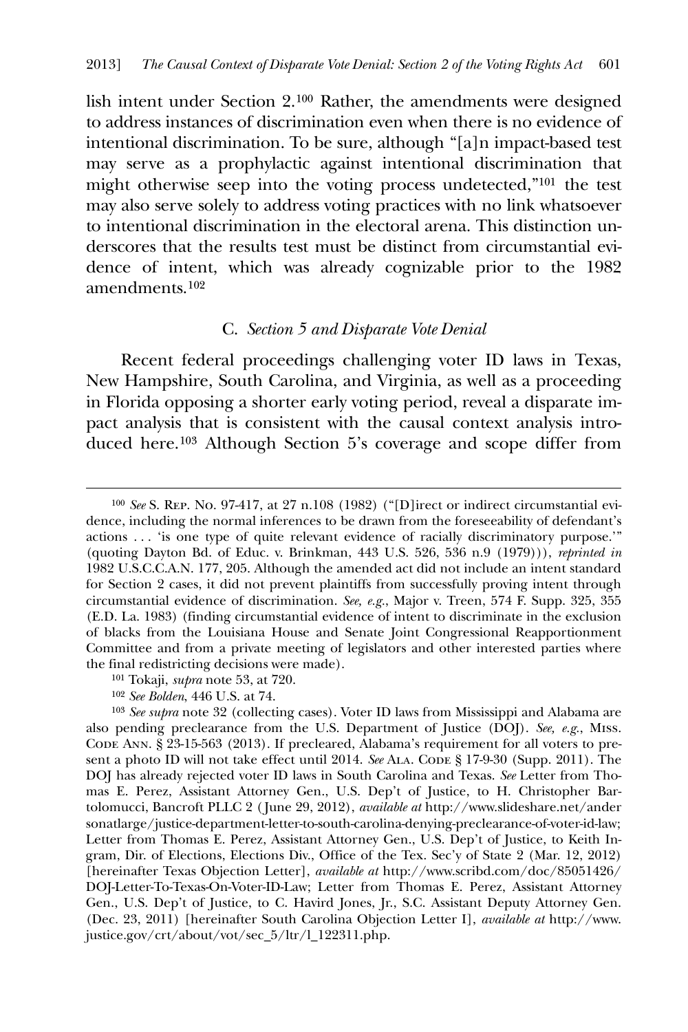lish intent under Section 2.[100](#page-23-0) Rather, the amendments were designed to address instances of discrimination even when there is no evidence of intentional discrimination. To be sure, although "[a]n impact-based test may serve as a prophylactic against intentional discrimination that might otherwise seep into the voting process undetected,"[101](#page-23-1) the test may also serve solely to address voting practices with no link whatsoever to intentional discrimination in the electoral arena. This distinction underscores that the results test must be distinct from circumstantial evidence of intent, which was already cognizable prior to the 1982 amendments.[102](#page-23-2)

## C. *Section 5 and Disparate Vote Denial*

 Recent federal proceedings challenging voter ID laws in Texas, New Hampshire, South Carolina, and Virginia, as well as a proceeding in Florida opposing a shorter early voting period, reveal a disparate impact analysis that is consistent with the causal context analysis introduced here.[103](#page-23-3) Although Section 5's coverage and scope differ from

- 101 Tokaji, *supra* note 53, at 720.
- 102 *See Bolden*, 446 U.S. at 74.

<span id="page-23-0"></span><sup>100</sup> *See* S. Rep. No. 97-417, at 27 n.108 (1982) ("[D]irect or indirect circumstantial evidence, including the normal inferences to be drawn from the foreseeability of defendant's actions . . . 'is one type of quite relevant evidence of racially discriminatory purpose.'" (quoting Dayton Bd. of Educ. v. Brinkman, 443 U.S. 526, 536 n.9 (1979))), *reprinted in* 1982 U.S.C.C.A.N. 177, 205. Although the amended act did not include an intent standard for Section 2 cases, it did not prevent plaintiffs from successfully proving intent through circumstantial evidence of discrimination. *See, e.g.*, Major v. Treen, 574 F. Supp. 325, 355 (E.D. La. 1983) (finding circumstantial evidence of intent to discriminate in the exclusion of blacks from the Louisiana House and Senate Joint Congressional Reapportionment Committee and from a private meeting of legislators and other interested parties where the final redistricting decisions were made).

<span id="page-23-3"></span><span id="page-23-2"></span><span id="page-23-1"></span><sup>103</sup> *See supra* note 32 (collecting cases). Voter ID laws from Mississippi and Alabama are also pending preclearance from the U.S. Department of Justice (DOJ). *See, e.g.*, Miss. Code Ann. § 23-15-563 (2013). If precleared, Alabama's requirement for all voters to present a photo ID will not take effect until 2014. *See* ALA. Code § 17-9-30 (Supp. 2011). The DOJ has already rejected voter ID laws in South Carolina and Texas. *See* Letter from Thomas E. Perez, Assistant Attorney Gen., U.S. Dep't of Justice, to H. Christopher Bartolomucci, Bancroft PLLC 2 ( June 29, 2012), *available at* http://www.slideshare.net/ander sonatlarge/justice-department-letter-to-south-carolina-denying-preclearance-of-voter-id-law; Letter from Thomas E. Perez, Assistant Attorney Gen., U.S. Dep't of Justice, to Keith Ingram, Dir. of Elections, Elections Div., Office of the Tex. Sec'y of State 2 (Mar. 12, 2012) [hereinafter Texas Objection Letter], *available at* http://www.scribd.com/doc/85051426/ DOJ-Letter-To-Texas-On-Voter-ID-Law; Letter from Thomas E. Perez, Assistant Attorney Gen., U.S. Dep't of Justice, to C. Havird Jones, Jr., S.C. Assistant Deputy Attorney Gen. (Dec. 23, 2011) [hereinafter South Carolina Objection Letter I], *available at* http://www. justice.gov/crt/about/vot/sec\_5/ltr/l\_122311.php.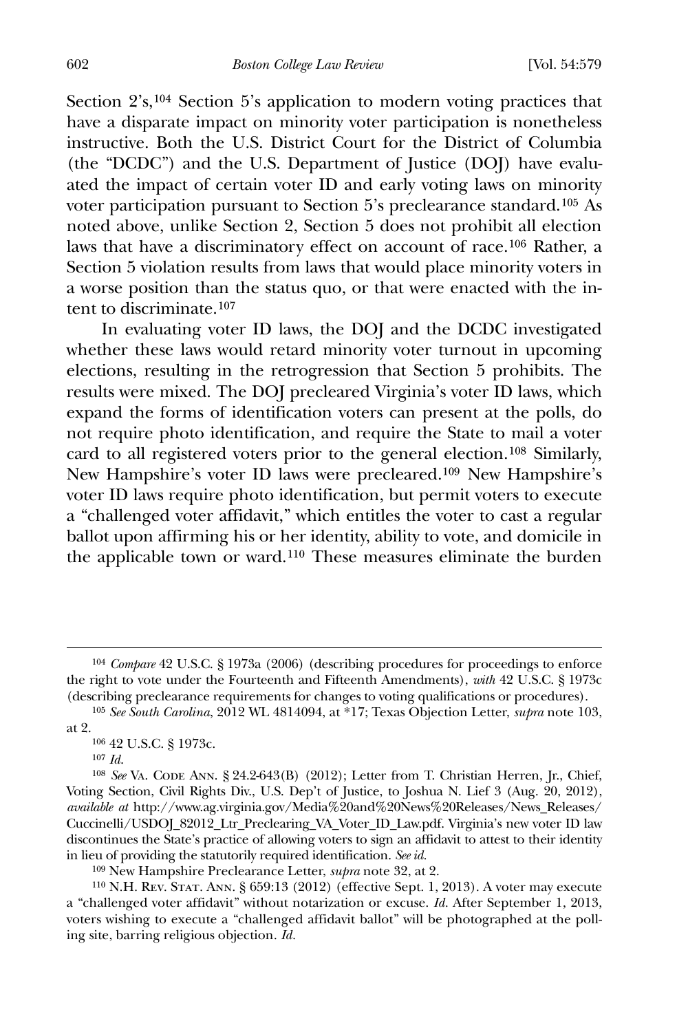602 *Boston College Law Review* [Vol. 54:579

Section  $2's$ ,<sup>[104](#page-24-0)</sup> Section 5's application to modern voting practices that have a disparate impact on minority voter participation is nonetheless instructive. Both the U.S. District Court for the District of Columbia (the "DCDC") and the U.S. Department of Justice (DOJ) have evaluated the impact of certain voter ID and early voting laws on minority voter participation pursuant to Section 5's preclearance standard.[105](#page-24-1) As noted above, unlike Section 2, Section 5 does not prohibit all election laws that have a discriminatory effect on account of race.[106](#page-24-2) Rather, a Section 5 violation results from laws that would place minority voters in a worse position than the status quo, or that were enacted with the intent to discriminate.[107](#page-24-3)

 In evaluating voter ID laws, the DOJ and the DCDC investigated whether these laws would retard minority voter turnout in upcoming elections, resulting in the retrogression that Section 5 prohibits. The results were mixed. The DOJ precleared Virginia's voter ID laws, which expand the forms of identification voters can present at the polls, do not require photo identification, and require the State to mail a voter card to all registered voters prior to the general election.[108](#page-24-4) Similarly, New Hampshire's voter ID laws were precleared.[109](#page-24-5) New Hampshire's voter ID laws require photo identification, but permit voters to execute a "challenged voter affidavit," which entitles the voter to cast a regular ballot upon affirming his or her identity, ability to vote, and domicile in the applicable town or ward.[110](#page-24-6) These measures eliminate the burden

 $\overline{a}$ 

109 New Hampshire Preclearance Letter, *supra* note 32, at 2.

<span id="page-24-6"></span><span id="page-24-5"></span>110 N.H. Rev. Stat. Ann. § 659:13 (2012) (effective Sept. 1, 2013). A voter may execute a "challenged voter affidavit" without notarization or excuse. *Id.* After September 1, 2013, voters wishing to execute a "challenged affidavit ballot" will be photographed at the polling site, barring religious objection. *Id.*

<span id="page-24-0"></span><sup>104</sup> *Compare* 42 U.S.C. § 1973a (2006) (describing procedures for proceedings to enforce the right to vote under the Fourteenth and Fifteenth Amendments), *with* 42 U.S.C. § 1973c (describing preclearance requirements for changes to voting qualifications or procedures).

<span id="page-24-2"></span><span id="page-24-1"></span><sup>105</sup> *See South Carolina*, 2012 WL 4814094, at \*17; Texas Objection Letter, *supra* note 103, at 2.

<sup>106</sup> 42 U.S.C. § 1973c.

<sup>107</sup> *Id*.

<span id="page-24-4"></span><span id="page-24-3"></span><sup>&</sup>lt;sup>108</sup> See VA. CODE ANN. § 24.2-643(B) (2012); Letter from T. Christian Herren, Jr., Chief, Voting Section, Civil Rights Div., U.S. Dep't of Justice, to Joshua N. Lief 3 (Aug. 20, 2012), *available at* http://www.ag.virginia.gov/Media%20and%20News%20Releases/News\_Releases/ Cuccinelli/USDOJ\_82012\_Ltr\_Preclearing\_VA\_Voter\_ID\_Law.pdf. Virginia's new voter ID law discontinues the State's practice of allowing voters to sign an affidavit to attest to their identity in lieu of providing the statutorily required identification. *See id.*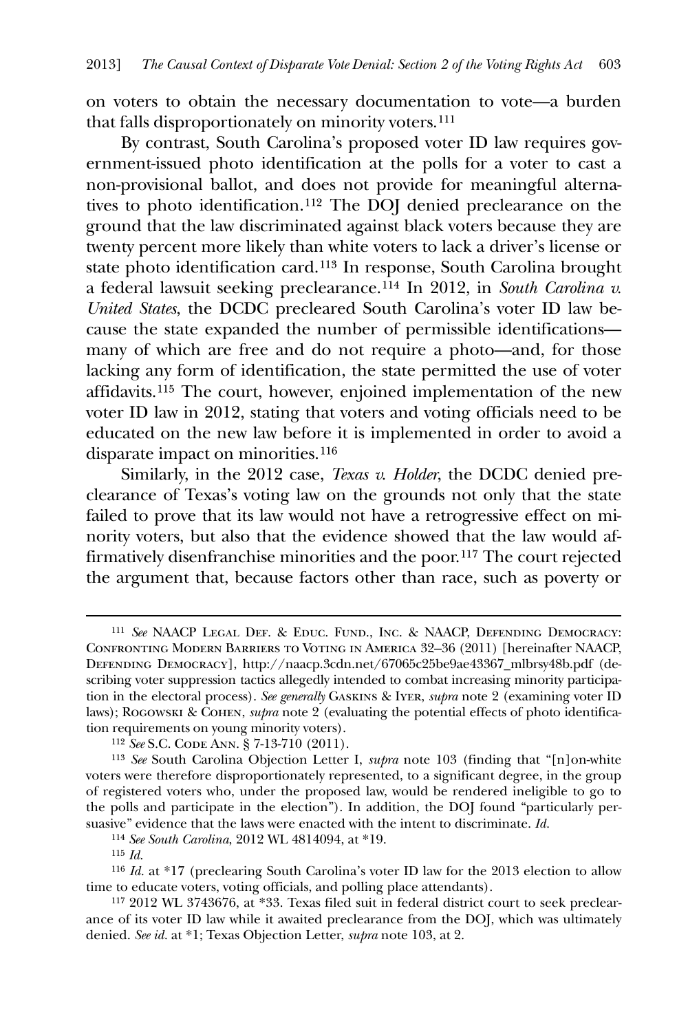on voters to obtain the necessary documentation to vote—a burden that falls disproportionately on minority voters.[111](#page-25-0)

 By contrast, South Carolina's proposed voter ID law requires government-issued photo identification at the polls for a voter to cast a non-provisional ballot, and does not provide for meaningful alternatives to photo identification.[112](#page-25-1) The DOJ denied preclearance on the ground that the law discriminated against black voters because they are twenty percent more likely than white voters to lack a driver's license or state photo identification card.[113](#page-25-2) In response, South Carolina brought a federal lawsuit seeking preclearance.[114](#page-25-3) In 2012, in *South Carolina v. United States*, the DCDC precleared South Carolina's voter ID law because the state expanded the number of permissible identifications many of which are free and do not require a photo—and, for those lacking any form of identification, the state permitted the use of voter affidavits.[115](#page-25-4) The court, however, enjoined implementation of the new voter ID law in 2012, stating that voters and voting officials need to be educated on the new law before it is implemented in order to avoid a disparate impact on minorities.[116](#page-25-5)

 Similarly, in the 2012 case, *Texas v. Holder*, the DCDC denied preclearance of Texas's voting law on the grounds not only that the state failed to prove that its law would not have a retrogressive effect on minority voters, but also that the evidence showed that the law would affirmatively disenfranchise minorities and the poor.[117](#page-25-6) The court rejected the argument that, because factors other than race, such as poverty or

<u>.</u>

<span id="page-25-0"></span><sup>111</sup> *See* NAACP Legal Def. & Educ. Fund., Inc. & NAACP, Defending Democracy: Confronting Modern Barriers to Voting in America 32–36 (2011) [hereinafter NAACP, Defending Democracy], http://naacp.3cdn.net/67065c25be9ae43367\_mlbrsy48b.pdf (describing voter suppression tactics allegedly intended to combat increasing minority participation in the electoral process). *See generally* Gaskins & Iyer, *supra* note 2 (examining voter ID laws); Rogowski & Cohen, *supra* note 2 (evaluating the potential effects of photo identification requirements on young minority voters).

<sup>112</sup> *See* S.C. Code Ann. § 7-13-710 (2011).

<span id="page-25-2"></span><span id="page-25-1"></span><sup>113</sup> *See* South Carolina Objection Letter I, *supra* note 103 (finding that "[n]on-white voters were therefore disproportionately represented, to a significant degree, in the group of registered voters who, under the proposed law, would be rendered ineligible to go to the polls and participate in the election"). In addition, the DOJ found "particularly persuasive" evidence that the laws were enacted with the intent to discriminate. *Id.*

<sup>114</sup> *See South Carolina*, 2012 WL 4814094, at \*19.

<sup>115</sup> *Id*.

<span id="page-25-5"></span><span id="page-25-4"></span><span id="page-25-3"></span><sup>116</sup> *Id.* at \*17 (preclearing South Carolina's voter ID law for the 2013 election to allow time to educate voters, voting officials, and polling place attendants).

<span id="page-25-6"></span><sup>117</sup> 2012 WL 3743676, at \*33. Texas filed suit in federal district court to seek preclearance of its voter ID law while it awaited preclearance from the DOJ, which was ultimately denied. *See id.* at \*1; Texas Objection Letter, *supra* note 103, at 2.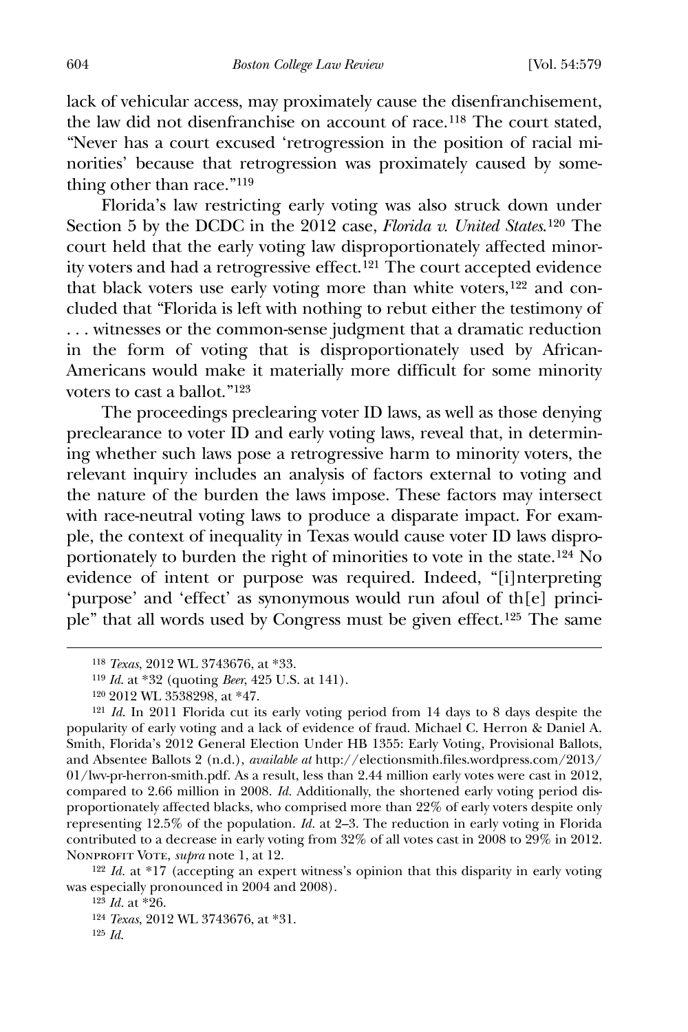lack of vehicular access, may proximately cause the disenfranchisement, the law did not disenfranchise on account of race.[118](#page-26-0) The court stated, "Never has a court excused 'retrogression in the position of racial minorities' because that retrogression was proximately caused by something other than race."[119](#page-26-1)

 Florida's law restricting early voting was also struck down under Section 5 by the DCDC in the 2012 case, *Florida v. United States*.[120](#page-26-2) The court held that the early voting law disproportionately affected minority voters and had a retrogressive effect.[121](#page-26-3) The court accepted evidence that black voters use early voting more than white voters,[122](#page-26-4) and concluded that "Florida is left with nothing to rebut either the testimony of . . . witnesses or the common-sense judgment that a dramatic reduction in the form of voting that is disproportionately used by African-Americans would make it materially more difficult for some minority voters to cast a ballot."[123](#page-26-5)

The proceedings preclearing voter ID laws, as well as those denying preclearance to voter ID and early voting laws, reveal that, in determining whether such laws pose a retrogressive harm to minority voters, the relevant inquiry includes an analysis of factors external to voting and the nature of the burden the laws impose. These factors may intersect with race-neutral voting laws to produce a disparate impact. For example, the context of inequality in Texas would cause voter ID laws disproportionately to burden the right of minorities to vote in the state.[124](#page-26-6) No evidence of intent or purpose was required. Indeed, "[i]nterpreting 'purpose' and 'effect' as synonymous would run afoul of th[e] principle" that all words used by Congress must be given effect.[125](#page-26-7) The same

<span id="page-26-7"></span><span id="page-26-6"></span><span id="page-26-5"></span><span id="page-26-4"></span>122 *Id.* at \*17 (accepting an expert witness's opinion that this disparity in early voting was especially pronounced in 2004 and 2008).

<sup>118</sup> *Texas*, 2012 WL 3743676, at \*33.

<sup>119</sup> *Id*. at \*32 (quoting *Beer*, 425 U.S. at 141).

<sup>120</sup> 2012 WL 3538298, at \*47.

<span id="page-26-3"></span><span id="page-26-2"></span><span id="page-26-1"></span><span id="page-26-0"></span><sup>121</sup> *Id*. In 2011 Florida cut its early voting period from 14 days to 8 days despite the popularity of early voting and a lack of evidence of fraud. Michael C. Herron & Daniel A. Smith, Florida's 2012 General Election Under HB 1355: Early Voting, Provisional Ballots, and Absentee Ballots 2 (n.d.), *available at* http://electionsmith.files.wordpress.com/2013/ 01/lwv-pr-herron-smith.pdf. As a result, less than 2.44 million early votes were cast in 2012, compared to 2.66 million in 2008. *Id.* Additionally, the shortened early voting period disproportionately affected blacks, who comprised more than 22% of early voters despite only representing 12.5% of the population. *Id.* at 2–3. The reduction in early voting in Florida contributed to a decrease in early voting from 32% of all votes cast in 2008 to 29% in 2012. Nonprofit Vote, *supra* note 1, at 12.

<sup>123</sup> *Id.* at \*26.

<sup>124</sup> *Texas*, 2012 WL 3743676, at \*31.

<sup>125</sup> *Id*.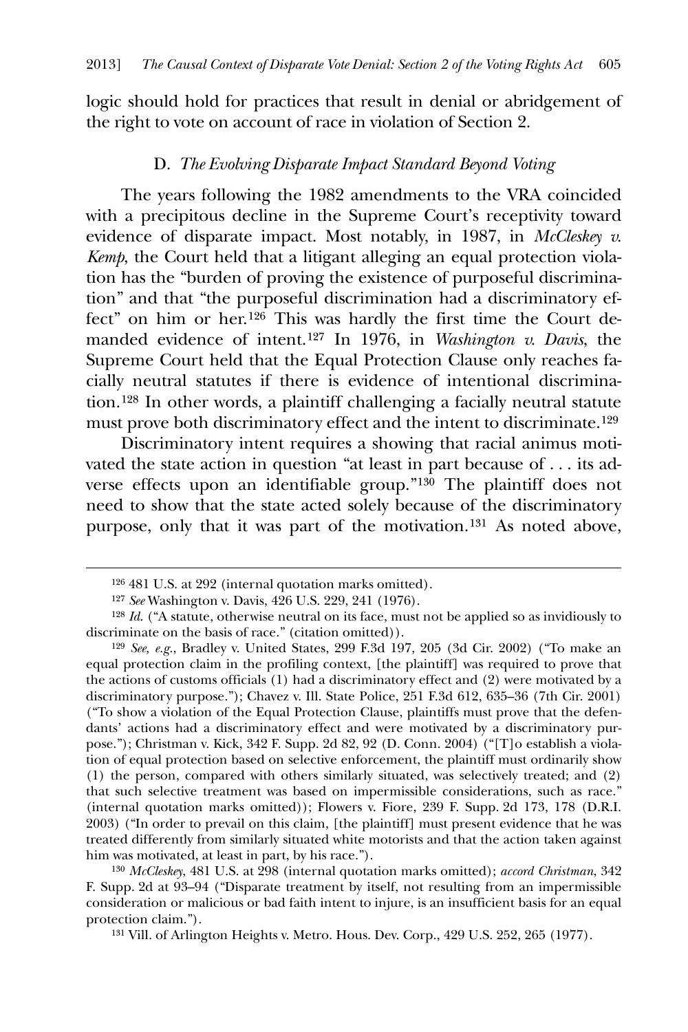logic should hold for practices that result in denial or abridgement of the right to vote on account of race in violation of Section 2.

#### D. *The Evolving Disparate Impact Standard Beyond Voting*

 The years following the 1982 amendments to the VRA coincided with a precipitous decline in the Supreme Court's receptivity toward evidence of disparate impact. Most notably, in 1987, in *McCleskey v. Kemp*, the Court held that a litigant alleging an equal protection violation has the "burden of proving the existence of purposeful discrimination" and that "the purposeful discrimination had a discriminatory effect" on him or her.[126](#page-27-0) This was hardly the first time the Court demanded evidence of intent.[127](#page-27-1) In 1976, in *Washington v. Davis*, the Supreme Court held that the Equal Protection Clause only reaches facially neutral statutes if there is evidence of intentional discrimination.[128](#page-27-2) In other words, a plaintiff challenging a facially neutral statute must prove both discriminatory effect and the intent to discriminate.[129](#page-27-3)

 Discriminatory intent requires a showing that racial animus motivated the state action in question "at least in part because of . . . its adverse effects upon an identifiable group."[130](#page-27-4) The plaintiff does not need to show that the state acted solely because of the discriminatory purpose, only that it was part of the motivation.[131](#page-27-5) As noted above,

<span id="page-27-0"></span> $\overline{a}$ 

<span id="page-27-5"></span><span id="page-27-4"></span>130 *McCleskey*, 481 U.S. at 298 (internal quotation marks omitted); *accord Christman*, 342 F. Supp. 2d at 93–94 ("Disparate treatment by itself, not resulting from an impermissible consideration or malicious or bad faith intent to injure, is an insufficient basis for an equal protection claim.").

131 Vill. of Arlington Heights v. Metro. Hous. Dev. Corp., 429 U.S. 252, 265 (1977).

<sup>126</sup> 481 U.S. at 292 (internal quotation marks omitted).

<sup>127</sup> *See* Washington v. Davis, 426 U.S. 229, 241 (1976).

<span id="page-27-2"></span><span id="page-27-1"></span><sup>128</sup> *Id*. ("A statute, otherwise neutral on its face, must not be applied so as invidiously to discriminate on the basis of race." (citation omitted)).

<span id="page-27-3"></span><sup>129</sup> *See, e.g.*, Bradley v. United States, 299 F.3d 197, 205 (3d Cir. 2002) ("To make an equal protection claim in the profiling context, [the plaintiff] was required to prove that the actions of customs officials (1) had a discriminatory effect and (2) were motivated by a discriminatory purpose."); Chavez v. Ill. State Police, 251 F.3d 612, 635–36 (7th Cir. 2001) ("To show a violation of the Equal Protection Clause, plaintiffs must prove that the defendants' actions had a discriminatory effect and were motivated by a discriminatory purpose."); Christman v. Kick, 342 F. Supp. 2d 82, 92 (D. Conn. 2004) ("[T]o establish a violation of equal protection based on selective enforcement, the plaintiff must ordinarily show (1) the person, compared with others similarly situated, was selectively treated; and (2) that such selective treatment was based on impermissible considerations, such as race." (internal quotation marks omitted)); Flowers v. Fiore, 239 F. Supp. 2d 173, 178 (D.R.I. 2003) ("In order to prevail on this claim, [the plaintiff] must present evidence that he was treated differently from similarly situated white motorists and that the action taken against him was motivated, at least in part, by his race.").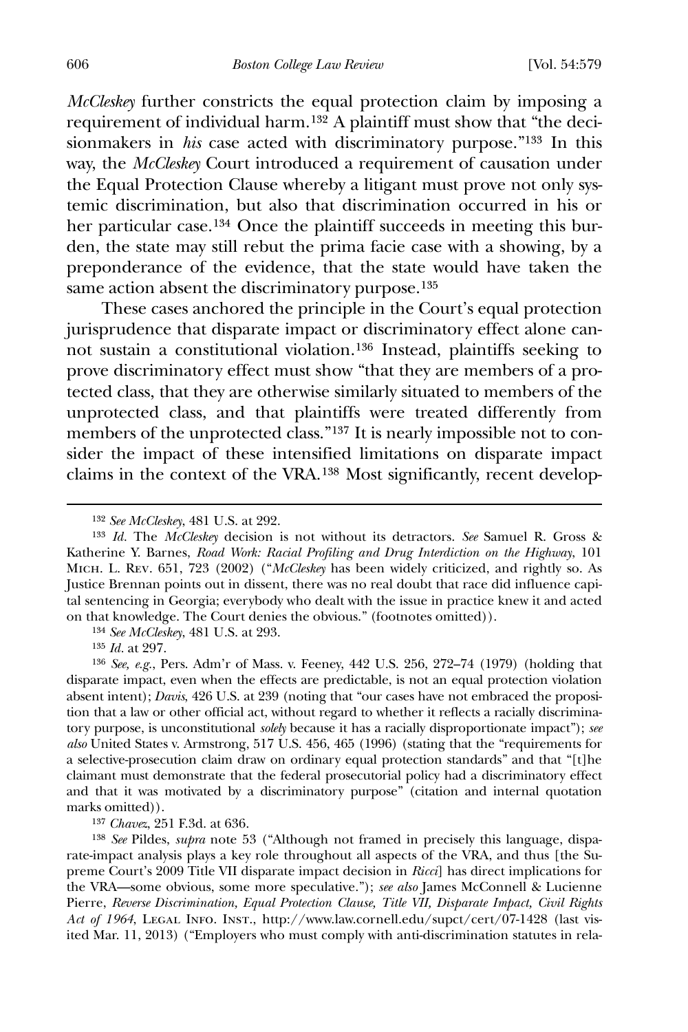*McCleskey* further constricts the equal protection claim by imposing a requirement of individual harm.[132](#page-28-0) A plaintiff must show that "the decisionmakers in *his* case acted with discriminatory purpose."<sup>[133](#page-28-1)</sup> In this way, the *McCleskey* Court introduced a requirement of causation under the Equal Protection Clause whereby a litigant must prove not only systemic discrimination, but also that discrimination occurred in his or her particular case.[134](#page-28-2) Once the plaintiff succeeds in meeting this burden, the state may still rebut the prima facie case with a showing, by a preponderance of the evidence, that the state would have taken the same action absent the discriminatory purpose.<sup>[135](#page-28-3)</sup>

 These cases anchored the principle in the Court's equal protection jurisprudence that disparate impact or discriminatory effect alone cannot sustain a constitutional violation.[136](#page-28-4) Instead, plaintiffs seeking to prove discriminatory effect must show "that they are members of a protected class, that they are otherwise similarly situated to members of the unprotected class, and that plaintiffs were treated differently from members of the unprotected class."[137](#page-28-5) It is nearly impossible not to consider the impact of these intensified limitations on disparate impact claims in the context of the VRA.[138](#page-28-6) Most significantly, recent develop-

134 *See McCleskey*, 481 U.S. at 293.

135 *Id.* at 297.

 $\overline{a}$ 

<span id="page-28-4"></span><span id="page-28-3"></span><span id="page-28-2"></span>136 *See, e.g.*, Pers. Adm'r of Mass. v. Feeney, 442 U.S. 256, 272–74 (1979) (holding that disparate impact, even when the effects are predictable, is not an equal protection violation absent intent); *Davis*, 426 U.S. at 239 (noting that "our cases have not embraced the proposition that a law or other official act, without regard to whether it reflects a racially discriminatory purpose, is unconstitutional *solely* because it has a racially disproportionate impact"); *see also* United States v. Armstrong, 517 U.S. 456, 465 (1996) (stating that the "requirements for a selective-prosecution claim draw on ordinary equal protection standards" and that "[t]he claimant must demonstrate that the federal prosecutorial policy had a discriminatory effect and that it was motivated by a discriminatory purpose" (citation and internal quotation marks omitted)).

137 *Chavez*, 251 F.3d. at 636.

<span id="page-28-6"></span><span id="page-28-5"></span>138 *See* Pildes, *supra* note 53 ("Although not framed in precisely this language, disparate-impact analysis plays a key role throughout all aspects of the VRA, and thus [the Supreme Court's 2009 Title VII disparate impact decision in *Ricci*] has direct implications for the VRA—some obvious, some more speculative."); *see also* James McConnell & Lucienne Pierre, *Reverse Discrimination, Equal Protection Clause, Title VII, Disparate Impact, Civil Rights Act of 1964*, Legal Info. Inst., http://www.law.cornell.edu/supct/cert/07-1428 (last visited Mar. 11, 2013) ("Employers who must comply with anti-discrimination statutes in rela-

<sup>132</sup> *See McCleskey*, 481 U.S. at 292.

<span id="page-28-1"></span><span id="page-28-0"></span><sup>133</sup> *Id.* The *McCleskey* decision is not without its detractors. *See* Samuel R. Gross & Katherine Y. Barnes, *Road Work: Racial Profiling and Drug Interdiction on the Highway*, 101 Mich. L. Rev. 651, 723 (2002) ("*McCleskey* has been widely criticized, and rightly so. As Justice Brennan points out in dissent, there was no real doubt that race did influence capital sentencing in Georgia; everybody who dealt with the issue in practice knew it and acted on that knowledge. The Court denies the obvious." (footnotes omitted)).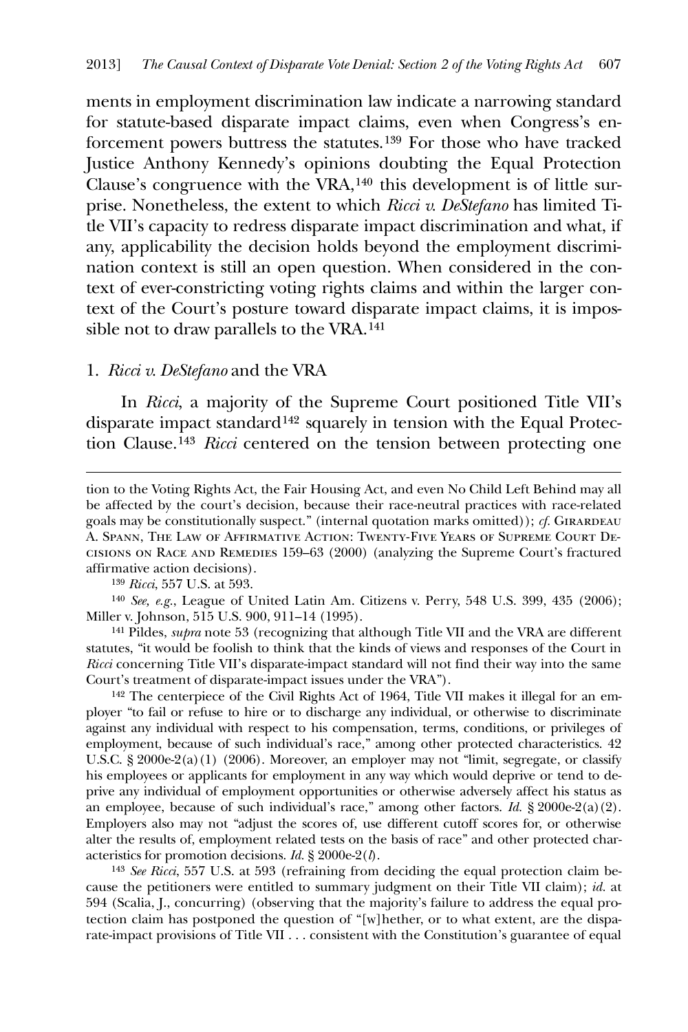ments in employment discrimination law indicate a narrowing standard for statute-based disparate impact claims, even when Congress's enforcement powers buttress the statutes.[139](#page-29-0) For those who have tracked Justice Anthony Kennedy's opinions doubting the Equal Protection Clause's congruence with the VRA,[140](#page-29-1) this development is of little surprise. Nonetheless, the extent to which *Ricci v. DeStefano* has limited Title VII's capacity to redress disparate impact discrimination and what, if any, applicability the decision holds beyond the employment discrimination context is still an open question. When considered in the context of ever-constricting voting rights claims and within the larger context of the Court's posture toward disparate impact claims, it is impos-sible not to draw parallels to the VRA.<sup>[141](#page-29-2)</sup>

#### 1. *Ricci v. DeStefano* and the VRA

 In *Ricci*, a majority of the Supreme Court positioned Title VII's disparate impact standard[142](#page-29-3) squarely in tension with the Equal Protection Clause.[143](#page-29-4) *Ricci* centered on the tension between protecting one

139 *Ricci*, 557 U.S. at 593.

<u>.</u>

<span id="page-29-1"></span><span id="page-29-0"></span>140 *See, e.g.*, League of United Latin Am. Citizens v. Perry, 548 U.S. 399, 435 (2006); Miller v. Johnson, 515 U.S. 900, 911–14 (1995).

<span id="page-29-2"></span>141 Pildes, *supra* note 53 (recognizing that although Title VII and the VRA are different statutes, "it would be foolish to think that the kinds of views and responses of the Court in *Ricci* concerning Title VII's disparate-impact standard will not find their way into the same Court's treatment of disparate-impact issues under the VRA").

<span id="page-29-3"></span>142 The centerpiece of the Civil Rights Act of 1964, Title VII makes it illegal for an employer "to fail or refuse to hire or to discharge any individual, or otherwise to discriminate against any individual with respect to his compensation, terms, conditions, or privileges of employment, because of such individual's race," among other protected characteristics. 42 U.S.C. § 2000e-2(a)(1) (2006). Moreover, an employer may not "limit, segregate, or classify his employees or applicants for employment in any way which would deprive or tend to deprive any individual of employment opportunities or otherwise adversely affect his status as an employee, because of such individual's race," among other factors. *Id.* § 2000e-2(a)(2). Employers also may not "adjust the scores of, use different cutoff scores for, or otherwise alter the results of, employment related tests on the basis of race" and other protected characteristics for promotion decisions. *Id.* § 2000e-2(*l*).

<span id="page-29-4"></span>143 *See Ricci*, 557 U.S. at 593 (refraining from deciding the equal protection claim because the petitioners were entitled to summary judgment on their Title VII claim); *id.* at 594 (Scalia, J., concurring) (observing that the majority's failure to address the equal protection claim has postponed the question of "[w]hether, or to what extent, are the disparate-impact provisions of Title VII . . . consistent with the Constitution's guarantee of equal

tion to the Voting Rights Act, the Fair Housing Act, and even No Child Left Behind may all be affected by the court's decision, because their race-neutral practices with race-related goals may be constitutionally suspect." (internal quotation marks omitted)); *cf.* GIRARDEAU A. Spann, The Law of Affirmative Action: Twenty-Five Years of Supreme Court Decisions on Race and Remedies 159–63 (2000) (analyzing the Supreme Court's fractured affirmative action decisions).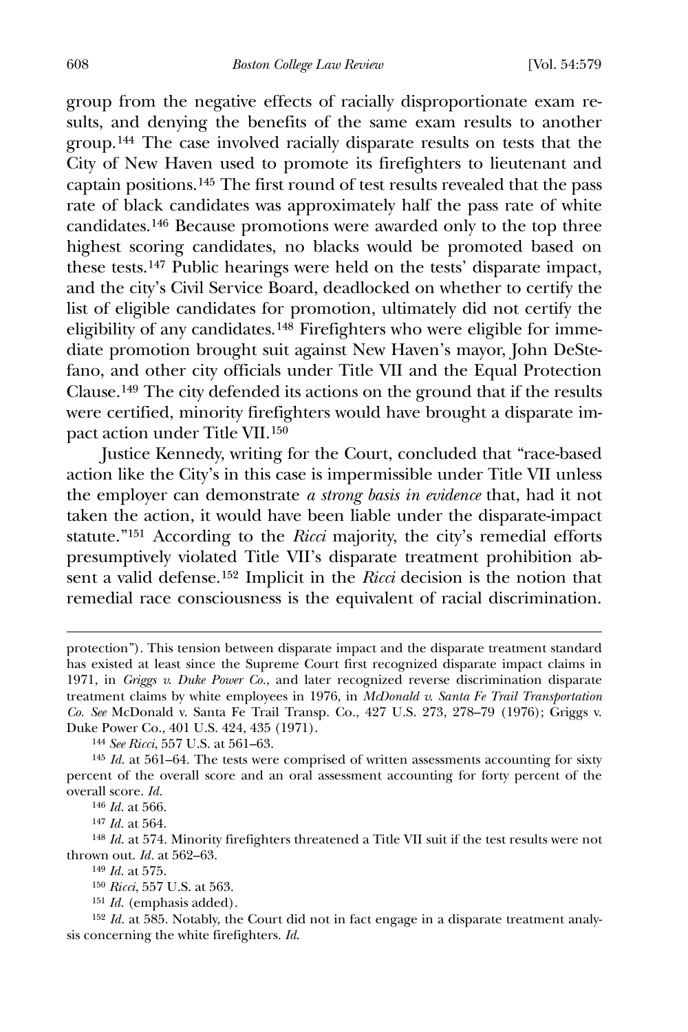group from the negative effects of racially disproportionate exam results, and denying the benefits of the same exam results to another group.[144](#page-30-0) The case involved racially disparate results on tests that the City of New Haven used to promote its firefighters to lieutenant and captain positions.[145](#page-30-1) The first round of test results revealed that the pass rate of black candidates was approximately half the pass rate of white candidates.[146](#page-30-2) Because promotions were awarded only to the top three highest scoring candidates, no blacks would be promoted based on these tests.[147](#page-30-3) Public hearings were held on the tests' disparate impact, and the city's Civil Service Board, deadlocked on whether to certify the list of eligible candidates for promotion, ultimately did not certify the eligibility of any candidates.[148](#page-30-4) Firefighters who were eligible for immediate promotion brought suit against New Haven's mayor, John DeStefano, and other city officials under Title VII and the Equal Protection Clause.[149](#page-30-5) The city defended its actions on the ground that if the results were certified, minority firefighters would have brought a disparate impact action under Title VII.[150](#page-30-6)

 Justice Kennedy, writing for the Court, concluded that "race-based action like the City's in this case is impermissible under Title VII unless the employer can demonstrate *a strong basis in evidence* that, had it not taken the action, it would have been liable under the disparate-impact statute."[151](#page-30-7) According to the *Ricci* majority, the city's remedial efforts presumptively violated Title VII's disparate treatment prohibition absent a valid defense.[152](#page-30-8) Implicit in the *Ricci* decision is the notion that remedial race consciousness is the equivalent of racial discrimination.

 $\overline{a}$ 

147 *Id.* at 564.

<span id="page-30-5"></span><span id="page-30-4"></span><span id="page-30-3"></span><span id="page-30-2"></span>148 *Id.* at 574. Minority firefighters threatened a Title VII suit if the test results were not thrown out. *Id.* at 562–63.

149 *Id.* at 575.

protection"). This tension between disparate impact and the disparate treatment standard has existed at least since the Supreme Court first recognized disparate impact claims in 1971, in *Griggs v. Duke Power Co.*, and later recognized reverse discrimination disparate treatment claims by white employees in 1976, in *McDonald v. Santa Fe Trail Transportation Co. See* McDonald v. Santa Fe Trail Transp. Co., 427 U.S. 273, 278–79 (1976); Griggs v. Duke Power Co., 401 U.S. 424, 435 (1971).

<sup>144</sup> *See Ricci*, 557 U.S. at 561–63.

<span id="page-30-1"></span><span id="page-30-0"></span><sup>145</sup> *Id.* at 561–64. The tests were comprised of written assessments accounting for sixty percent of the overall score and an oral assessment accounting for forty percent of the overall score. *Id.*

<sup>146</sup> *Id.* at 566.

<sup>150</sup> *Ricci*, 557 U.S. at 563.

<sup>151</sup> *Id.* (emphasis added).

<span id="page-30-8"></span><span id="page-30-7"></span><span id="page-30-6"></span><sup>&</sup>lt;sup>152</sup> *Id.* at 585. Notably, the Court did not in fact engage in a disparate treatment analysis concerning the white firefighters. *Id*.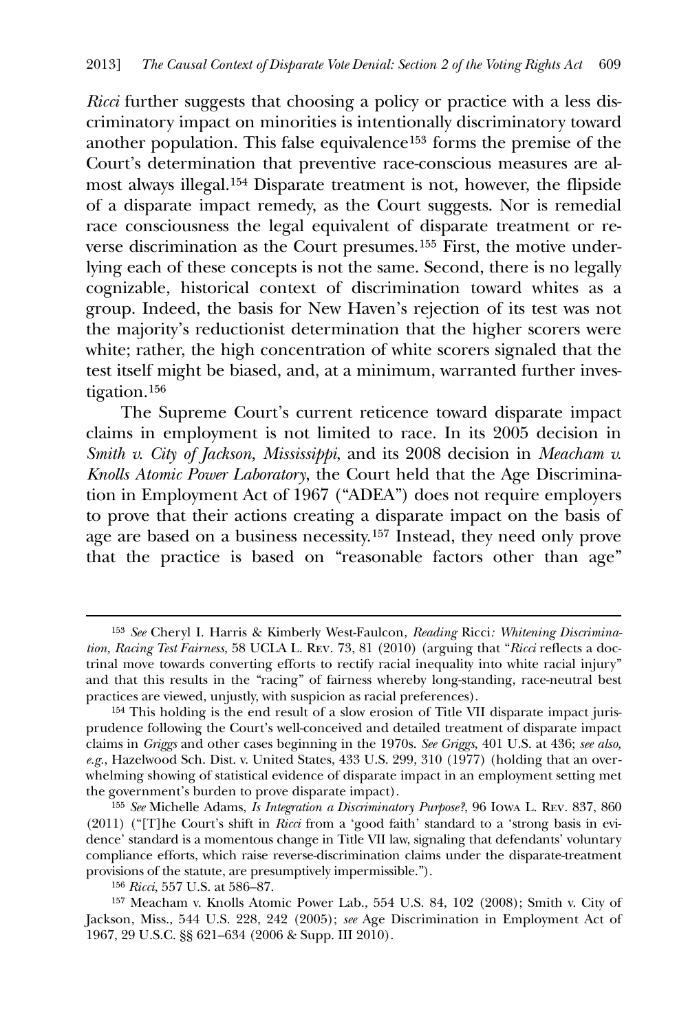*Ricci* further suggests that choosing a policy or practice with a less discriminatory impact on minorities is intentionally discriminatory toward another population. This false equivalence[153](#page-31-0) forms the premise of the Court's determination that preventive race-conscious measures are almost always illegal.[154](#page-31-1) Disparate treatment is not, however, the flipside of a disparate impact remedy, as the Court suggests. Nor is remedial race consciousness the legal equivalent of disparate treatment or reverse discrimination as the Court presumes.[155](#page-31-2) First, the motive underlying each of these concepts is not the same. Second, there is no legally cognizable, historical context of discrimination toward whites as a group. Indeed, the basis for New Haven's rejection of its test was not the majority's reductionist determination that the higher scorers were white; rather, the high concentration of white scorers signaled that the test itself might be biased, and, at a minimum, warranted further investigation.[156](#page-31-3)

 The Supreme Court's current reticence toward disparate impact claims in employment is not limited to race. In its 2005 decision in *Smith v. City of Jackson, Mississippi*, and its 2008 decision in *Meacham v. Knolls Atomic Power Laboratory*, the Court held that the Age Discrimination in Employment Act of 1967 ("ADEA") does not require employers to prove that their actions creating a disparate impact on the basis of age are based on a business necessity.[157](#page-31-4) Instead, they need only prove that the practice is based on "reasonable factors other than age"

<u>.</u>

<span id="page-31-0"></span><sup>153</sup> *See* Cheryl I. Harris & Kimberly West-Faulcon, *Reading* Ricci*: Whitening Discrimination, Racing Test Fairness*, 58 UCLA L. Rev. 73, 81 (2010) (arguing that "*Ricci* reflects a doctrinal move towards converting efforts to rectify racial inequality into white racial injury" and that this results in the "racing" of fairness whereby long-standing, race-neutral best practices are viewed, unjustly, with suspicion as racial preferences).

<span id="page-31-1"></span><sup>154</sup> This holding is the end result of a slow erosion of Title VII disparate impact jurisprudence following the Court's well-conceived and detailed treatment of disparate impact claims in *Griggs* and other cases beginning in the 1970s. *See Griggs*, 401 U.S. at 436; *see also, e.g.*, Hazelwood Sch. Dist. v. United States, 433 U.S. 299, 310 (1977) (holding that an overwhelming showing of statistical evidence of disparate impact in an employment setting met the government's burden to prove disparate impact).

<span id="page-31-2"></span><sup>155</sup> *See* Michelle Adams, *Is Integration a Discriminatory Purpose?*, 96 Iowa L. Rev. 837, 860 (2011) ("[T]he Court's shift in *Ricci* from a 'good faith' standard to a 'strong basis in evidence' standard is a momentous change in Title VII law, signaling that defendants' voluntary compliance efforts, which raise reverse-discrimination claims under the disparate-treatment provisions of the statute, are presumptively impermissible.").

<sup>156</sup> *Ricci*, 557 U.S. at 586–87.

<span id="page-31-4"></span><span id="page-31-3"></span><sup>157</sup> Meacham v. Knolls Atomic Power Lab., 554 U.S. 84, 102 (2008); Smith v. City of Jackson, Miss., 544 U.S. 228, 242 (2005); *see* Age Discrimination in Employment Act of 1967, 29 U.S.C. §§ 621–634 (2006 & Supp. III 2010).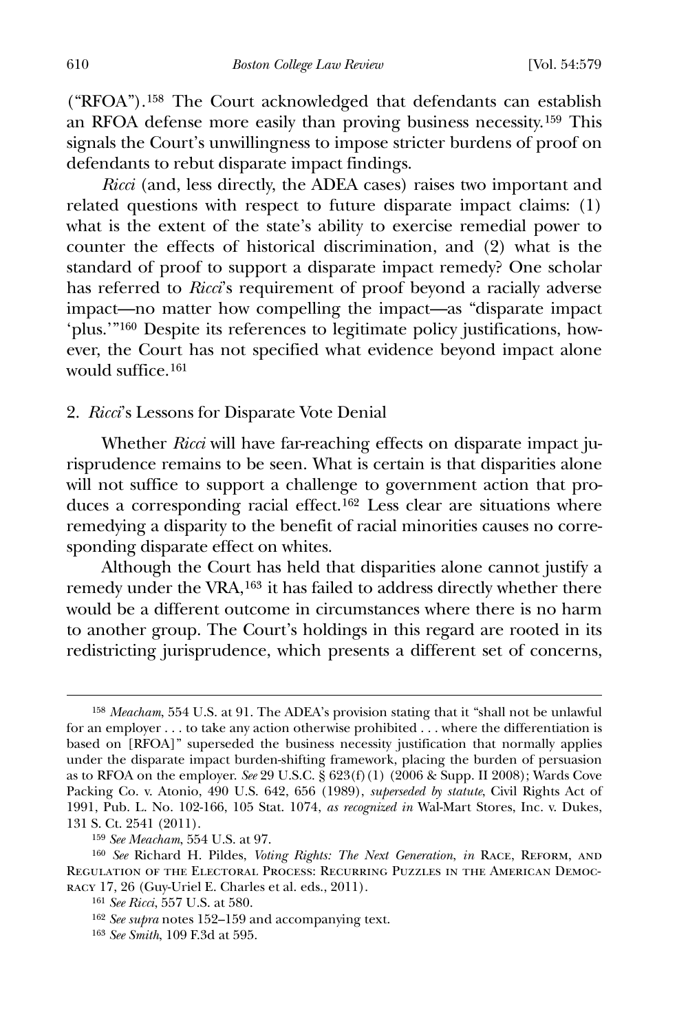("RFOA").[158](#page-32-0) The Court acknowledged that defendants can establish an RFOA defense more easily than proving business necessity.[159](#page-32-1) This signals the Court's unwillingness to impose stricter burdens of proof on defendants to rebut disparate impact findings.

*Ricci* (and, less directly, the ADEA cases) raises two important and related questions with respect to future disparate impact claims: (1) what is the extent of the state's ability to exercise remedial power to counter the effects of historical discrimination, and (2) what is the standard of proof to support a disparate impact remedy? One scholar has referred to *Ricci*'s requirement of proof beyond a racially adverse impact—no matter how compelling the impact—as "disparate impact 'plus.'"[160](#page-32-2) Despite its references to legitimate policy justifications, however, the Court has not specified what evidence beyond impact alone would suffice.<sup>[161](#page-32-3)</sup>

#### 2. *Ricci*'s Lessons for Disparate Vote Denial

 Whether *Ricci* will have far-reaching effects on disparate impact jurisprudence remains to be seen. What is certain is that disparities alone will not suffice to support a challenge to government action that produces a corresponding racial effect.[162](#page-32-4) Less clear are situations where remedying a disparity to the benefit of racial minorities causes no corresponding disparate effect on whites.

 Although the Court has held that disparities alone cannot justify a remedy under the VRA,[163](#page-32-5) it has failed to address directly whether there would be a different outcome in circumstances where there is no harm to another group. The Court's holdings in this regard are rooted in its redistricting jurisprudence, which presents a different set of concerns,

<span id="page-32-0"></span><sup>158</sup> *Meacham*, 554 U.S. at 91. The ADEA's provision stating that it "shall not be unlawful for an employer . . . to take any action otherwise prohibited . . . where the differentiation is based on [RFOA]" superseded the business necessity justification that normally applies under the disparate impact burden-shifting framework, placing the burden of persuasion as to RFOA on the employer. *See* 29 U.S.C. § 623(f)(1) (2006 & Supp. II 2008); Wards Cove Packing Co. v. Atonio, 490 U.S. 642, 656 (1989), *superseded by statute*, Civil Rights Act of 1991, Pub. L. No. 102-166, 105 Stat. 1074, *as recognized in* Wal-Mart Stores, Inc. v. Dukes, 131 S. Ct. 2541 (2011).

<sup>159</sup> *See Meacham*, 554 U.S. at 97.

<span id="page-32-4"></span><span id="page-32-3"></span><span id="page-32-2"></span><span id="page-32-1"></span><sup>160</sup> *See* Richard H. Pildes, *Voting Rights: The Next Generation*, *in* Race, Reform, and Regulation of the Electoral Process: Recurring Puzzles in the American Democracy 17, 26 (Guy-Uriel E. Charles et al. eds., 2011).

<sup>161</sup> *See Ricci*, 557 U.S. at 580.

<sup>162</sup> *See supra* notes 152–159 and accompanying text.

<span id="page-32-5"></span><sup>163</sup> *See Smith*, 109 F.3d at 595.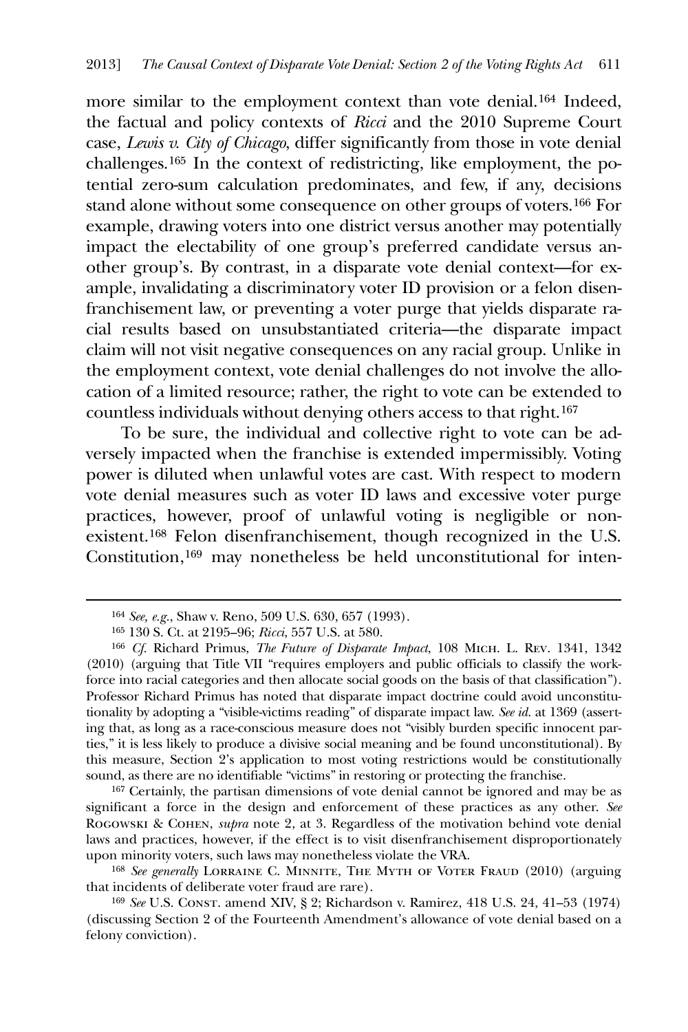more similar to the employment context than vote denial.[164](#page-33-0) Indeed, the factual and policy contexts of *Ricci* and the 2010 Supreme Court case, *Lewis v. City of Chicago*, differ significantly from those in vote denial challenges.[165](#page-33-1) In the context of redistricting, like employment, the potential zero-sum calculation predominates, and few, if any, decisions stand alone without some consequence on other groups of voters.[166](#page-33-2) For example, drawing voters into one district versus another may potentially impact the electability of one group's preferred candidate versus another group's. By contrast, in a disparate vote denial context—for example, invalidating a discriminatory voter ID provision or a felon disenfranchisement law, or preventing a voter purge that yields disparate racial results based on unsubstantiated criteria—the disparate impact claim will not visit negative consequences on any racial group. Unlike in the employment context, vote denial challenges do not involve the allocation of a limited resource; rather, the right to vote can be extended to countless individuals without denying others access to that right.[167](#page-33-3)

 To be sure, the individual and collective right to vote can be adversely impacted when the franchise is extended impermissibly. Voting power is diluted when unlawful votes are cast. With respect to modern vote denial measures such as voter ID laws and excessive voter purge practices, however, proof of unlawful voting is negligible or nonexistent.[168](#page-33-4) Felon disenfranchisement, though recognized in the U.S. Constitution,[169](#page-33-5) may nonetheless be held unconstitutional for inten-

<span id="page-33-0"></span> $\overline{a}$ 

<span id="page-33-3"></span>167 Certainly, the partisan dimensions of vote denial cannot be ignored and may be as significant a force in the design and enforcement of these practices as any other. *See*  Rogowski & Cohen, *supra* note 2, at 3. Regardless of the motivation behind vote denial laws and practices, however, if the effect is to visit disenfranchisement disproportionately upon minority voters, such laws may nonetheless violate the VRA.

<span id="page-33-4"></span><sup>168</sup> See generally LORRAINE C. MINNITE, THE MYTH OF VOTER FRAUD (2010) (arguing that incidents of deliberate voter fraud are rare).

<sup>164</sup> *See, e.g.*, Shaw v. Reno, 509 U.S. 630, 657 (1993).

<sup>165</sup> 130 S. Ct. at 2195–96; *Ricci*, 557 U.S. at 580.

<span id="page-33-2"></span><span id="page-33-1"></span><sup>166</sup> *Cf.* Richard Primus, *The Future of Disparate Impact*, 108 Mich. L. Rev. 1341, 1342 (2010) (arguing that Title VII "requires employers and public officials to classify the workforce into racial categories and then allocate social goods on the basis of that classification"). Professor Richard Primus has noted that disparate impact doctrine could avoid unconstitutionality by adopting a "visible-victims reading" of disparate impact law. *See id.* at 1369 (asserting that, as long as a race-conscious measure does not "visibly burden specific innocent parties," it is less likely to produce a divisive social meaning and be found unconstitutional). By this measure, Section 2's application to most voting restrictions would be constitutionally sound, as there are no identifiable "victims" in restoring or protecting the franchise.

<span id="page-33-5"></span><sup>169</sup> *See* U.S. Const. amend XIV, § 2; Richardson v. Ramirez, 418 U.S. 24, 41–53 (1974) (discussing Section 2 of the Fourteenth Amendment's allowance of vote denial based on a felony conviction).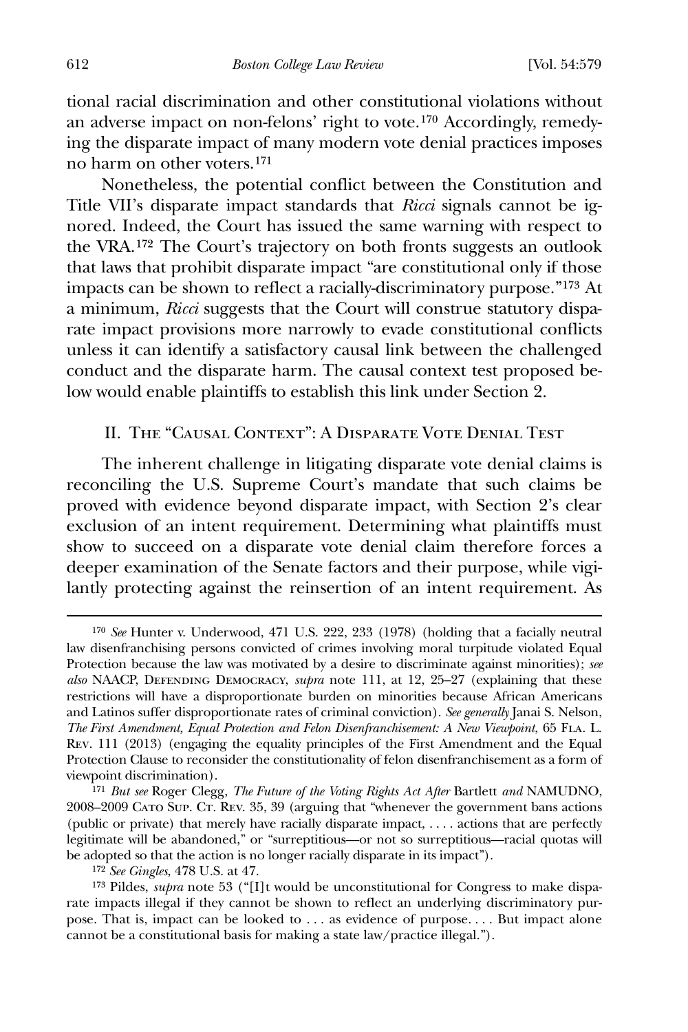tional racial discrimination and other constitutional violations without an adverse impact on non-felons' right to vote.[170](#page-34-0) Accordingly, remedying the disparate impact of many modern vote denial practices imposes no harm on other voters.[171](#page-34-1)

 Nonetheless, the potential conflict between the Constitution and Title VII's disparate impact standards that *Ricci* signals cannot be ignored. Indeed, the Court has issued the same warning with respect to the VRA.[172](#page-34-2) The Court's trajectory on both fronts suggests an outlook that laws that prohibit disparate impact "are constitutional only if those impacts can be shown to reflect a racially-discriminatory purpose."[173](#page-34-3) At a minimum, *Ricci* suggests that the Court will construe statutory disparate impact provisions more narrowly to evade constitutional conflicts unless it can identify a satisfactory causal link between the challenged conduct and the disparate harm. The causal context test proposed below would enable plaintiffs to establish this link under Section 2.

## II. The "Causal Context": A Disparate Vote Denial Test

 The inherent challenge in litigating disparate vote denial claims is reconciling the U.S. Supreme Court's mandate that such claims be proved with evidence beyond disparate impact, with Section 2's clear exclusion of an intent requirement. Determining what plaintiffs must show to succeed on a disparate vote denial claim therefore forces a deeper examination of the Senate factors and their purpose, while vigilantly protecting against the reinsertion of an intent requirement. As

<span id="page-34-0"></span><sup>170</sup> *See* Hunter v. Underwood, 471 U.S. 222, 233 (1978) (holding that a facially neutral law disenfranchising persons convicted of crimes involving moral turpitude violated Equal Protection because the law was motivated by a desire to discriminate against minorities); *see also* NAACP, Defending Democracy, *supra* note 111, at 12, 25–27 (explaining that these restrictions will have a disproportionate burden on minorities because African Americans and Latinos suffer disproportionate rates of criminal conviction). *See generally* Janai S. Nelson, *The First Amendment, Equal Protection and Felon Disenfranchisement: A New Viewpoint*, 65 Fla. L. Rev. 111 (2013) (engaging the equality principles of the First Amendment and the Equal Protection Clause to reconsider the constitutionality of felon disenfranchisement as a form of viewpoint discrimination).

<span id="page-34-1"></span><sup>171</sup> *But see* Roger Clegg, *The Future of the Voting Rights Act After* Bartlett *and* NAMUDNO, 2008–2009 Cato Sup. Ct. Rev. 35, 39 (arguing that "whenever the government bans actions (public or private) that merely have racially disparate impact, . . . . actions that are perfectly legitimate will be abandoned," or "surreptitious—or not so surreptitious—racial quotas will be adopted so that the action is no longer racially disparate in its impact").

<sup>172</sup> *See Gingles*, 478 U.S. at 47.

<span id="page-34-3"></span><span id="page-34-2"></span><sup>&</sup>lt;sup>173</sup> Pildes, *supra* note 53 ("[I]t would be unconstitutional for Congress to make disparate impacts illegal if they cannot be shown to reflect an underlying discriminatory purpose. That is, impact can be looked to . . . as evidence of purpose. . . . But impact alone cannot be a constitutional basis for making a state law/practice illegal.").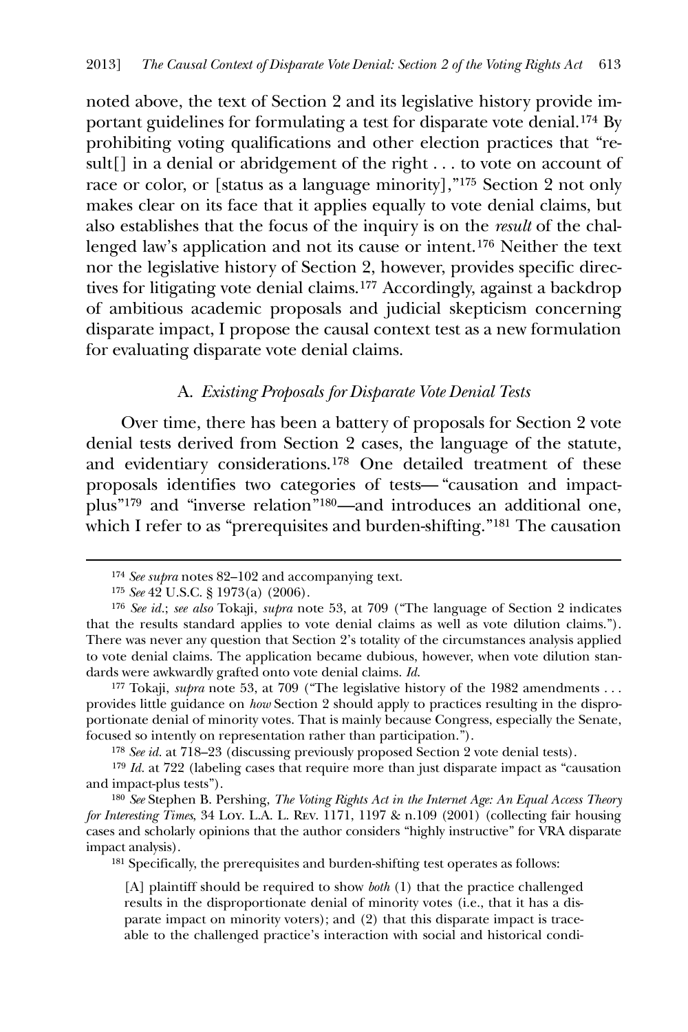noted above, the text of Section 2 and its legislative history provide important guidelines for formulating a test for disparate vote denial.[174](#page-35-0) By prohibiting voting qualifications and other election practices that "result[] in a denial or abridgement of the right . . . to vote on account of race or color, or [status as a language minority],"[175](#page-35-1) Section 2 not only makes clear on its face that it applies equally to vote denial claims, but also establishes that the focus of the inquiry is on the *result* of the challenged law's application and not its cause or intent.[176](#page-35-2) Neither the text nor the legislative history of Section 2, however, provides specific directives for litigating vote denial claims.[177](#page-35-3) Accordingly, against a backdrop of ambitious academic proposals and judicial skepticism concerning disparate impact, I propose the causal context test as a new formulation for evaluating disparate vote denial claims.

## A. *Existing Proposals for Disparate Vote Denial Tests*

Over time, there has been a battery of proposals for Section 2 vote denial tests derived from Section 2 cases, the language of the statute, and evidentiary considerations.[178](#page-35-4) One detailed treatment of these proposals identifies two categories of tests— "causation and impactplus"[179](#page-35-5) and "inverse relation"[180](#page-35-6)—and introduces an additional one, which I refer to as "prerequisites and burden-shifting."<sup>[181](#page-35-7)</sup> The causation

<span id="page-35-0"></span> $\overline{a}$ 

<span id="page-35-3"></span><sup>177</sup> Tokaji, *supra* note 53, at 709 ("The legislative history of the 1982 amendments ... provides little guidance on *how* Section 2 should apply to practices resulting in the disproportionate denial of minority votes. That is mainly because Congress, especially the Senate, focused so intently on representation rather than participation.").

178 *See id.* at 718–23 (discussing previously proposed Section 2 vote denial tests).

<span id="page-35-5"></span><span id="page-35-4"></span>179 *Id.* at 722 (labeling cases that require more than just disparate impact as "causation and impact-plus tests").

<span id="page-35-7"></span><span id="page-35-6"></span>180 *See* Stephen B. Pershing, *The Voting Rights Act in the Internet Age: An Equal Access Theory for Interesting Times*, 34 Loy. L.A. L. Rev. 1171, 1197 & n.109 (2001) (collecting fair housing cases and scholarly opinions that the author considers "highly instructive" for VRA disparate impact analysis).

181 Specifically, the prerequisites and burden-shifting test operates as follows:

[A] plaintiff should be required to show *both* (1) that the practice challenged results in the disproportionate denial of minority votes (i.e., that it has a disparate impact on minority voters); and (2) that this disparate impact is traceable to the challenged practice's interaction with social and historical condi-

<sup>174</sup> *See supra* notes 82–102 and accompanying text.

<sup>175</sup> *See* 42 U.S.C. § 1973(a) (2006).

<span id="page-35-2"></span><span id="page-35-1"></span><sup>176</sup> *See id.*; *see also* Tokaji, *supra* note 53, at 709 ("The language of Section 2 indicates that the results standard applies to vote denial claims as well as vote dilution claims."). There was never any question that Section 2's totality of the circumstances analysis applied to vote denial claims. The application became dubious, however, when vote dilution standards were awkwardly grafted onto vote denial claims. *Id*.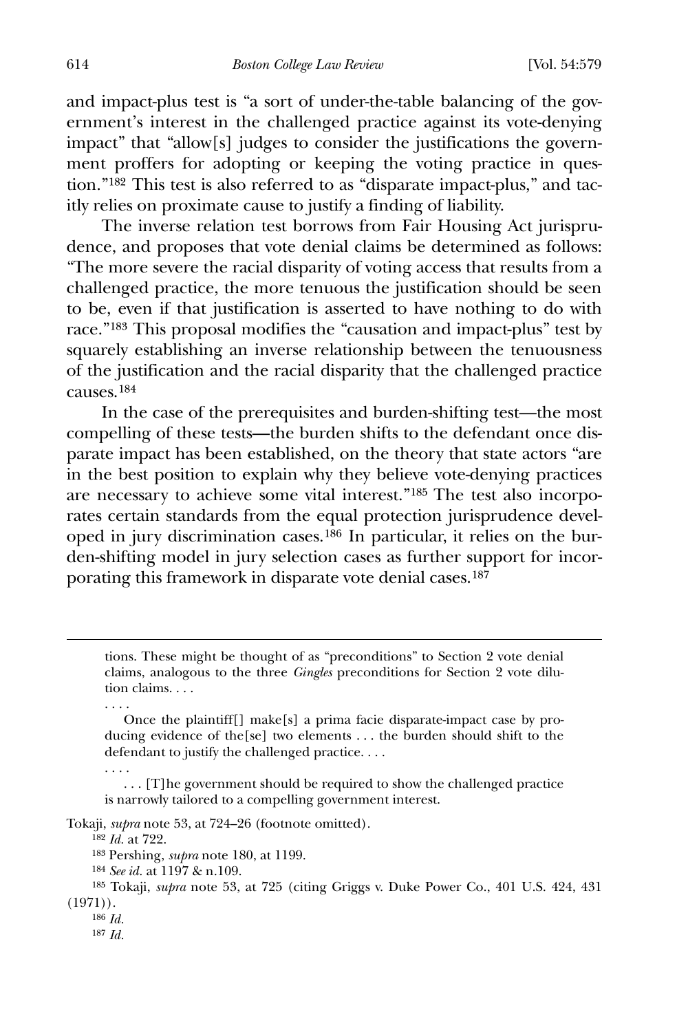and impact-plus test is "a sort of under-the-table balancing of the government's interest in the challenged practice against its vote-denying impact" that "allow[s] judges to consider the justifications the government proffers for adopting or keeping the voting practice in question."[182](#page-36-0) This test is also referred to as "disparate impact-plus," and tacitly relies on proximate cause to justify a finding of liability.

 The inverse relation test borrows from Fair Housing Act jurisprudence, and proposes that vote denial claims be determined as follows: "The more severe the racial disparity of voting access that results from a challenged practice, the more tenuous the justification should be seen to be, even if that justification is asserted to have nothing to do with race."[183](#page-36-1) This proposal modifies the "causation and impact-plus" test by squarely establishing an inverse relationship between the tenuousness of the justification and the racial disparity that the challenged practice causes.[184](#page-36-2)

 In the case of the prerequisites and burden-shifting test—the most compelling of these tests—the burden shifts to the defendant once disparate impact has been established, on the theory that state actors "are in the best position to explain why they believe vote-denying practices are necessary to achieve some vital interest."[185](#page-36-3) The test also incorporates certain standards from the equal protection jurisprudence developed in jury discrimination cases.[186](#page-36-4) In particular, it relies on the burden-shifting model in jury selection cases as further support for incor-porating this framework in disparate vote denial cases.<sup>[187](#page-36-5)</sup>

 tions. These might be thought of as "preconditions" to Section 2 vote denial claims, analogous to the three *Gingles* preconditions for Section 2 vote dilution claims. . . .

 Once the plaintiff[] make[s] a prima facie disparate-impact case by producing evidence of the[se] two elements . . . the burden should shift to the defendant to justify the challenged practice. . . .

 . . . [T]he government should be required to show the challenged practice is narrowly tailored to a compelling government interest.

<span id="page-36-1"></span><span id="page-36-0"></span>Tokaji, *supra* note 53, at 724–26 (footnote omitted).

182 *Id.* at 722.

. . . .

. . . .

183 Pershing, *supra* note 180, at 1199.

184 *See id.* at 1197 & n.109.

<span id="page-36-5"></span><span id="page-36-4"></span><span id="page-36-3"></span><span id="page-36-2"></span>185 Tokaji, *supra* note 53, at 725 (citing Griggs v. Duke Power Co., 401 U.S. 424, 431 (1971)).

186 *Id.*

187 *Id.*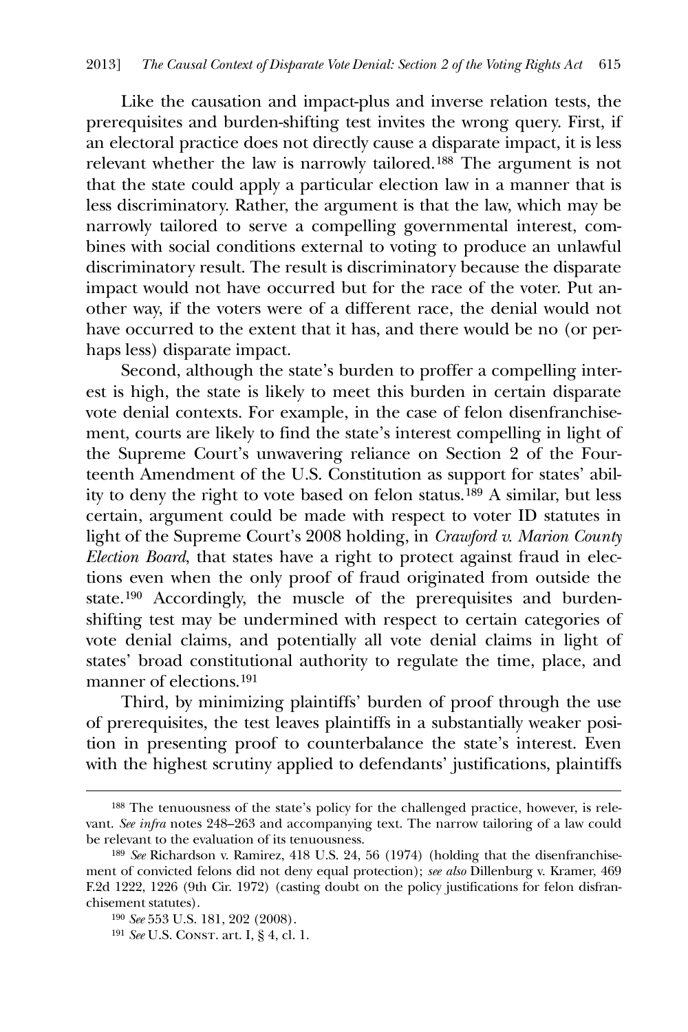Like the causation and impact-plus and inverse relation tests, the prerequisites and burden-shifting test invites the wrong query. First, if an electoral practice does not directly cause a disparate impact, it is less relevant whether the law is narrowly tailored.[188](#page-37-0) The argument is not that the state could apply a particular election law in a manner that is less discriminatory. Rather, the argument is that the law, which may be narrowly tailored to serve a compelling governmental interest, combines with social conditions external to voting to produce an unlawful discriminatory result. The result is discriminatory because the disparate impact would not have occurred but for the race of the voter. Put another way, if the voters were of a different race, the denial would not have occurred to the extent that it has, and there would be no (or perhaps less) disparate impact.

 Second, although the state's burden to proffer a compelling interest is high, the state is likely to meet this burden in certain disparate vote denial contexts. For example, in the case of felon disenfranchisement, courts are likely to find the state's interest compelling in light of the Supreme Court's unwavering reliance on Section 2 of the Fourteenth Amendment of the U.S. Constitution as support for states' ability to deny the right to vote based on felon status.[189](#page-37-1) A similar, but less certain, argument could be made with respect to voter ID statutes in light of the Supreme Court's 2008 holding, in *Crawford v. Marion County Election Board*, that states have a right to protect against fraud in elections even when the only proof of fraud originated from outside the state.[190](#page-37-2) Accordingly, the muscle of the prerequisites and burdenshifting test may be undermined with respect to certain categories of vote denial claims, and potentially all vote denial claims in light of states' broad constitutional authority to regulate the time, place, and manner of elections.[191](#page-37-3)

 Third, by minimizing plaintiffs' burden of proof through the use of prerequisites, the test leaves plaintiffs in a substantially weaker position in presenting proof to counterbalance the state's interest. Even with the highest scrutiny applied to defendants' justifications, plaintiffs

<u>.</u>

<span id="page-37-0"></span><sup>188</sup> The tenuousness of the state's policy for the challenged practice, however, is relevant. *See infra* notes 248–263 and accompanying text. The narrow tailoring of a law could be relevant to the evaluation of its tenuousness.

<span id="page-37-2"></span><span id="page-37-1"></span><sup>189</sup> *See* Richardson v. Ramirez, 418 U.S. 24, 56 (1974) (holding that the disenfranchisement of convicted felons did not deny equal protection); *see also* Dillenburg v. Kramer, 469 F.2d 1222, 1226 (9th Cir. 1972) (casting doubt on the policy justifications for felon disfranchisement statutes).

<sup>190</sup> *See* 553 U.S. 181, 202 (2008).

<span id="page-37-3"></span><sup>191</sup> *See* U.S. Const. art. I, § 4, cl. 1.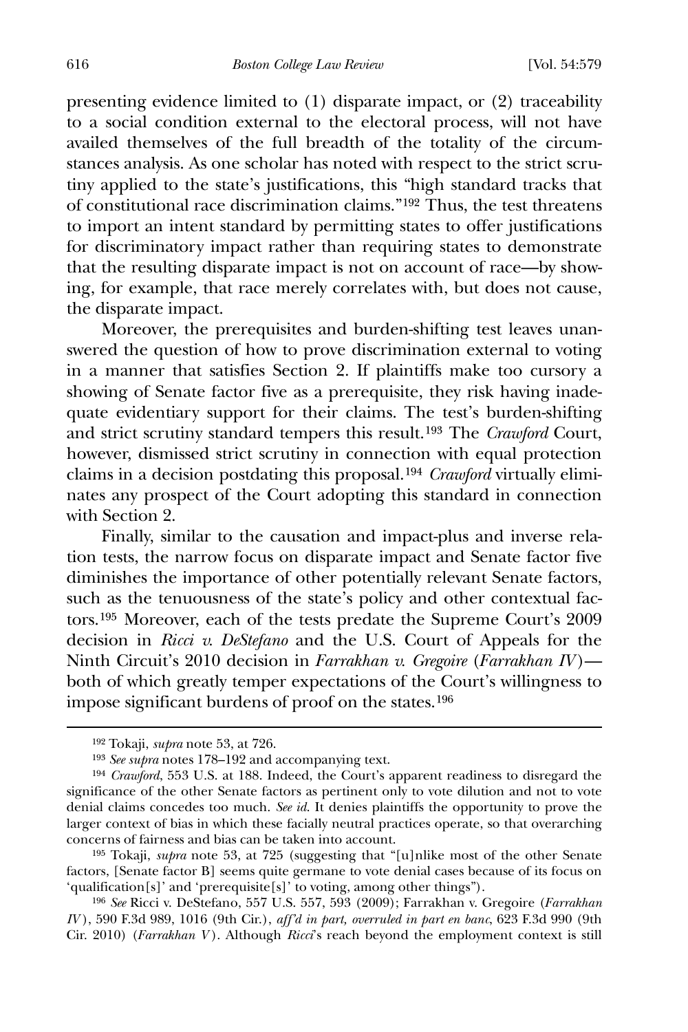616 *Boston College Law Review* [Vol. 54:579

presenting evidence limited to (1) disparate impact, or (2) traceability to a social condition external to the electoral process, will not have availed themselves of the full breadth of the totality of the circumstances analysis. As one scholar has noted with respect to the strict scrutiny applied to the state's justifications, this "high standard tracks that of constitutional race discrimination claims."[192](#page-38-0) Thus, the test threatens to import an intent standard by permitting states to offer justifications for discriminatory impact rather than requiring states to demonstrate that the resulting disparate impact is not on account of race—by showing, for example, that race merely correlates with, but does not cause, the disparate impact.

 Moreover, the prerequisites and burden-shifting test leaves unanswered the question of how to prove discrimination external to voting in a manner that satisfies Section 2. If plaintiffs make too cursory a showing of Senate factor five as a prerequisite, they risk having inadequate evidentiary support for their claims. The test's burden-shifting and strict scrutiny standard tempers this result.[193](#page-38-1) The *Crawford* Court, however, dismissed strict scrutiny in connection with equal protection claims in a decision postdating this proposal.[194](#page-38-2) *Crawford* virtually eliminates any prospect of the Court adopting this standard in connection with Section 2.

 Finally, similar to the causation and impact-plus and inverse relation tests, the narrow focus on disparate impact and Senate factor five diminishes the importance of other potentially relevant Senate factors, such as the tenuousness of the state's policy and other contextual factors.[195](#page-38-3) Moreover, each of the tests predate the Supreme Court's 2009 decision in *Ricci v. DeStefano* and the U.S. Court of Appeals for the Ninth Circuit's 2010 decision in *Farrakhan v. Gregoire* (*Farrakhan IV* ) both of which greatly temper expectations of the Court's willingness to impose significant burdens of proof on the states.[196](#page-38-4)

<sup>192</sup> Tokaji, *supra* note 53, at 726.

<sup>193</sup> *See supra* notes 178–192 and accompanying text.

<span id="page-38-2"></span><span id="page-38-1"></span><span id="page-38-0"></span><sup>194</sup> *Crawford*, 553 U.S. at 188. Indeed, the Court's apparent readiness to disregard the significance of the other Senate factors as pertinent only to vote dilution and not to vote denial claims concedes too much. *See id*. It denies plaintiffs the opportunity to prove the larger context of bias in which these facially neutral practices operate, so that overarching concerns of fairness and bias can be taken into account.

<span id="page-38-3"></span><sup>195</sup> Tokaji, *supra* note 53, at 725 (suggesting that "[u]nlike most of the other Senate factors, [Senate factor B] seems quite germane to vote denial cases because of its focus on 'qualification[s]' and 'prerequisite[s]' to voting, among other things").

<span id="page-38-4"></span><sup>196</sup> *See* Ricci v. DeStefano, 557 U.S. 557, 593 (2009); Farrakhan v. Gregoire (*Farrakhan IV* ), 590 F.3d 989, 1016 (9th Cir.), *aff'd in part, overruled in part en banc*, 623 F.3d 990 (9th Cir. 2010) (*Farrakhan V* ). Although *Ricci*'s reach beyond the employment context is still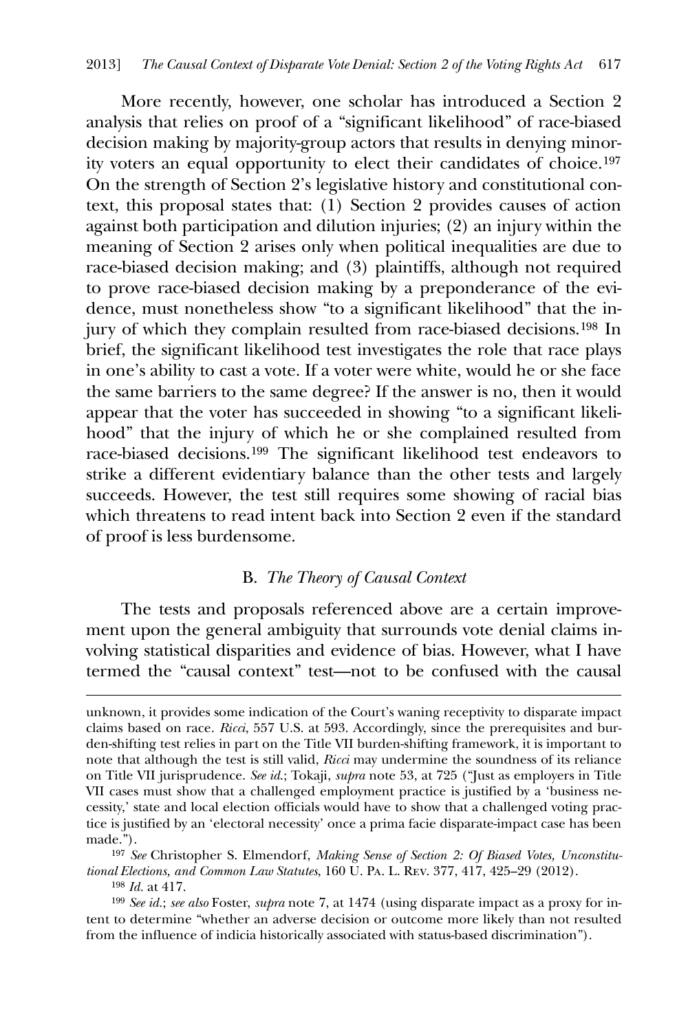More recently, however, one scholar has introduced a Section 2 analysis that relies on proof of a "significant likelihood" of race-biased decision making by majority-group actors that results in denying minority voters an equal opportunity to elect their candidates of choice.[197](#page-39-0) On the strength of Section 2's legislative history and constitutional context, this proposal states that: (1) Section 2 provides causes of action against both participation and dilution injuries; (2) an injury within the meaning of Section 2 arises only when political inequalities are due to race-biased decision making; and (3) plaintiffs, although not required to prove race-biased decision making by a preponderance of the evidence, must nonetheless show "to a significant likelihood" that the injury of which they complain resulted from race-biased decisions.[198](#page-39-1) In brief, the significant likelihood test investigates the role that race plays in one's ability to cast a vote. If a voter were white, would he or she face the same barriers to the same degree? If the answer is no, then it would appear that the voter has succeeded in showing "to a significant likelihood" that the injury of which he or she complained resulted from race-biased decisions.[199](#page-39-2) The significant likelihood test endeavors to strike a different evidentiary balance than the other tests and largely succeeds. However, the test still requires some showing of racial bias which threatens to read intent back into Section 2 even if the standard of proof is less burdensome.

## B. *The Theory of Causal Context*

 The tests and proposals referenced above are a certain improvement upon the general ambiguity that surrounds vote denial claims involving statistical disparities and evidence of bias. However, what I have termed the "causal context" test—not to be confused with the causal

198 *Id.* at 417.

<u>.</u>

<span id="page-39-2"></span><span id="page-39-1"></span>199 *See id.*; *see also* Foster, *supra* note 7, at 1474 (using disparate impact as a proxy for intent to determine "whether an adverse decision or outcome more likely than not resulted from the influence of indicia historically associated with status-based discrimination").

unknown, it provides some indication of the Court's waning receptivity to disparate impact claims based on race. *Ricci*, 557 U.S. at 593. Accordingly, since the prerequisites and burden-shifting test relies in part on the Title VII burden-shifting framework, it is important to note that although the test is still valid, *Ricci* may undermine the soundness of its reliance on Title VII jurisprudence. *See id*.; Tokaji, *supra* note 53, at 725 ("Just as employers in Title VII cases must show that a challenged employment practice is justified by a 'business necessity,' state and local election officials would have to show that a challenged voting practice is justified by an 'electoral necessity' once a prima facie disparate-impact case has been made.").

<span id="page-39-0"></span><sup>197</sup> *See* Christopher S. Elmendorf, *Making Sense of Section 2: Of Biased Votes, Unconstitutional Elections, and Common Law Statutes*, 160 U. Pa. L. Rev. 377, 417, 425–29 (2012).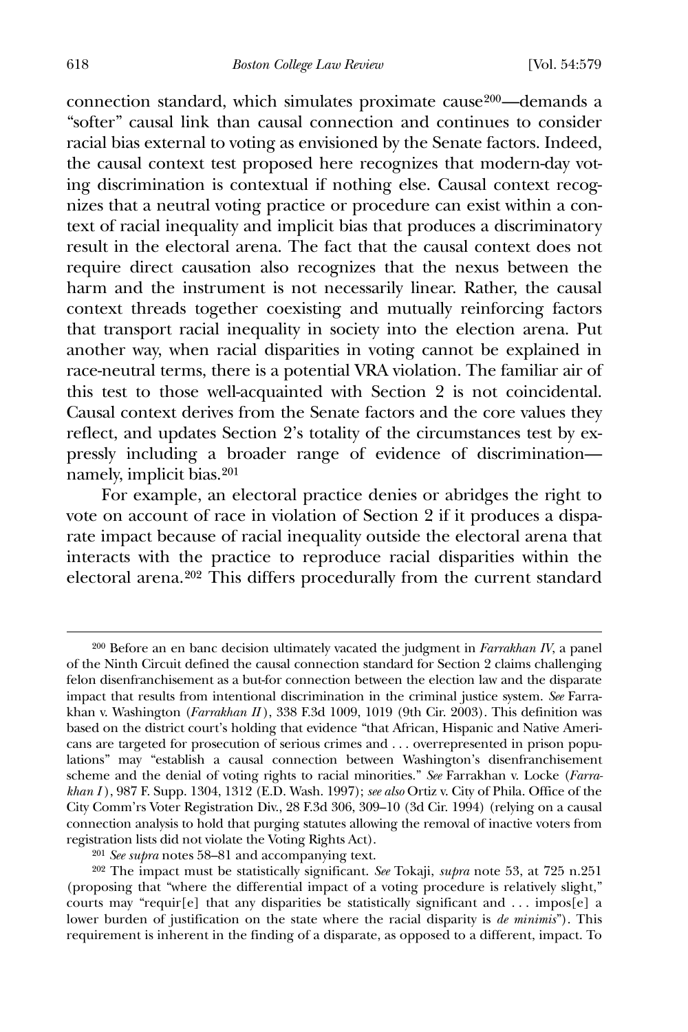connection standard, which simulates proximate cause[200](#page-40-0)—demands a "softer" causal link than causal connection and continues to consider racial bias external to voting as envisioned by the Senate factors. Indeed, the causal context test proposed here recognizes that modern-day voting discrimination is contextual if nothing else. Causal context recognizes that a neutral voting practice or procedure can exist within a context of racial inequality and implicit bias that produces a discriminatory result in the electoral arena. The fact that the causal context does not require direct causation also recognizes that the nexus between the harm and the instrument is not necessarily linear. Rather, the causal context threads together coexisting and mutually reinforcing factors that transport racial inequality in society into the election arena. Put another way, when racial disparities in voting cannot be explained in race-neutral terms, there is a potential VRA violation. The familiar air of this test to those well-acquainted with Section 2 is not coincidental. Causal context derives from the Senate factors and the core values they reflect, and updates Section 2's totality of the circumstances test by expressly including a broader range of evidence of discrimination namely, implicit bias.[201](#page-40-1)

For example, an electoral practice denies or abridges the right to vote on account of race in violation of Section 2 if it produces a disparate impact because of racial inequality outside the electoral arena that interacts with the practice to reproduce racial disparities within the electoral arena.[202](#page-40-2) This differs procedurally from the current standard

201 *See supra* notes 58–81 and accompanying text.

<span id="page-40-0"></span><sup>200</sup> Before an en banc decision ultimately vacated the judgment in *Farrakhan IV*, a panel of the Ninth Circuit defined the causal connection standard for Section 2 claims challenging felon disenfranchisement as a but-for connection between the election law and the disparate impact that results from intentional discrimination in the criminal justice system. *See* Farrakhan v. Washington (*Farrakhan II* ), 338 F.3d 1009, 1019 (9th Cir. 2003). This definition was based on the district court's holding that evidence "that African, Hispanic and Native Americans are targeted for prosecution of serious crimes and . . . overrepresented in prison populations" may "establish a causal connection between Washington's disenfranchisement scheme and the denial of voting rights to racial minorities." *See* Farrakhan v. Locke (*Farrakhan I* ), 987 F. Supp. 1304, 1312 (E.D. Wash. 1997); *see also* Ortiz v. City of Phila. Office of the City Comm'rs Voter Registration Div., 28 F.3d 306, 309–10 (3d Cir. 1994) (relying on a causal connection analysis to hold that purging statutes allowing the removal of inactive voters from registration lists did not violate the Voting Rights Act).

<span id="page-40-2"></span><span id="page-40-1"></span><sup>202</sup> The impact must be statistically significant. *See* Tokaji, *supra* note 53, at 725 n.251 (proposing that "where the differential impact of a voting procedure is relatively slight," courts may "requir $[e]$  that any disparities be statistically significant and ... impos $[e]$  a lower burden of justification on the state where the racial disparity is *de minimis*"). This requirement is inherent in the finding of a disparate, as opposed to a different, impact. To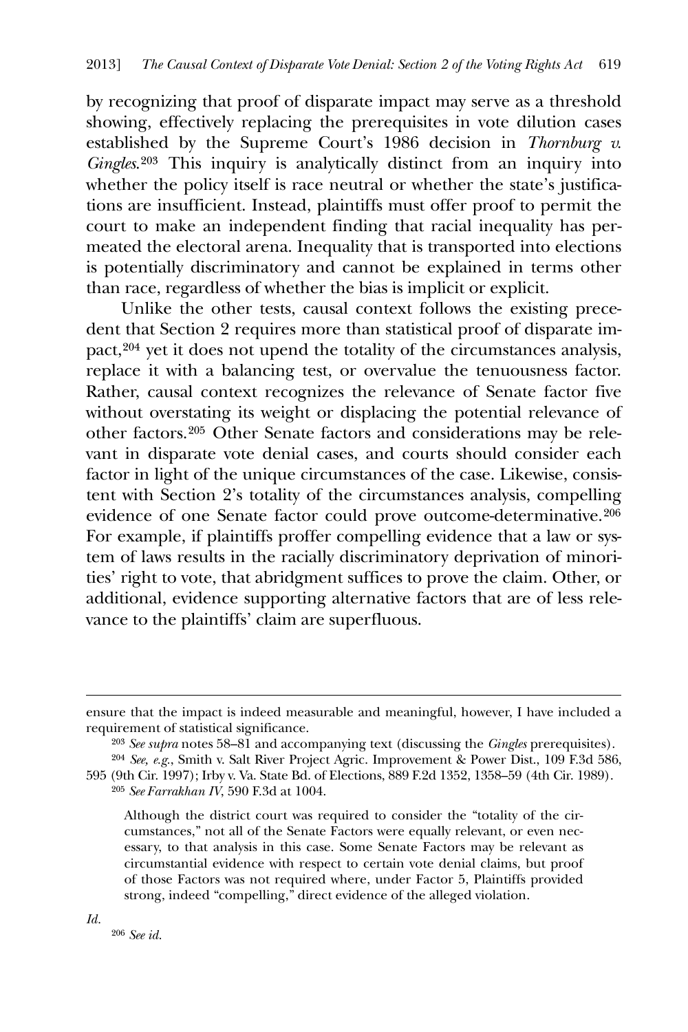by recognizing that proof of disparate impact may serve as a threshold showing, effectively replacing the prerequisites in vote dilution cases established by the Supreme Court's 1986 decision in *Thornburg v. Gingles*.[203](#page-41-0) This inquiry is analytically distinct from an inquiry into whether the policy itself is race neutral or whether the state's justifications are insufficient. Instead, plaintiffs must offer proof to permit the court to make an independent finding that racial inequality has permeated the electoral arena. Inequality that is transported into elections is potentially discriminatory and cannot be explained in terms other than race, regardless of whether the bias is implicit or explicit.

 Unlike the other tests, causal context follows the existing precedent that Section 2 requires more than statistical proof of disparate impact,[204](#page-41-1) yet it does not upend the totality of the circumstances analysis, replace it with a balancing test, or overvalue the tenuousness factor. Rather, causal context recognizes the relevance of Senate factor five without overstating its weight or displacing the potential relevance of other factors.[205](#page-41-2) Other Senate factors and considerations may be relevant in disparate vote denial cases, and courts should consider each factor in light of the unique circumstances of the case. Likewise, consistent with Section 2's totality of the circumstances analysis, compelling evidence of one Senate factor could prove outcome-determinative.[206](#page-41-3) For example, if plaintiffs proffer compelling evidence that a law or system of laws results in the racially discriminatory deprivation of minorities' right to vote, that abridgment suffices to prove the claim. Other, or additional, evidence supporting alternative factors that are of less relevance to the plaintiffs' claim are superfluous.

205 *See Farrakhan IV*, 590 F.3d at 1004.

<span id="page-41-3"></span>*Id.*

<u>.</u>

ensure that the impact is indeed measurable and meaningful, however, I have included a requirement of statistical significance.

<sup>203</sup> *See supra* notes 58–81 and accompanying text (discussing the *Gingles* prerequisites).

<span id="page-41-2"></span><span id="page-41-1"></span><span id="page-41-0"></span><sup>204</sup> *See, e.g.*, Smith v. Salt River Project Agric. Improvement & Power Dist., 109 F.3d 586, 595 (9th Cir. 1997); Irby v. Va. State Bd. of Elections, 889 F.2d 1352, 1358–59 (4th Cir. 1989).

Although the district court was required to consider the "totality of the circumstances," not all of the Senate Factors were equally relevant, or even necessary, to that analysis in this case. Some Senate Factors may be relevant as circumstantial evidence with respect to certain vote denial claims, but proof of those Factors was not required where, under Factor 5, Plaintiffs provided strong, indeed "compelling," direct evidence of the alleged violation.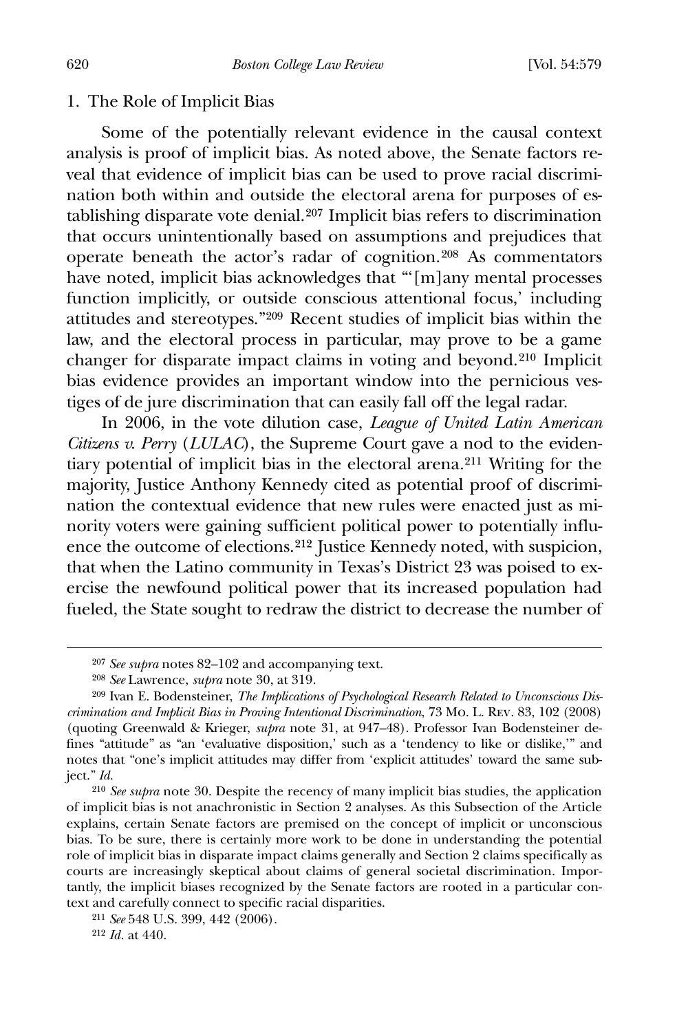#### 1. The Role of Implicit Bias

 Some of the potentially relevant evidence in the causal context analysis is proof of implicit bias. As noted above, the Senate factors reveal that evidence of implicit bias can be used to prove racial discrimination both within and outside the electoral arena for purposes of establishing disparate vote denial.[207](#page-42-0) Implicit bias refers to discrimination that occurs unintentionally based on assumptions and prejudices that operate beneath the actor's radar of cognition.[208](#page-42-1) As commentators have noted, implicit bias acknowledges that "'[m]any mental processes function implicitly, or outside conscious attentional focus,' including attitudes and stereotypes."[209](#page-42-2) Recent studies of implicit bias within the law, and the electoral process in particular, may prove to be a game changer for disparate impact claims in voting and beyond.[210](#page-42-3) Implicit bias evidence provides an important window into the pernicious vestiges of de jure discrimination that can easily fall off the legal radar.

 In 2006, in the vote dilution case, *League of United Latin American Citizens v. Perry* (*LULAC*), the Supreme Court gave a nod to the evidentiary potential of implicit bias in the electoral arena*.*[211](#page-42-4) Writing for the majority, Justice Anthony Kennedy cited as potential proof of discrimination the contextual evidence that new rules were enacted just as minority voters were gaining sufficient political power to potentially influence the outcome of elections.[212](#page-42-5) Justice Kennedy noted, with suspicion, that when the Latino community in Texas's District 23 was poised to exercise the newfound political power that its increased population had fueled, the State sought to redraw the district to decrease the number of

<sup>207</sup> *See supra* notes 82–102 and accompanying text.

<sup>208</sup> *See* Lawrence, *supra* note 30, at 319.

<span id="page-42-2"></span><span id="page-42-1"></span><span id="page-42-0"></span><sup>209</sup> Ivan E. Bodensteiner, *The Implications of Psychological Research Related to Unconscious Discrimination and Implicit Bias in Proving Intentional Discrimination*, 73 Mo. L. Rev. 83, 102 (2008) (quoting Greenwald & Krieger, *supra* note 31, at 947–48). Professor Ivan Bodensteiner defines "attitude" as "an 'evaluative disposition,' such as a 'tendency to like or dislike,'" and notes that "one's implicit attitudes may differ from 'explicit attitudes' toward the same subject." *Id.*

<span id="page-42-3"></span><sup>210</sup> *See supra* note 30. Despite the recency of many implicit bias studies, the application of implicit bias is not anachronistic in Section 2 analyses. As this Subsection of the Article explains, certain Senate factors are premised on the concept of implicit or unconscious bias. To be sure, there is certainly more work to be done in understanding the potential role of implicit bias in disparate impact claims generally and Section 2 claims specifically as courts are increasingly skeptical about claims of general societal discrimination. Importantly, the implicit biases recognized by the Senate factors are rooted in a particular context and carefully connect to specific racial disparities.

<span id="page-42-4"></span><sup>211</sup> *See* 548 U.S. 399, 442 (2006).

<span id="page-42-5"></span><sup>212</sup> *Id.* at 440.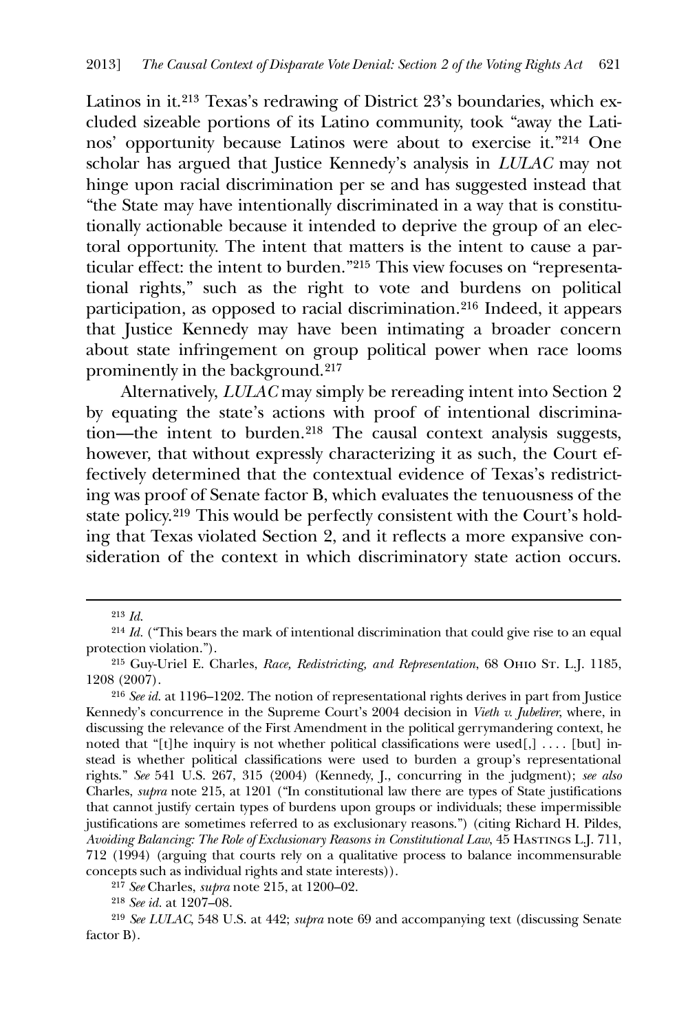Latinos in it.[213](#page-43-0) Texas's redrawing of District 23's boundaries, which excluded sizeable portions of its Latino community, took "away the Latinos' opportunity because Latinos were about to exercise it."[214](#page-43-1) One scholar has argued that Justice Kennedy's analysis in *LULAC* may not hinge upon racial discrimination per se and has suggested instead that "the State may have intentionally discriminated in a way that is constitutionally actionable because it intended to deprive the group of an electoral opportunity. The intent that matters is the intent to cause a particular effect: the intent to burden."[215](#page-43-2) This view focuses on "representational rights," such as the right to vote and burdens on political participation, as opposed to racial discrimination.[216](#page-43-3) Indeed, it appears that Justice Kennedy may have been intimating a broader concern about state infringement on group political power when race looms prominently in the background.[217](#page-43-4)

 Alternatively, *LULAC* may simply be rereading intent into Section 2 by equating the state's actions with proof of intentional discrimination—the intent to burden.[218](#page-43-5) The causal context analysis suggests, however, that without expressly characterizing it as such, the Court effectively determined that the contextual evidence of Texas's redistricting was proof of Senate factor B, which evaluates the tenuousness of the state policy.[219](#page-43-6) This would be perfectly consistent with the Court's holding that Texas violated Section 2, and it reflects a more expansive consideration of the context in which discriminatory state action occurs.

<u>.</u>

<sup>213</sup> *Id*.

<span id="page-43-1"></span><span id="page-43-0"></span><sup>214</sup> *Id.* ("This bears the mark of intentional discrimination that could give rise to an equal protection violation.").

<span id="page-43-2"></span><sup>215</sup> Guy-Uriel E. Charles, *Race, Redistricting, and Representation*, 68 Ohio St. L.J. 1185, 1208 (2007).

<span id="page-43-3"></span><sup>216</sup> *See id.* at 1196–1202. The notion of representational rights derives in part from Justice Kennedy's concurrence in the Supreme Court's 2004 decision in *Vieth v. Jubelirer*, where, in discussing the relevance of the First Amendment in the political gerrymandering context, he noted that "[t]he inquiry is not whether political classifications were used[,] .... [but] instead is whether political classifications were used to burden a group's representational rights." *See* 541 U.S. 267, 315 (2004) (Kennedy, J., concurring in the judgment); *see also* Charles, *supra* note 215, at 1201 ("In constitutional law there are types of State justifications that cannot justify certain types of burdens upon groups or individuals; these impermissible justifications are sometimes referred to as exclusionary reasons.") (citing Richard H. Pildes, *Avoiding Balancing: The Role of Exclusionary Reasons in Constitutional Law*, 45 Hastings L.J. 711, 712 (1994) (arguing that courts rely on a qualitative process to balance incommensurable concepts such as individual rights and state interests)).

<sup>217</sup> *See* Charles, *supra* note 215, at 1200–02.

<sup>218</sup> *See id.* at 1207–08.

<span id="page-43-6"></span><span id="page-43-5"></span><span id="page-43-4"></span><sup>219</sup> *See LULAC*, 548 U.S. at 442; *supra* note 69 and accompanying text (discussing Senate factor B).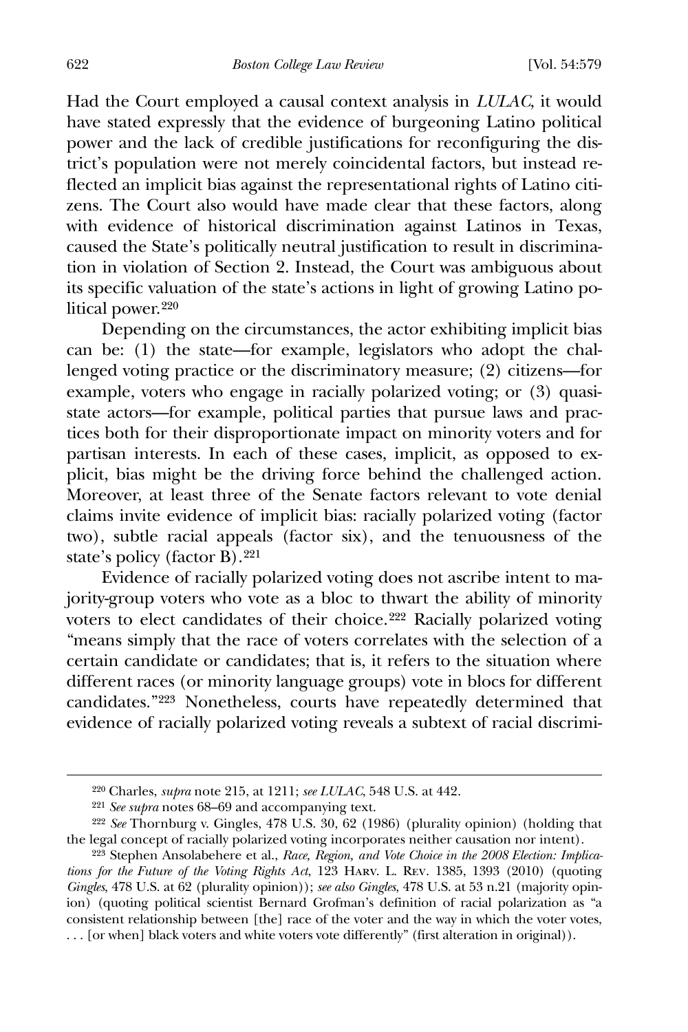622 *Boston College Law Review* [Vol. 54:579

Had the Court employed a causal context analysis in *LULAC*, it would have stated expressly that the evidence of burgeoning Latino political power and the lack of credible justifications for reconfiguring the district's population were not merely coincidental factors, but instead reflected an implicit bias against the representational rights of Latino citizens. The Court also would have made clear that these factors, along with evidence of historical discrimination against Latinos in Texas, caused the State's politically neutral justification to result in discrimination in violation of Section 2. Instead, the Court was ambiguous about its specific valuation of the state's actions in light of growing Latino political power.[220](#page-44-0)

 Depending on the circumstances, the actor exhibiting implicit bias can be: (1) the state—for example, legislators who adopt the challenged voting practice or the discriminatory measure; (2) citizens—for example, voters who engage in racially polarized voting; or (3) quasistate actors—for example, political parties that pursue laws and practices both for their disproportionate impact on minority voters and for partisan interests. In each of these cases, implicit, as opposed to explicit, bias might be the driving force behind the challenged action. Moreover, at least three of the Senate factors relevant to vote denial claims invite evidence of implicit bias: racially polarized voting (factor two), subtle racial appeals (factor six), and the tenuousness of the state's policy (factor B).<sup>[221](#page-44-1)</sup>

 Evidence of racially polarized voting does not ascribe intent to majority-group voters who vote as a bloc to thwart the ability of minority voters to elect candidates of their choice.[222](#page-44-2) Racially polarized voting "means simply that the race of voters correlates with the selection of a certain candidate or candidates; that is, it refers to the situation where different races (or minority language groups) vote in blocs for different candidates."[223](#page-44-3) Nonetheless, courts have repeatedly determined that evidence of racially polarized voting reveals a subtext of racial discrimi-

<sup>220</sup> Charles, *supra* note 215, at 1211; *see LULAC*, 548 U.S. at 442.

<sup>221</sup> *See supra* notes 68–69 and accompanying text.

<span id="page-44-2"></span><span id="page-44-1"></span><span id="page-44-0"></span><sup>222</sup> *See* Thornburg v. Gingles, 478 U.S. 30, 62 (1986) (plurality opinion) (holding that the legal concept of racially polarized voting incorporates neither causation nor intent).

<span id="page-44-3"></span><sup>223</sup> Stephen Ansolabehere et al., *Race, Region, and Vote Choice in the 2008 Election: Implications for the Future of the Voting Rights Act*, 123 Harv. L. Rev. 1385, 1393 (2010) (quoting *Gingles*, 478 U.S. at 62 (plurality opinion)); *see also Gingles*, 478 U.S. at 53 n.21 (majority opinion) (quoting political scientist Bernard Grofman's definition of racial polarization as "a consistent relationship between [the] race of the voter and the way in which the voter votes, ... [or when] black voters and white voters vote differently" (first alteration in original)).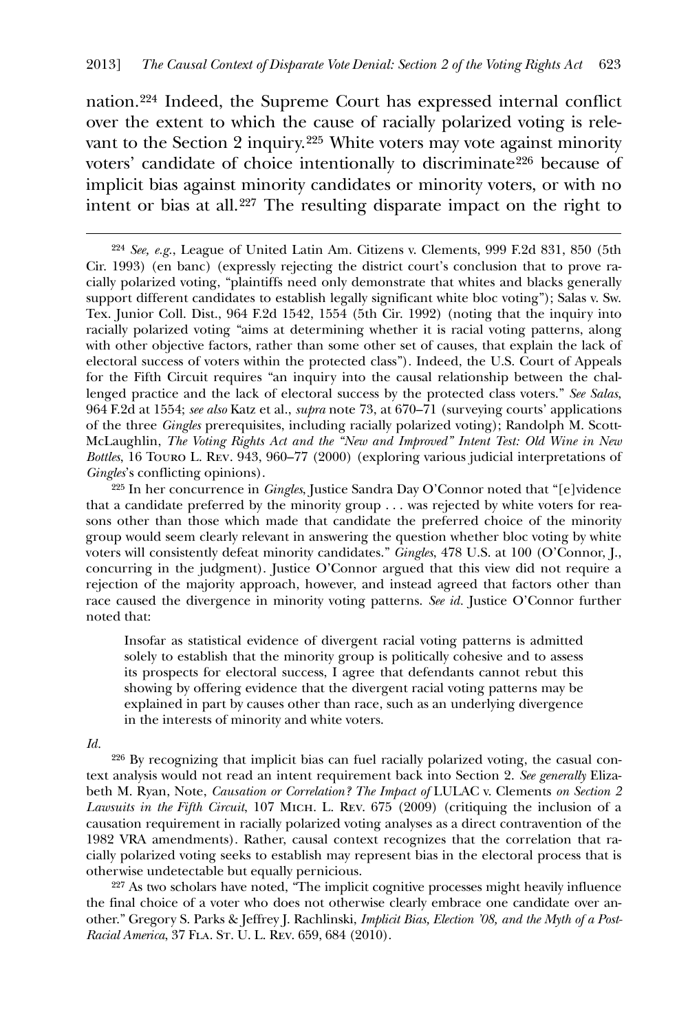nation.[224](#page-45-0) Indeed, the Supreme Court has expressed internal conflict over the extent to which the cause of racially polarized voting is rele-vant to the Section 2 inquiry.<sup>[225](#page-45-1)</sup> White voters may vote against minority voters' candidate of choice intentionally to discriminate<sup>[226](#page-45-2)</sup> because of implicit bias against minority candidates or minority voters, or with no intent or bias at all.[227](#page-45-3) The resulting disparate impact on the right to

*Id.*

<u>.</u>

<span id="page-45-2"></span>226 By recognizing that implicit bias can fuel racially polarized voting, the casual context analysis would not read an intent requirement back into Section 2. *See generally* Elizabeth M. Ryan, Note, *Causation or Correlation? The Impact of* LULAC v. Clements *on Section 2 Lawsuits in the Fifth Circuit*, 107 Mich. L. Rev. 675 (2009) (critiquing the inclusion of a causation requirement in racially polarized voting analyses as a direct contravention of the 1982 VRA amendments). Rather, causal context recognizes that the correlation that racially polarized voting seeks to establish may represent bias in the electoral process that is otherwise undetectable but equally pernicious.

<span id="page-45-3"></span>227 As two scholars have noted, "The implicit cognitive processes might heavily influence the final choice of a voter who does not otherwise clearly embrace one candidate over another." Gregory S. Parks & Jeffrey J. Rachlinski, *Implicit Bias, Election '08, and the Myth of a Post-Racial America*, 37 Fla. St. U. L. Rev. 659, 684 (2010).

<span id="page-45-0"></span><sup>224</sup> *See, e.g.*, League of United Latin Am. Citizens v. Clements, 999 F.2d 831, 850 (5th Cir. 1993) (en banc) (expressly rejecting the district court's conclusion that to prove racially polarized voting, "plaintiffs need only demonstrate that whites and blacks generally support different candidates to establish legally significant white bloc voting"); Salas v. Sw. Tex. Junior Coll. Dist., 964 F.2d 1542, 1554 (5th Cir. 1992) (noting that the inquiry into racially polarized voting "aims at determining whether it is racial voting patterns, along with other objective factors, rather than some other set of causes, that explain the lack of electoral success of voters within the protected class"). Indeed, the U.S. Court of Appeals for the Fifth Circuit requires "an inquiry into the causal relationship between the challenged practice and the lack of electoral success by the protected class voters." *See Salas*, 964 F.2d at 1554; *see also* Katz et al., *supra* note 73, at 670–71 (surveying courts' applications of the three *Gingles* prerequisites, including racially polarized voting); Randolph M. Scott-McLaughlin, *The Voting Rights Act and the "New and Improved" Intent Test: Old Wine in New Bottles*, 16 Touro L. Rev. 943, 960–77 (2000) (exploring various judicial interpretations of *Gingles*'s conflicting opinions).

<span id="page-45-1"></span><sup>225</sup> In her concurrence in *Gingles*, Justice Sandra Day O'Connor noted that "[e]vidence that a candidate preferred by the minority group . . . was rejected by white voters for reasons other than those which made that candidate the preferred choice of the minority group would seem clearly relevant in answering the question whether bloc voting by white voters will consistently defeat minority candidates." *Gingles*, 478 U.S. at 100 (O'Connor, J., concurring in the judgment). Justice O'Connor argued that this view did not require a rejection of the majority approach, however, and instead agreed that factors other than race caused the divergence in minority voting patterns. *See id.* Justice O'Connor further noted that:

Insofar as statistical evidence of divergent racial voting patterns is admitted solely to establish that the minority group is politically cohesive and to assess its prospects for electoral success, I agree that defendants cannot rebut this showing by offering evidence that the divergent racial voting patterns may be explained in part by causes other than race, such as an underlying divergence in the interests of minority and white voters.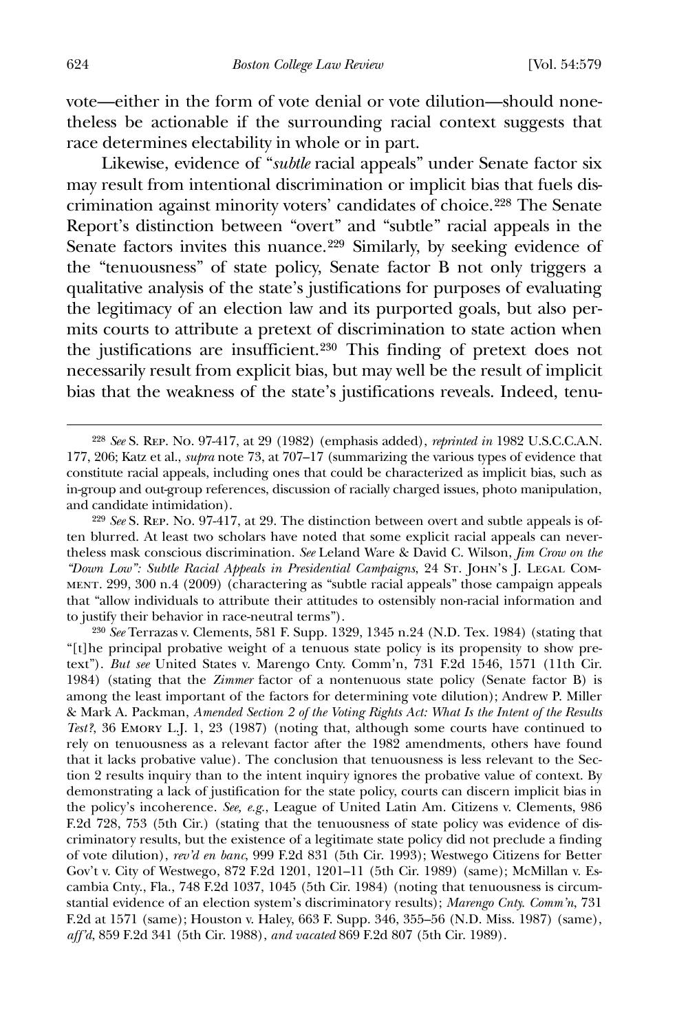vote—either in the form of vote denial or vote dilution—should nonetheless be actionable if the surrounding racial context suggests that race determines electability in whole or in part.

 Likewise, evidence of "*subtle* racial appeals" under Senate factor six may result from intentional discrimination or implicit bias that fuels discrimination against minority voters' candidates of choice.[228](#page-46-0) The Senate Report's distinction between "overt" and "subtle" racial appeals in the Senate factors invites this nuance.<sup>[229](#page-46-1)</sup> Similarly, by seeking evidence of the "tenuousness" of state policy, Senate factor B not only triggers a qualitative analysis of the state's justifications for purposes of evaluating the legitimacy of an election law and its purported goals, but also permits courts to attribute a pretext of discrimination to state action when the justifications are insufficient.[230](#page-46-2) This finding of pretext does not necessarily result from explicit bias, but may well be the result of implicit bias that the weakness of the state's justifications reveals. Indeed, tenu-

<span id="page-46-2"></span>230 *See* Terrazas v. Clements, 581 F. Supp. 1329, 1345 n.24 (N.D. Tex. 1984) (stating that "[t]he principal probative weight of a tenuous state policy is its propensity to show pretext"). *But see* United States v. Marengo Cnty. Comm'n, 731 F.2d 1546, 1571 (11th Cir. 1984) (stating that the *Zimmer* factor of a nontenuous state policy (Senate factor B) is among the least important of the factors for determining vote dilution); Andrew P. Miller & Mark A. Packman, *Amended Section 2 of the Voting Rights Act: What Is the Intent of the Results Test?*, 36 Emory L.J. 1, 23 (1987) (noting that, although some courts have continued to rely on tenuousness as a relevant factor after the 1982 amendments, others have found that it lacks probative value). The conclusion that tenuousness is less relevant to the Section 2 results inquiry than to the intent inquiry ignores the probative value of context. By demonstrating a lack of justification for the state policy, courts can discern implicit bias in the policy's incoherence. *See, e.g.*, League of United Latin Am. Citizens v. Clements, 986 F.2d 728, 753 (5th Cir.) (stating that the tenuousness of state policy was evidence of discriminatory results, but the existence of a legitimate state policy did not preclude a finding of vote dilution), *rev'd en banc*, 999 F.2d 831 (5th Cir. 1993); Westwego Citizens for Better Gov't v. City of Westwego, 872 F.2d 1201, 1201–11 (5th Cir. 1989) (same); McMillan v. Escambia Cnty., Fla., 748 F.2d 1037, 1045 (5th Cir. 1984) (noting that tenuousness is circumstantial evidence of an election system's discriminatory results); *Marengo Cnty. Comm'n*, 731 F.2d at 1571 (same); Houston v. Haley, 663 F. Supp. 346, 355–56 (N.D. Miss. 1987) (same), *aff'd*, 859 F.2d 341 (5th Cir. 1988), *and vacated* 869 F.2d 807 (5th Cir. 1989).

<span id="page-46-0"></span><sup>228</sup> *See* S. Rep. No. 97-417, at 29 (1982) (emphasis added), *reprinted in* 1982 U.S.C.C.A.N. 177, 206; Katz et al., *supra* note 73, at 707–17 (summarizing the various types of evidence that constitute racial appeals, including ones that could be characterized as implicit bias, such as in-group and out-group references, discussion of racially charged issues, photo manipulation, and candidate intimidation).

<span id="page-46-1"></span><sup>229</sup> *See* S. Rep. No. 97-417, at 29. The distinction between overt and subtle appeals is often blurred. At least two scholars have noted that some explicit racial appeals can nevertheless mask conscious discrimination. *See* Leland Ware & David C. Wilson, *Jim Crow on the "Down Low": Subtle Racial Appeals in Presidential Campaigns*, 24 St. John's J. Legal Comment. 299, 300 n.4 (2009) (charactering as "subtle racial appeals" those campaign appeals that "allow individuals to attribute their attitudes to ostensibly non-racial information and to justify their behavior in race-neutral terms").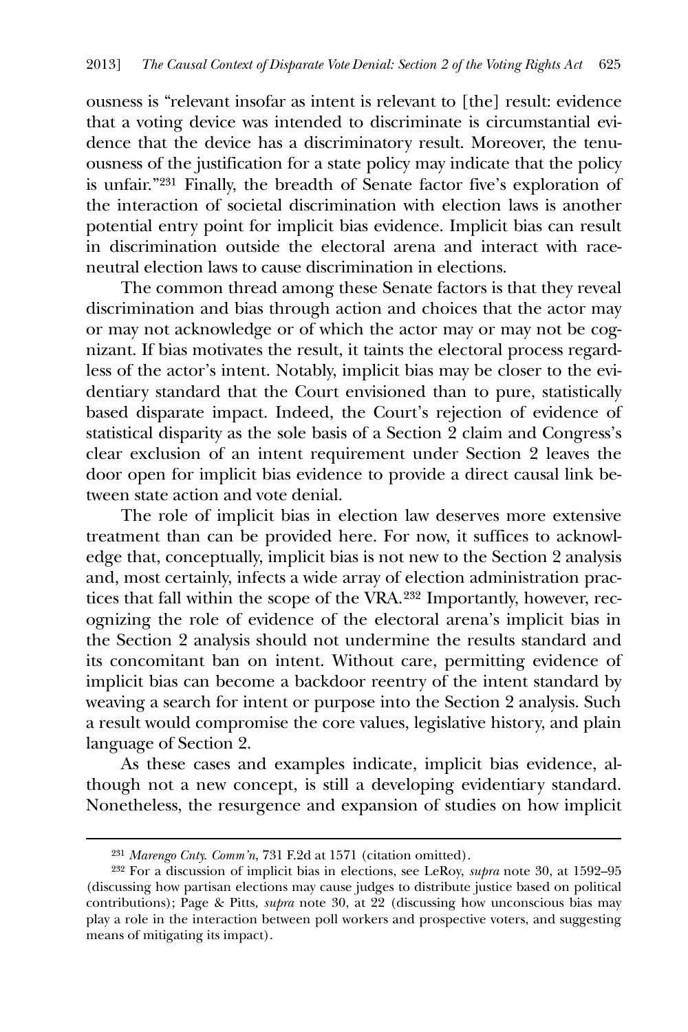ousness is "relevant insofar as intent is relevant to [the] result: evidence that a voting device was intended to discriminate is circumstantial evidence that the device has a discriminatory result. Moreover, the tenuousness of the justification for a state policy may indicate that the policy is unfair."[231](#page-47-0) Finally, the breadth of Senate factor five's exploration of the interaction of societal discrimination with election laws is another potential entry point for implicit bias evidence. Implicit bias can result in discrimination outside the electoral arena and interact with raceneutral election laws to cause discrimination in elections.

The common thread among these Senate factors is that they reveal discrimination and bias through action and choices that the actor may or may not acknowledge or of which the actor may or may not be cognizant. If bias motivates the result, it taints the electoral process regardless of the actor's intent. Notably, implicit bias may be closer to the evidentiary standard that the Court envisioned than to pure, statistically based disparate impact. Indeed, the Court's rejection of evidence of statistical disparity as the sole basis of a Section 2 claim and Congress's clear exclusion of an intent requirement under Section 2 leaves the door open for implicit bias evidence to provide a direct causal link between state action and vote denial.

 The role of implicit bias in election law deserves more extensive treatment than can be provided here. For now, it suffices to acknowledge that, conceptually, implicit bias is not new to the Section 2 analysis and, most certainly, infects a wide array of election administration practices that fall within the scope of the VRA.[232](#page-47-1) Importantly, however, recognizing the role of evidence of the electoral arena's implicit bias in the Section 2 analysis should not undermine the results standard and its concomitant ban on intent. Without care, permitting evidence of implicit bias can become a backdoor reentry of the intent standard by weaving a search for intent or purpose into the Section 2 analysis. Such a result would compromise the core values, legislative history, and plain language of Section 2.

 As these cases and examples indicate, implicit bias evidence, although not a new concept, is still a developing evidentiary standard. Nonetheless, the resurgence and expansion of studies on how implicit

<u>.</u>

<sup>231</sup> *Marengo Cnty. Comm'n*, 731 F.2d at 1571 (citation omitted).

<span id="page-47-1"></span><span id="page-47-0"></span><sup>232</sup> For a discussion of implicit bias in elections, see LeRoy, *supra* note 30, at 1592–95 (discussing how partisan elections may cause judges to distribute justice based on political contributions); Page & Pitts, *supra* note 30, at 22 (discussing how unconscious bias may play a role in the interaction between poll workers and prospective voters, and suggesting means of mitigating its impact).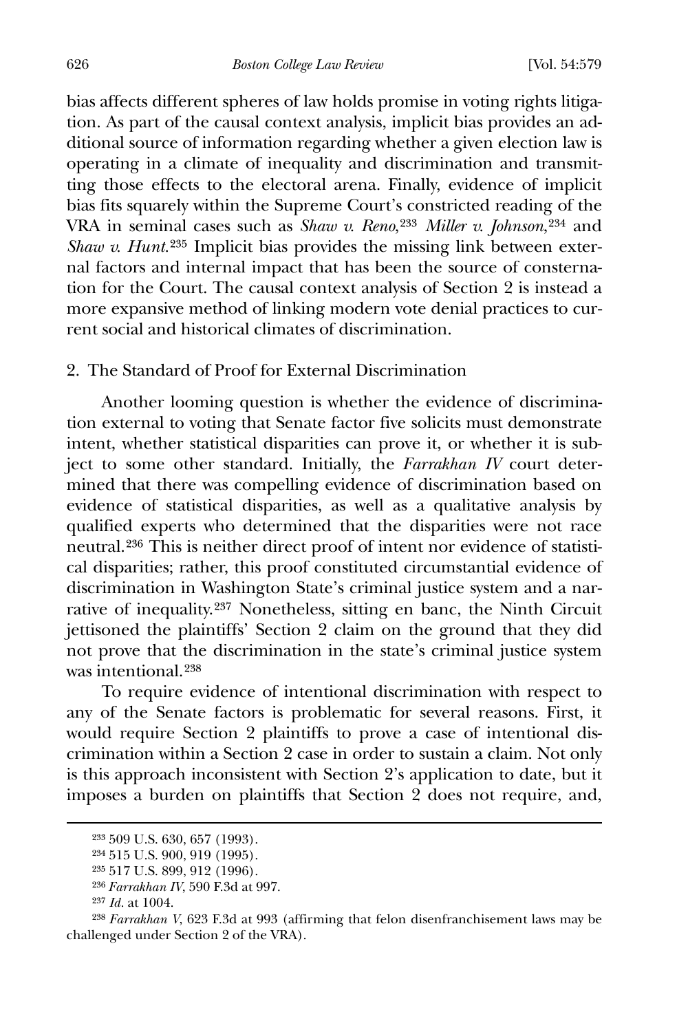626 *Boston College Law Review* [Vol. 54:579

bias affects different spheres of law holds promise in voting rights litigation. As part of the causal context analysis, implicit bias provides an additional source of information regarding whether a given election law is operating in a climate of inequality and discrimination and transmitting those effects to the electoral arena. Finally, evidence of implicit bias fits squarely within the Supreme Court's constricted reading of the VRA in seminal cases such as *Shaw v. Reno*,[233](#page-48-0) *Miller v. Johnson*,[234](#page-48-1) and *Shaw v. Hunt.*<sup>[235](#page-48-2)</sup> Implicit bias provides the missing link between external factors and internal impact that has been the source of consternation for the Court. The causal context analysis of Section 2 is instead a more expansive method of linking modern vote denial practices to current social and historical climates of discrimination.

2. The Standard of Proof for External Discrimination

 Another looming question is whether the evidence of discrimination external to voting that Senate factor five solicits must demonstrate intent, whether statistical disparities can prove it, or whether it is subject to some other standard. Initially, the *Farrakhan IV* court determined that there was compelling evidence of discrimination based on evidence of statistical disparities, as well as a qualitative analysis by qualified experts who determined that the disparities were not race neutral.[236](#page-48-3) This is neither direct proof of intent nor evidence of statistical disparities; rather, this proof constituted circumstantial evidence of discrimination in Washington State's criminal justice system and a narrative of inequality.[237](#page-48-4) Nonetheless, sitting en banc, the Ninth Circuit jettisoned the plaintiffs' Section 2 claim on the ground that they did not prove that the discrimination in the state's criminal justice system was intentional<sup>[238](#page-48-5)</sup>

 To require evidence of intentional discrimination with respect to any of the Senate factors is problematic for several reasons. First, it would require Section 2 plaintiffs to prove a case of intentional discrimination within a Section 2 case in order to sustain a claim. Not only is this approach inconsistent with Section 2's application to date, but it imposes a burden on plaintiffs that Section 2 does not require, and,

<span id="page-48-0"></span><sup>233</sup> 509 U.S. 630, 657 (1993).

<span id="page-48-1"></span><sup>234</sup> 515 U.S. 900, 919 (1995).

<sup>235</sup> 517 U.S. 899, 912 (1996).

<sup>236</sup> *Farrakhan IV*, 590 F.3d at 997.

<sup>237</sup> *Id.* at 1004.

<span id="page-48-5"></span><span id="page-48-4"></span><span id="page-48-3"></span><span id="page-48-2"></span><sup>238</sup> *Farrakhan V*, 623 F.3d at 993 (affirming that felon disenfranchisement laws may be challenged under Section 2 of the VRA).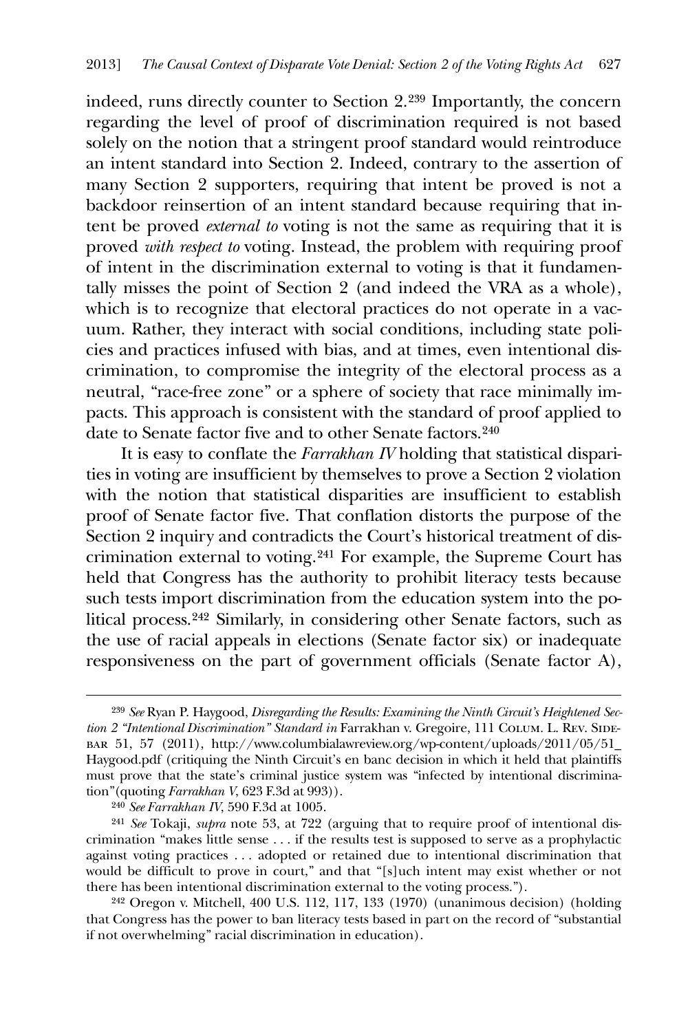indeed, runs directly counter to Section 2.[239](#page-49-0) Importantly, the concern regarding the level of proof of discrimination required is not based solely on the notion that a stringent proof standard would reintroduce an intent standard into Section 2. Indeed, contrary to the assertion of many Section 2 supporters, requiring that intent be proved is not a backdoor reinsertion of an intent standard because requiring that intent be proved *external to* voting is not the same as requiring that it is proved *with respect to* voting. Instead, the problem with requiring proof of intent in the discrimination external to voting is that it fundamentally misses the point of Section 2 (and indeed the VRA as a whole), which is to recognize that electoral practices do not operate in a vacuum. Rather, they interact with social conditions, including state policies and practices infused with bias, and at times, even intentional discrimination, to compromise the integrity of the electoral process as a neutral, "race-free zone" or a sphere of society that race minimally impacts. This approach is consistent with the standard of proof applied to date to Senate factor five and to other Senate factors.<sup>[240](#page-49-1)</sup>

It is easy to conflate the *Farrakhan IV* holding that statistical disparities in voting are insufficient by themselves to prove a Section 2 violation with the notion that statistical disparities are insufficient to establish proof of Senate factor five. That conflation distorts the purpose of the Section 2 inquiry and contradicts the Court's historical treatment of discrimination external to voting.[241](#page-49-2) For example, the Supreme Court has held that Congress has the authority to prohibit literacy tests because such tests import discrimination from the education system into the political process.[242](#page-49-3) Similarly, in considering other Senate factors, such as the use of racial appeals in elections (Senate factor six) or inadequate responsiveness on the part of government officials (Senate factor A),

 $\overline{a}$ 

<span id="page-49-2"></span><span id="page-49-1"></span>241 *See* Tokaji, *supra* note 53, at 722 (arguing that to require proof of intentional discrimination "makes little sense . . . if the results test is supposed to serve as a prophylactic against voting practices . . . adopted or retained due to intentional discrimination that would be difficult to prove in court," and that "[s]uch intent may exist whether or not there has been intentional discrimination external to the voting process.").

<span id="page-49-3"></span>242 Oregon v. Mitchell, 400 U.S. 112, 117, 133 (1970) (unanimous decision) (holding that Congress has the power to ban literacy tests based in part on the record of "substantial if not overwhelming" racial discrimination in education).

<span id="page-49-0"></span><sup>239</sup> *See* Ryan P. Haygood, *Disregarding the Results: Examining the Ninth Circuit's Heightened Section 2 "Intentional Discrimination" Standard in* Farrakhan v. Gregoire, 111 COLUM. L. REV. SIDEbar 51, 57 (2011), http://www.columbialawreview.org/wp-content/uploads/2011/05/51\_ Haygood.pdf (critiquing the Ninth Circuit's en banc decision in which it held that plaintiffs must prove that the state's criminal justice system was "infected by intentional discrimination"(quoting *Farrakhan V*, 623 F.3d at 993)).

<sup>240</sup> *See Farrakhan IV*, 590 F.3d at 1005.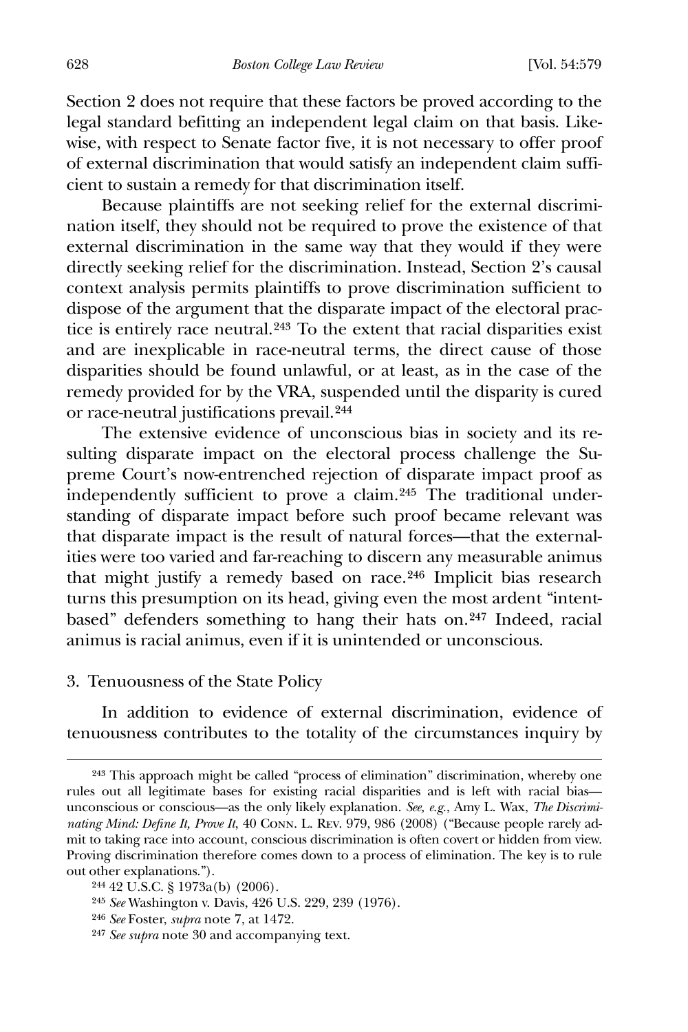Section 2 does not require that these factors be proved according to the legal standard befitting an independent legal claim on that basis. Likewise, with respect to Senate factor five, it is not necessary to offer proof of external discrimination that would satisfy an independent claim sufficient to sustain a remedy for that discrimination itself.

 Because plaintiffs are not seeking relief for the external discrimination itself, they should not be required to prove the existence of that external discrimination in the same way that they would if they were directly seeking relief for the discrimination. Instead, Section 2's causal context analysis permits plaintiffs to prove discrimination sufficient to dispose of the argument that the disparate impact of the electoral practice is entirely race neutral.[243](#page-50-0) To the extent that racial disparities exist and are inexplicable in race-neutral terms, the direct cause of those disparities should be found unlawful, or at least, as in the case of the remedy provided for by the VRA, suspended until the disparity is cured or race-neutral justifications prevail.[244](#page-50-1)

 The extensive evidence of unconscious bias in society and its resulting disparate impact on the electoral process challenge the Supreme Court's now-entrenched rejection of disparate impact proof as independently sufficient to prove a claim.[245](#page-50-2) The traditional understanding of disparate impact before such proof became relevant was that disparate impact is the result of natural forces—that the externalities were too varied and far-reaching to discern any measurable animus that might justify a remedy based on race.[246](#page-50-3) Implicit bias research turns this presumption on its head, giving even the most ardent "intentbased" defenders something to hang their hats on.[247](#page-50-4) Indeed, racial animus is racial animus, even if it is unintended or unconscious.

#### 3. Tenuousness of the State Policy

 $\overline{a}$ 

 In addition to evidence of external discrimination, evidence of tenuousness contributes to the totality of the circumstances inquiry by

<span id="page-50-0"></span><sup>243</sup> This approach might be called "process of elimination" discrimination, whereby one rules out all legitimate bases for existing racial disparities and is left with racial bias unconscious or conscious—as the only likely explanation. *See, e.g.*, Amy L. Wax, *The Discriminating Mind: Define It, Prove It*, 40 Conn. L. Rev. 979, 986 (2008) ("Because people rarely admit to taking race into account, conscious discrimination is often covert or hidden from view. Proving discrimination therefore comes down to a process of elimination. The key is to rule out other explanations.").

<span id="page-50-1"></span><sup>244</sup> 42 U.S.C. § 1973a(b) (2006).

<span id="page-50-2"></span><sup>245</sup> *See* Washington v. Davis, 426 U.S. 229, 239 (1976).

<span id="page-50-3"></span><sup>246</sup> *See* Foster, *supra* note 7, at 1472.

<span id="page-50-4"></span><sup>247</sup> *See supra* note 30 and accompanying text.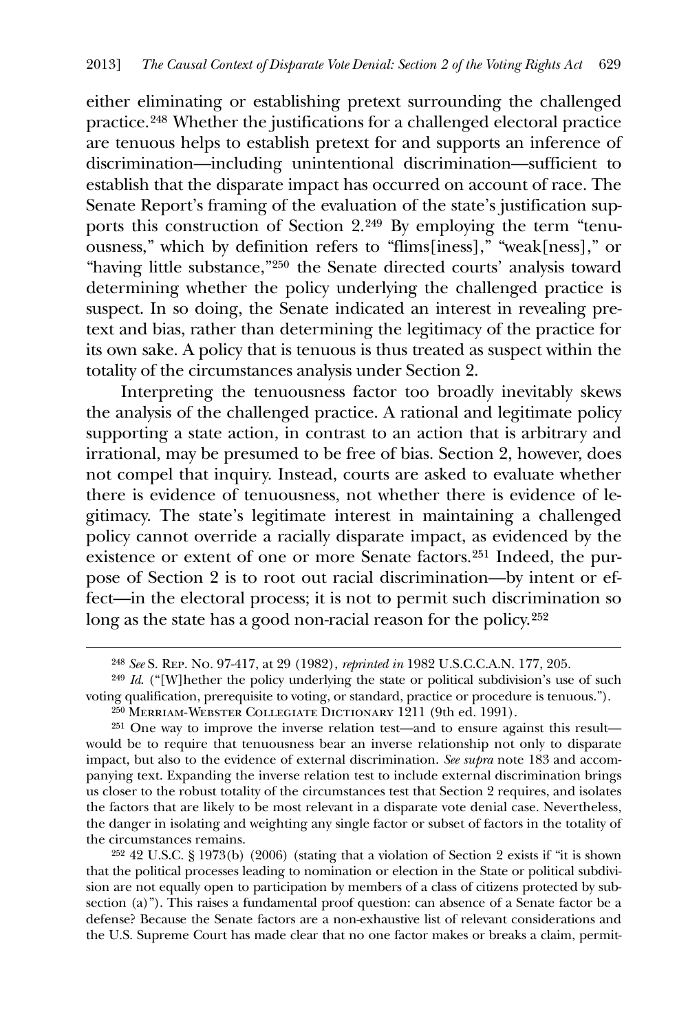either eliminating or establishing pretext surrounding the challenged practice.[248](#page-51-0) Whether the justifications for a challenged electoral practice are tenuous helps to establish pretext for and supports an inference of discrimination—including unintentional discrimination—sufficient to establish that the disparate impact has occurred on account of race. The Senate Report's framing of the evaluation of the state's justification supports this construction of Section 2.[249](#page-51-1) By employing the term "tenuousness," which by definition refers to "flims[iness]," "weak[ness]," or "having little substance,"[250](#page-51-2) the Senate directed courts' analysis toward determining whether the policy underlying the challenged practice is suspect. In so doing, the Senate indicated an interest in revealing pretext and bias, rather than determining the legitimacy of the practice for its own sake. A policy that is tenuous is thus treated as suspect within the totality of the circumstances analysis under Section 2.

 Interpreting the tenuousness factor too broadly inevitably skews the analysis of the challenged practice. A rational and legitimate policy supporting a state action, in contrast to an action that is arbitrary and irrational, may be presumed to be free of bias. Section 2, however, does not compel that inquiry. Instead, courts are asked to evaluate whether there is evidence of tenuousness, not whether there is evidence of legitimacy. The state's legitimate interest in maintaining a challenged policy cannot override a racially disparate impact, as evidenced by the existence or extent of one or more Senate factors.[251](#page-51-3) Indeed, the purpose of Section 2 is to root out racial discrimination—by intent or effect—in the electoral process; it is not to permit such discrimination so long as the state has a good non-racial reason for the policy.[252](#page-51-4)

<u>.</u>

<span id="page-51-4"></span>252 42 U.S.C. § 1973(b) (2006) (stating that a violation of Section 2 exists if "it is shown that the political processes leading to nomination or election in the State or political subdivision are not equally open to participation by members of a class of citizens protected by subsection (a)"). This raises a fundamental proof question: can absence of a Senate factor be a defense? Because the Senate factors are a non-exhaustive list of relevant considerations and the U.S. Supreme Court has made clear that no one factor makes or breaks a claim, permit-

<sup>248</sup> *See* S. Rep. No. 97-417, at 29 (1982), *reprinted in* 1982 U.S.C.C.A.N. 177, 205.

<span id="page-51-1"></span><span id="page-51-0"></span><sup>&</sup>lt;sup>249</sup> *Id.* ("[W] hether the policy underlying the state or political subdivision's use of such voting qualification, prerequisite to voting, or standard, practice or procedure is tenuous.").

<sup>250</sup> Merriam-Webster Collegiate Dictionary 1211 (9th ed. 1991).

<span id="page-51-3"></span><span id="page-51-2"></span><sup>251</sup> One way to improve the inverse relation test—and to ensure against this result would be to require that tenuousness bear an inverse relationship not only to disparate impact, but also to the evidence of external discrimination. *See supra* note 183 and accompanying text. Expanding the inverse relation test to include external discrimination brings us closer to the robust totality of the circumstances test that Section 2 requires, and isolates the factors that are likely to be most relevant in a disparate vote denial case. Nevertheless, the danger in isolating and weighting any single factor or subset of factors in the totality of the circumstances remains.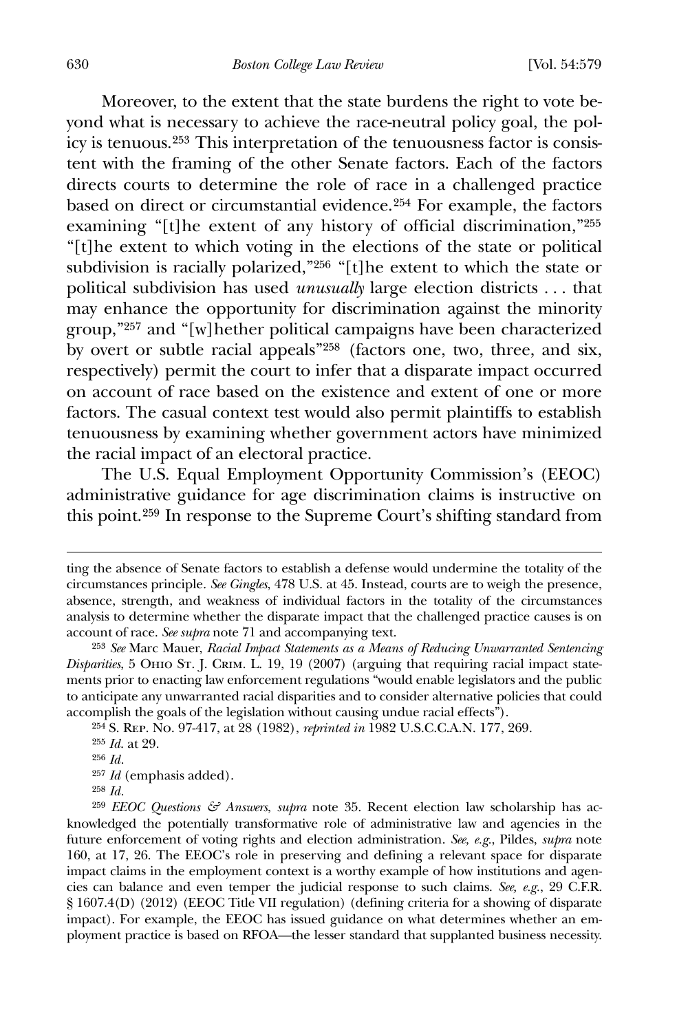Moreover, to the extent that the state burdens the right to vote beyond what is necessary to achieve the race-neutral policy goal, the policy is tenuous.[253](#page-52-0) This interpretation of the tenuousness factor is consistent with the framing of the other Senate factors. Each of the factors directs courts to determine the role of race in a challenged practice based on direct or circumstantial evidence.[254](#page-52-1) For example, the factors examining "[t]he extent of any history of official discrimination,"[255](#page-52-2) "[t]he extent to which voting in the elections of the state or political subdivision is racially polarized,"[256](#page-52-3) "[t]he extent to which the state or political subdivision has used *unusually* large election districts . . . that may enhance the opportunity for discrimination against the minority group,"[257](#page-52-4) and "[w]hether political campaigns have been characterized by overt or subtle racial appeals"[258](#page-52-5) (factors one, two, three, and six, respectively) permit the court to infer that a disparate impact occurred on account of race based on the existence and extent of one or more factors. The casual context test would also permit plaintiffs to establish tenuousness by examining whether government actors have minimized the racial impact of an electoral practice.

 The U.S. Equal Employment Opportunity Commission's (EEOC) administrative guidance for age discrimination claims is instructive on this point.[259](#page-52-6) In response to the Supreme Court's shifting standard from

257 *Id* (emphasis added).

ting the absence of Senate factors to establish a defense would undermine the totality of the circumstances principle. *See Gingles*, 478 U.S. at 45. Instead, courts are to weigh the presence, absence, strength, and weakness of individual factors in the totality of the circumstances analysis to determine whether the disparate impact that the challenged practice causes is on account of race. *See supra* note 71 and accompanying text.

<span id="page-52-0"></span><sup>253</sup> *See* Marc Mauer, *Racial Impact Statements as a Means of Reducing Unwarranted Sentencing Disparities*, 5 Ohio St. J. Crim. L. 19, 19 (2007) (arguing that requiring racial impact statements prior to enacting law enforcement regulations "would enable legislators and the public to anticipate any unwarranted racial disparities and to consider alternative policies that could accomplish the goals of the legislation without causing undue racial effects").

<span id="page-52-2"></span><span id="page-52-1"></span><sup>254</sup> S. Rep. No. 97-417, at 28 (1982), *reprinted in* 1982 U.S.C.C.A.N. 177, 269.

<sup>255</sup> *Id*. at 29.

<sup>256</sup> *Id.*

<sup>258</sup> *Id.*

<span id="page-52-6"></span><span id="page-52-5"></span><span id="page-52-4"></span><span id="page-52-3"></span><sup>259</sup> *EEOC Questions & Answers*, *supra* note 35. Recent election law scholarship has acknowledged the potentially transformative role of administrative law and agencies in the future enforcement of voting rights and election administration. *See, e.g.*, Pildes, *supra* note 160, at 17, 26. The EEOC's role in preserving and defining a relevant space for disparate impact claims in the employment context is a worthy example of how institutions and agencies can balance and even temper the judicial response to such claims. *See, e.g.*, 29 C.F.R. § 1607.4(D) (2012) (EEOC Title VII regulation) (defining criteria for a showing of disparate impact). For example, the EEOC has issued guidance on what determines whether an employment practice is based on RFOA—the lesser standard that supplanted business necessity.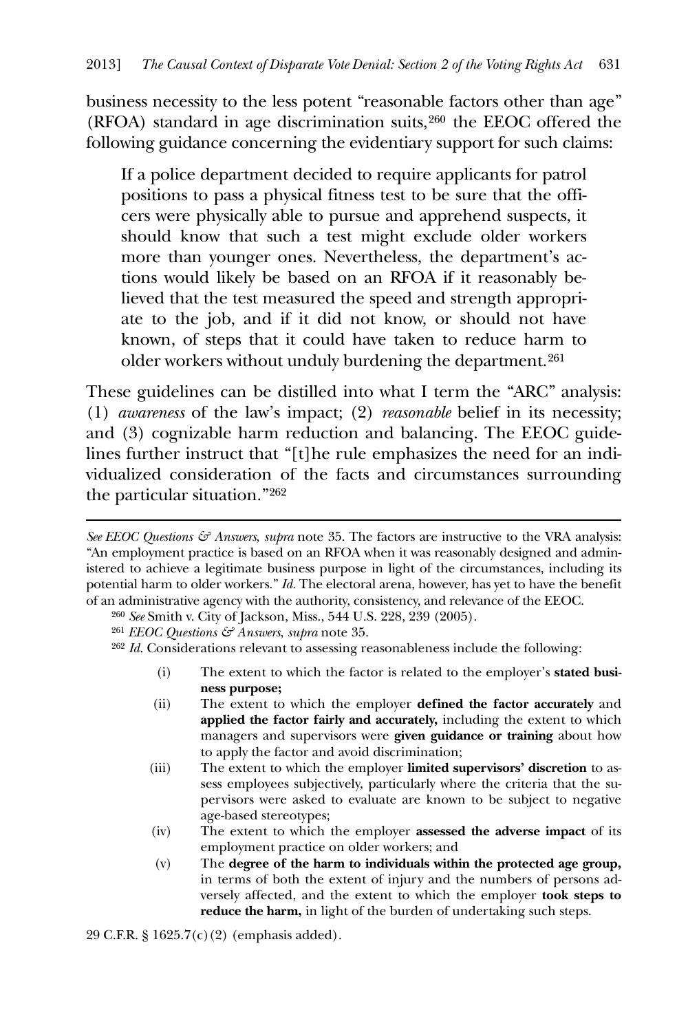business necessity to the less potent "reasonable factors other than age" (RFOA) standard in age discrimination suits,[260](#page-53-0) the EEOC offered the following guidance concerning the evidentiary support for such claims:

If a police department decided to require applicants for patrol positions to pass a physical fitness test to be sure that the officers were physically able to pursue and apprehend suspects, it should know that such a test might exclude older workers more than younger ones. Nevertheless, the department's actions would likely be based on an RFOA if it reasonably believed that the test measured the speed and strength appropriate to the job, and if it did not know, or should not have known, of steps that it could have taken to reduce harm to older workers without unduly burdening the department.[261](#page-53-1)

These guidelines can be distilled into what I term the "ARC" analysis: (1) *awareness* of the law's impact; (2) *reasonable* belief in its necessity; and (3) cognizable harm reduction and balancing. The EEOC guidelines further instruct that "[t]he rule emphasizes the need for an individualized consideration of the facts and circumstances surrounding the particular situation."[262](#page-53-2)

<u>.</u>

<span id="page-53-2"></span>262 *Id*. Considerations relevant to assessing reasonableness include the following:

- (i) The extent to which the factor is related to the employer's **stated business purpose;**
- (ii) The extent to which the employer **defined the factor accurately** and **applied the factor fairly and accurately,** including the extent to which managers and supervisors were **given guidance or training** about how to apply the factor and avoid discrimination;
- (iii) The extent to which the employer **limited supervisors' discretion** to assess employees subjectively, particularly where the criteria that the supervisors were asked to evaluate are known to be subject to negative age-based stereotypes;
- (iv) The extent to which the employer **assessed the adverse impact** of its employment practice on older workers; and
- (v) The **degree of the harm to individuals within the protected age group,** in terms of both the extent of injury and the numbers of persons adversely affected, and the extent to which the employer **took steps to reduce the harm,** in light of the burden of undertaking such steps.

29 C.F.R. § 1625.7(c)(2) (emphasis added).

*See EEOC Questions & Answers*, *supra* note 35. The factors are instructive to the VRA analysis: "An employment practice is based on an RFOA when it was reasonably designed and administered to achieve a legitimate business purpose in light of the circumstances, including its potential harm to older workers." *Id.* The electoral arena, however, has yet to have the benefit of an administrative agency with the authority, consistency, and relevance of the EEOC.

<span id="page-53-0"></span><sup>260</sup> *See* Smith v. City of Jackson, Miss., 544 U.S. 228, 239 (2005).

<span id="page-53-1"></span><sup>261</sup> *EEOC Questions & Answers*, *supra* note 35.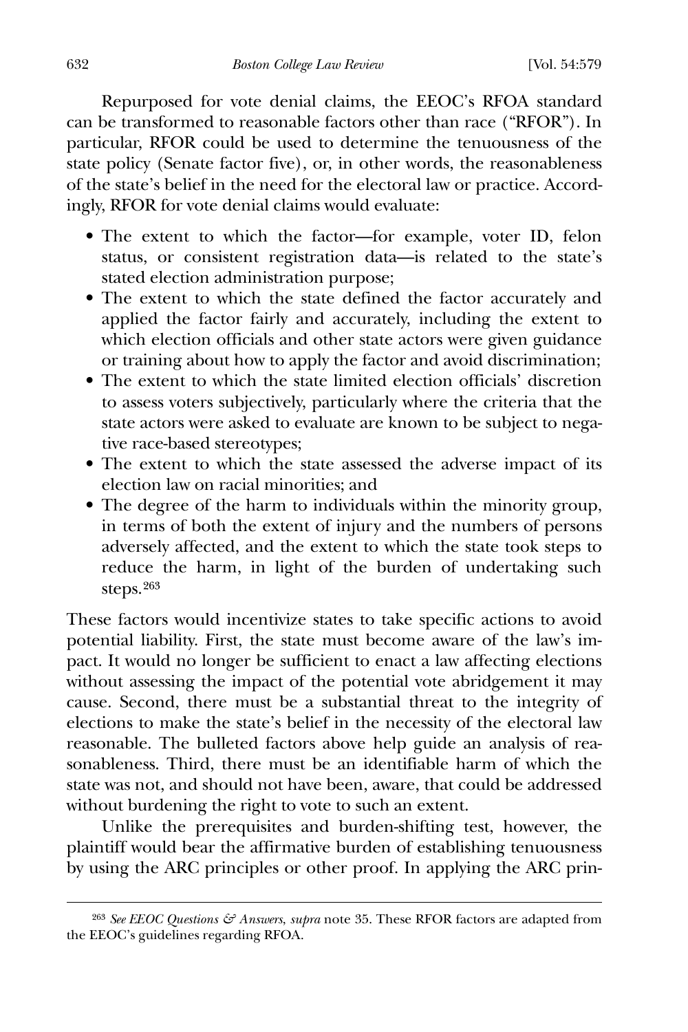Repurposed for vote denial claims, the EEOC's RFOA standard can be transformed to reasonable factors other than race ("RFOR"). In particular, RFOR could be used to determine the tenuousness of the state policy (Senate factor five), or, in other words, the reasonableness of the state's belief in the need for the electoral law or practice. Accordingly, RFOR for vote denial claims would evaluate:

- The extent to which the factor—for example, voter ID, felon status, or consistent registration data—is related to the state's stated election administration purpose;
- The extent to which the state defined the factor accurately and applied the factor fairly and accurately, including the extent to which election officials and other state actors were given guidance or training about how to apply the factor and avoid discrimination;
- The extent to which the state limited election officials' discretion to assess voters subjectively, particularly where the criteria that the state actors were asked to evaluate are known to be subject to negative race-based stereotypes;
- The extent to which the state assessed the adverse impact of its election law on racial minorities; and
- The degree of the harm to individuals within the minority group, in terms of both the extent of injury and the numbers of persons adversely affected, and the extent to which the state took steps to reduce the harm, in light of the burden of undertaking such steps.[263](#page-54-0)

These factors would incentivize states to take specific actions to avoid potential liability. First, the state must become aware of the law's impact. It would no longer be sufficient to enact a law affecting elections without assessing the impact of the potential vote abridgement it may cause. Second, there must be a substantial threat to the integrity of elections to make the state's belief in the necessity of the electoral law reasonable. The bulleted factors above help guide an analysis of reasonableness. Third, there must be an identifiable harm of which the state was not, and should not have been, aware, that could be addressed without burdening the right to vote to such an extent.

 Unlike the prerequisites and burden-shifting test, however, the plaintiff would bear the affirmative burden of establishing tenuousness by using the ARC principles or other proof. In applying the ARC prin-

<span id="page-54-0"></span><sup>263</sup> *See EEOC Questions & Answers*, *supra* note 35. These RFOR factors are adapted from the EEOC's guidelines regarding RFOA.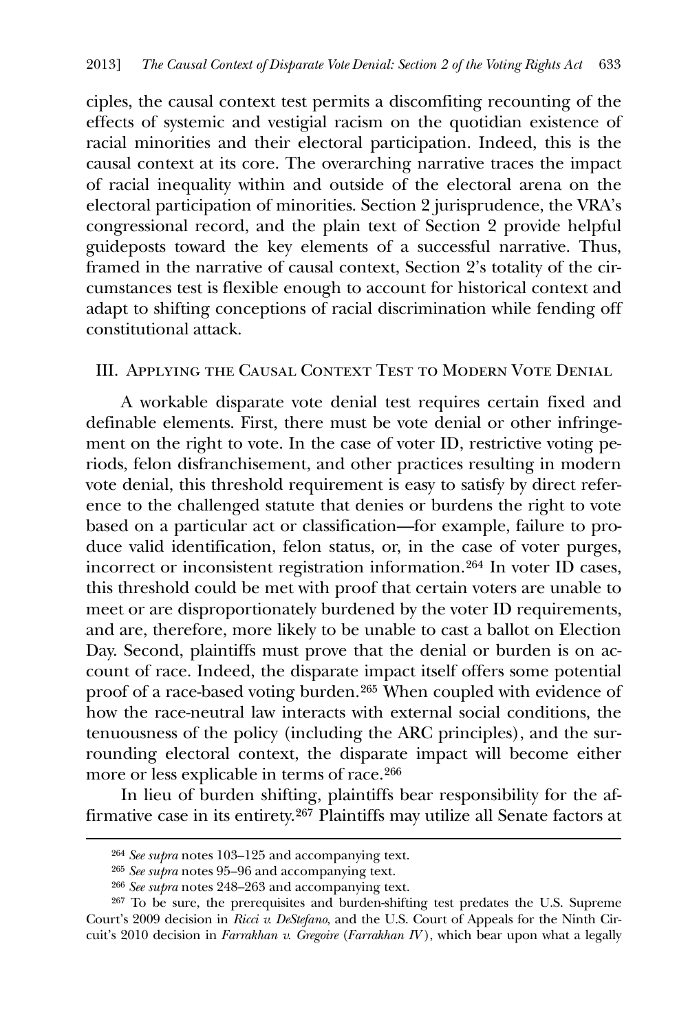ciples, the causal context test permits a discomfiting recounting of the effects of systemic and vestigial racism on the quotidian existence of racial minorities and their electoral participation. Indeed, this is the causal context at its core. The overarching narrative traces the impact of racial inequality within and outside of the electoral arena on the electoral participation of minorities. Section 2 jurisprudence, the VRA's congressional record, and the plain text of Section 2 provide helpful guideposts toward the key elements of a successful narrative. Thus, framed in the narrative of causal context, Section 2's totality of the circumstances test is flexible enough to account for historical context and adapt to shifting conceptions of racial discrimination while fending off constitutional attack.

## III. Applying the Causal Context Test to Modern Vote Denial

 A workable disparate vote denial test requires certain fixed and definable elements. First, there must be vote denial or other infringement on the right to vote. In the case of voter ID, restrictive voting periods, felon disfranchisement, and other practices resulting in modern vote denial, this threshold requirement is easy to satisfy by direct reference to the challenged statute that denies or burdens the right to vote based on a particular act or classification—for example, failure to produce valid identification, felon status, or, in the case of voter purges, incorrect or inconsistent registration information.[264](#page-55-0) In voter ID cases, this threshold could be met with proof that certain voters are unable to meet or are disproportionately burdened by the voter ID requirements, and are, therefore, more likely to be unable to cast a ballot on Election Day. Second, plaintiffs must prove that the denial or burden is on account of race. Indeed, the disparate impact itself offers some potential proof of a race-based voting burden.[265](#page-55-1) When coupled with evidence of how the race-neutral law interacts with external social conditions, the tenuousness of the policy (including the ARC principles), and the surrounding electoral context, the disparate impact will become either more or less explicable in terms of race.[266](#page-55-2)

 In lieu of burden shifting, plaintiffs bear responsibility for the affirmative case in its entirety.[267](#page-55-3) Plaintiffs may utilize all Senate factors at

<span id="page-55-0"></span><u>.</u>

<sup>264</sup> *See supra* notes 103–125 and accompanying text.

<sup>265</sup> *See supra* notes 95–96 and accompanying text.

<sup>266</sup> *See supra* notes 248–263 and accompanying text.

<span id="page-55-3"></span><span id="page-55-2"></span><span id="page-55-1"></span><sup>267</sup> To be sure, the prerequisites and burden-shifting test predates the U.S. Supreme Court's 2009 decision in *Ricci v. DeStefano*, and the U.S. Court of Appeals for the Ninth Circuit's 2010 decision in *Farrakhan v. Gregoire* (*Farrakhan IV* ), which bear upon what a legally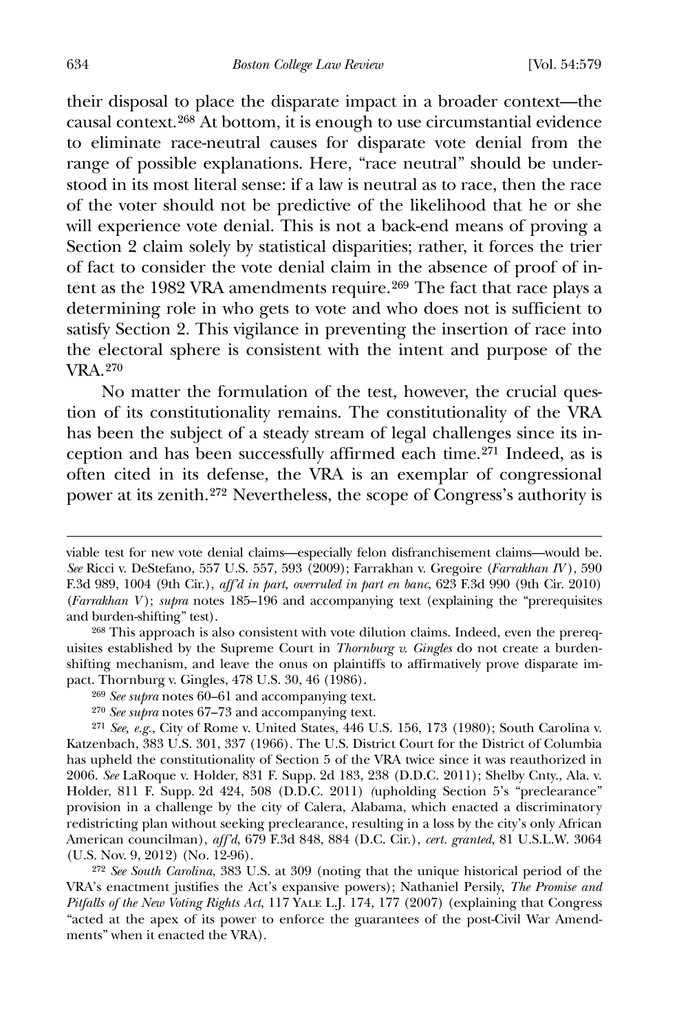their disposal to place the disparate impact in a broader context—the causal context.[268](#page-56-0) At bottom, it is enough to use circumstantial evidence to eliminate race-neutral causes for disparate vote denial from the range of possible explanations. Here, "race neutral" should be understood in its most literal sense: if a law is neutral as to race, then the race of the voter should not be predictive of the likelihood that he or she will experience vote denial. This is not a back-end means of proving a Section 2 claim solely by statistical disparities; rather, it forces the trier of fact to consider the vote denial claim in the absence of proof of in-tent as the 1982 VRA amendments require.<sup>[269](#page-56-1)</sup> The fact that race plays a determining role in who gets to vote and who does not is sufficient to satisfy Section 2. This vigilance in preventing the insertion of race into the electoral sphere is consistent with the intent and purpose of the VRA.[270](#page-56-2)

 No matter the formulation of the test, however, the crucial question of its constitutionality remains. The constitutionality of the VRA has been the subject of a steady stream of legal challenges since its inception and has been successfully affirmed each time.[271](#page-56-3) Indeed, as is often cited in its defense, the VRA is an exemplar of congressional power at its zenith.[272](#page-56-4) Nevertheless, the scope of Congress's authority is

<span id="page-56-4"></span>272 *See South Carolina*, 383 U.S. at 309 (noting that the unique historical period of the VRA's enactment justifies the Act's expansive powers); Nathaniel Persily, *The Promise and Pitfalls of the New Voting Rights Act*, 117 Yale L.J. 174, 177 (2007) (explaining that Congress "acted at the apex of its power to enforce the guarantees of the post-Civil War Amendments" when it enacted the VRA).

viable test for new vote denial claims—especially felon disfranchisement claims—would be. *See* Ricci v. DeStefano, 557 U.S. 557, 593 (2009); Farrakhan v. Gregoire (*Farrakhan IV* ), 590 F.3d 989, 1004 (9th Cir.), *aff'd in part, overruled in part en banc*, 623 F.3d 990 (9th Cir. 2010) (*Farrakhan V* ); *supra* notes 185–196 and accompanying text (explaining the "prerequisites and burden-shifting" test).

<span id="page-56-0"></span><sup>268</sup> This approach is also consistent with vote dilution claims. Indeed, even the prerequisites established by the Supreme Court in *Thornburg v. Gingles* do not create a burdenshifting mechanism, and leave the onus on plaintiffs to affirmatively prove disparate impact. Thornburg v. Gingles, 478 U.S. 30, 46 (1986).

<sup>269</sup> *See supra* notes 60–61 and accompanying text.

<sup>270</sup> *See supra* notes 67–73 and accompanying text.

<span id="page-56-3"></span><span id="page-56-2"></span><span id="page-56-1"></span><sup>271</sup> *See, e.g.*, City of Rome v. United States, 446 U.S. 156, 173 (1980); South Carolina v. Katzenbach, 383 U.S. 301, 337 (1966). The U.S. District Court for the District of Columbia has upheld the constitutionality of Section 5 of the VRA twice since it was reauthorized in 2006. *See* LaRoque v. Holder, 831 F. Supp. 2d 183, 238 (D.D.C. 2011); Shelby Cnty., Ala. v. Holder, 811 F. Supp. 2d 424, 508 (D.D.C. 2011) *(*upholding Section 5's "preclearance" provision in a challenge by the city of Calera, Alabama, which enacted a discriminatory redistricting plan without seeking preclearance, resulting in a loss by the city's only African American councilman), *aff'd*, 679 F.3d 848, 884 (D.C. Cir.), *cert. granted*, 81 U.S.L.W. 3064 (U.S. Nov. 9, 2012) (No. 12-96).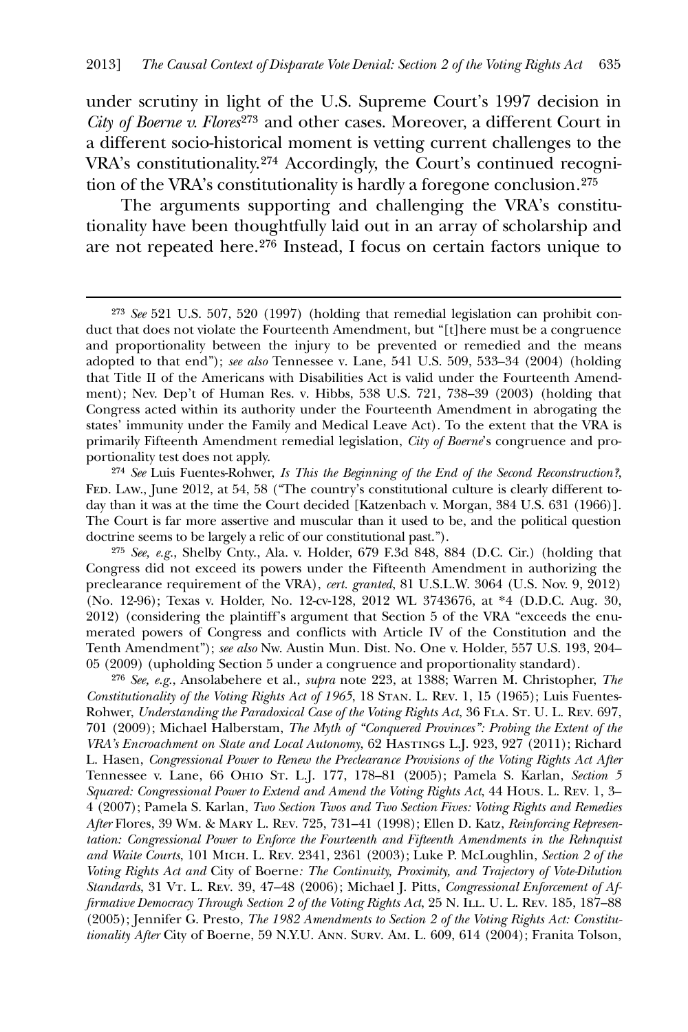under scrutiny in light of the U.S. Supreme Court's 1997 decision in *City of Boerne v. Flores*[273](#page-57-0) and other cases. Moreover, a different Court in a different socio-historical moment is vetting current challenges to the VRA's constitutionality.[274](#page-57-1) Accordingly, the Court's continued recognition of the VRA's constitutionality is hardly a foregone conclusion*.*[275](#page-57-2)

 The arguments supporting and challenging the VRA's constitutionality have been thoughtfully laid out in an array of scholarship and are not repeated here.[276](#page-57-3) Instead, I focus on certain factors unique to

 $\overline{a}$ 

<span id="page-57-1"></span>274 *See* Luis Fuentes-Rohwer, *Is This the Beginning of the End of the Second Reconstruction?*, FED. Law., June 2012, at 54, 58 ("The country's constitutional culture is clearly different today than it was at the time the Court decided [Katzenbach v. Morgan, 384 U.S. 631 (1966)]. The Court is far more assertive and muscular than it used to be, and the political question doctrine seems to be largely a relic of our constitutional past.").

<span id="page-57-2"></span>275 *See, e.g.*, Shelby Cnty., Ala. v. Holder, 679 F.3d 848, 884 (D.C. Cir.) (holding that Congress did not exceed its powers under the Fifteenth Amendment in authorizing the preclearance requirement of the VRA), *cert. granted*, 81 U.S.L.W. 3064 (U.S. Nov. 9, 2012) (No. 12-96); Texas v. Holder, No. 12-cv-128, 2012 WL 3743676, at \*4 (D.D.C. Aug. 30, 2012) (considering the plaintiff's argument that Section 5 of the VRA "exceeds the enumerated powers of Congress and conflicts with Article IV of the Constitution and the Tenth Amendment"); *see also* Nw. Austin Mun. Dist. No. One v. Holder, 557 U.S. 193, 204– 05 (2009) (upholding Section 5 under a congruence and proportionality standard).

<span id="page-57-3"></span>276 *See, e.g.*, Ansolabehere et al., *supra* note 223, at 1388; Warren M. Christopher, *The Constitutionality of the Voting Rights Act of 1965*, 18 Stan. L. Rev. 1, 15 (1965); Luis Fuentes-Rohwer, *Understanding the Paradoxical Case of the Voting Rights Act*, 36 FLA. St. U. L. Rev. 697, 701 (2009); Michael Halberstam, *The Myth of "Conquered Provinces": Probing the Extent of the VRA's Encroachment on State and Local Autonomy*, 62 Hastings L.J. 923, 927 (2011); Richard L. Hasen, *Congressional Power to Renew the Preclearance Provisions of the Voting Rights Act After*  Tennessee v. Lane, 66 Ohio St. L.J. 177, 178–81 (2005); Pamela S. Karlan, *Section 5 Squared: Congressional Power to Extend and Amend the Voting Rights Act*, 44 Hous. L. Rev. 1, 3– 4 (2007); Pamela S. Karlan, *Two Section Twos and Two Section Fives: Voting Rights and Remedies After* Flores, 39 Wm. & Mary L. Rev. 725, 731–41 (1998); Ellen D. Katz, *Reinforcing Representation: Congressional Power to Enforce the Fourteenth and Fifteenth Amendments in the Rehnquist and Waite Courts*, 101 Mich. L. Rev. 2341, 2361 (2003); Luke P. McLoughlin, *Section 2 of the Voting Rights Act and* City of Boerne*: The Continuity, Proximity, and Trajectory of Vote-Dilution*  Standards, 31 VT. L. REV. 39, 47–48 (2006); Michael J. Pitts, *Congressional Enforcement of Affirmative Democracy Through Section 2 of the Voting Rights Act*, 25 N. Ill. U. L. Rev. 185, 187–88 (2005); Jennifer G. Presto, *The 1982 Amendments to Section 2 of the Voting Rights Act: Constitutionality After* City of Boerne, 59 N.Y.U. Ann. Surv. Am. L. 609, 614 (2004); Franita Tolson,

<span id="page-57-0"></span><sup>273</sup> *See* 521 U.S. 507, 520 (1997) (holding that remedial legislation can prohibit conduct that does not violate the Fourteenth Amendment, but "[t]here must be a congruence and proportionality between the injury to be prevented or remedied and the means adopted to that end"); *see also* Tennessee v. Lane, 541 U.S. 509, 533–34 (2004) (holding that Title II of the Americans with Disabilities Act is valid under the Fourteenth Amendment); Nev. Dep't of Human Res. v. Hibbs, 538 U.S. 721, 738–39 (2003) (holding that Congress acted within its authority under the Fourteenth Amendment in abrogating the states' immunity under the Family and Medical Leave Act). To the extent that the VRA is primarily Fifteenth Amendment remedial legislation, *City of Boerne*'s congruence and proportionality test does not apply.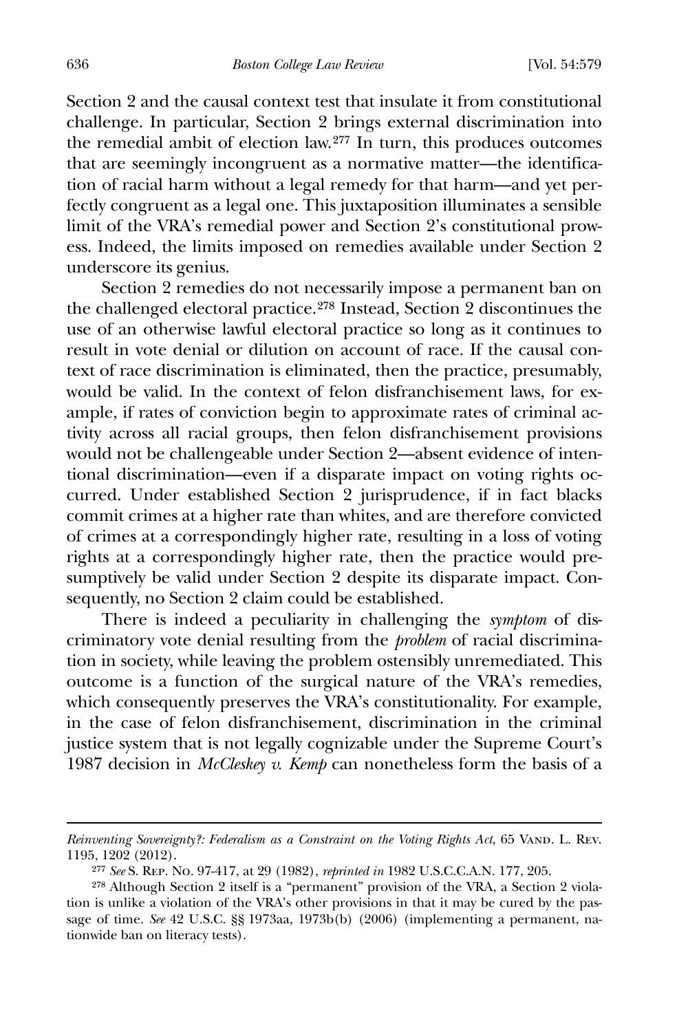636 *Boston College Law Review* [Vol. 54:579

Section 2 and the causal context test that insulate it from constitutional challenge. In particular, Section 2 brings external discrimination into the remedial ambit of election law.[277](#page-58-0) In turn, this produces outcomes that are seemingly incongruent as a normative matter—the identification of racial harm without a legal remedy for that harm—and yet perfectly congruent as a legal one. This juxtaposition illuminates a sensible limit of the VRA's remedial power and Section 2's constitutional prowess. Indeed, the limits imposed on remedies available under Section 2 underscore its genius.

 Section 2 remedies do not necessarily impose a permanent ban on the challenged electoral practice.[278](#page-58-1) Instead, Section 2 discontinues the use of an otherwise lawful electoral practice so long as it continues to result in vote denial or dilution on account of race. If the causal context of race discrimination is eliminated, then the practice, presumably, would be valid. In the context of felon disfranchisement laws, for example, if rates of conviction begin to approximate rates of criminal activity across all racial groups, then felon disfranchisement provisions would not be challengeable under Section 2—absent evidence of intentional discrimination—even if a disparate impact on voting rights occurred. Under established Section 2 jurisprudence, if in fact blacks commit crimes at a higher rate than whites, and are therefore convicted of crimes at a correspondingly higher rate, resulting in a loss of voting rights at a correspondingly higher rate, then the practice would presumptively be valid under Section 2 despite its disparate impact. Consequently, no Section 2 claim could be established.

 There is indeed a peculiarity in challenging the *symptom* of discriminatory vote denial resulting from the *problem* of racial discrimination in society, while leaving the problem ostensibly unremediated. This outcome is a function of the surgical nature of the VRA's remedies, which consequently preserves the VRA's constitutionality. For example, in the case of felon disfranchisement, discrimination in the criminal justice system that is not legally cognizable under the Supreme Court's 1987 decision in *McCleskey v. Kemp* can nonetheless form the basis of a

*Reinventing Sovereignty?: Federalism as a Constraint on the Voting Rights Act*, 65 VAND. L. REV. 1195, 1202 (2012).

<sup>277</sup> *See* S. Rep. No. 97-417, at 29 (1982), *reprinted in* 1982 U.S.C.C.A.N. 177, 205.

<span id="page-58-1"></span><span id="page-58-0"></span><sup>278</sup> Although Section 2 itself is a "permanent" provision of the VRA, a Section 2 violation is unlike a violation of the VRA's other provisions in that it may be cured by the passage of time. *See* 42 U.S.C. §§ 1973aa, 1973b(b) (2006) (implementing a permanent, nationwide ban on literacy tests).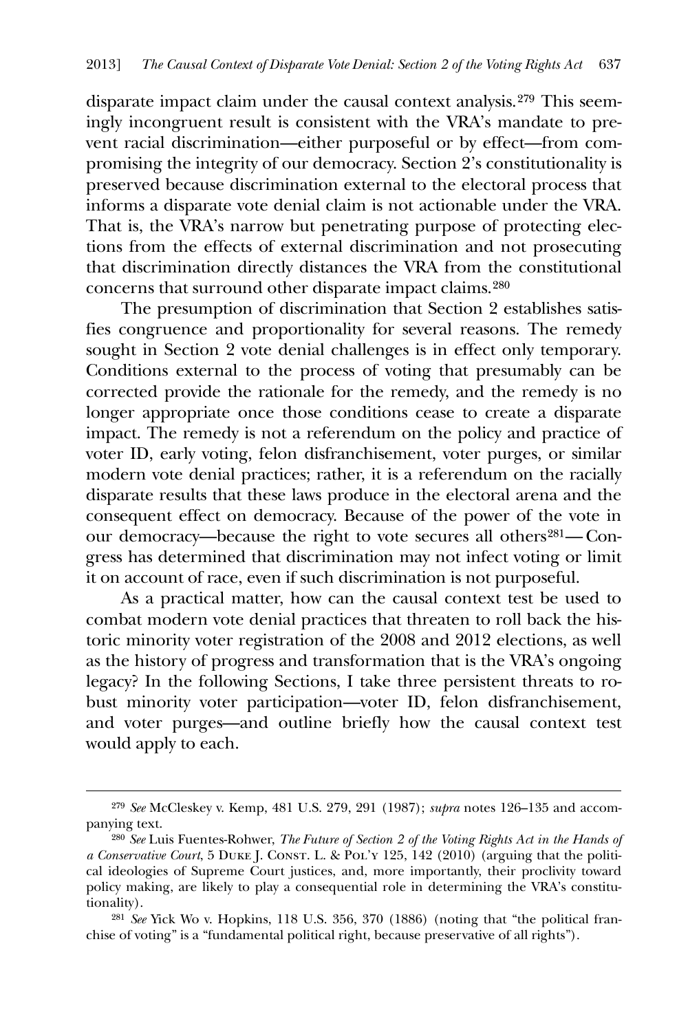disparate impact claim under the causal context analysis.[279](#page-59-0) This seemingly incongruent result is consistent with the VRA's mandate to prevent racial discrimination—either purposeful or by effect—from compromising the integrity of our democracy. Section 2's constitutionality is preserved because discrimination external to the electoral process that informs a disparate vote denial claim is not actionable under the VRA. That is, the VRA's narrow but penetrating purpose of protecting elections from the effects of external discrimination and not prosecuting that discrimination directly distances the VRA from the constitutional concerns that surround other disparate impact claims.[280](#page-59-1)

 The presumption of discrimination that Section 2 establishes satisfies congruence and proportionality for several reasons. The remedy sought in Section 2 vote denial challenges is in effect only temporary. Conditions external to the process of voting that presumably can be corrected provide the rationale for the remedy, and the remedy is no longer appropriate once those conditions cease to create a disparate impact. The remedy is not a referendum on the policy and practice of voter ID, early voting, felon disfranchisement, voter purges, or similar modern vote denial practices; rather, it is a referendum on the racially disparate results that these laws produce in the electoral arena and the consequent effect on democracy. Because of the power of the vote in our democracy—because the right to vote secures all others<sup>[281](#page-59-2)</sup>—Congress has determined that discrimination may not infect voting or limit it on account of race, even if such discrimination is not purposeful.

 As a practical matter, how can the causal context test be used to combat modern vote denial practices that threaten to roll back the historic minority voter registration of the 2008 and 2012 elections, as well as the history of progress and transformation that is the VRA's ongoing legacy? In the following Sections, I take three persistent threats to robust minority voter participation—voter ID, felon disfranchisement, and voter purges—and outline briefly how the causal context test would apply to each.

<u>.</u>

<span id="page-59-0"></span><sup>279</sup> *See* McCleskey v. Kemp, 481 U.S. 279, 291 (1987); *supra* notes 126–135 and accompanying text.

<span id="page-59-1"></span><sup>280</sup> *See* Luis Fuentes-Rohwer, *The Future of Section 2 of the Voting Rights Act in the Hands of a Conservative Court*, 5 DUKE J. CONST. L. & POL'Y 125, 142 (2010) (arguing that the political ideologies of Supreme Court justices, and, more importantly, their proclivity toward policy making, are likely to play a consequential role in determining the VRA's constitutionality).

<span id="page-59-2"></span><sup>281</sup> *See* Yick Wo v. Hopkins, 118 U.S. 356, 370 (1886) (noting that "the political franchise of voting" is a "fundamental political right, because preservative of all rights").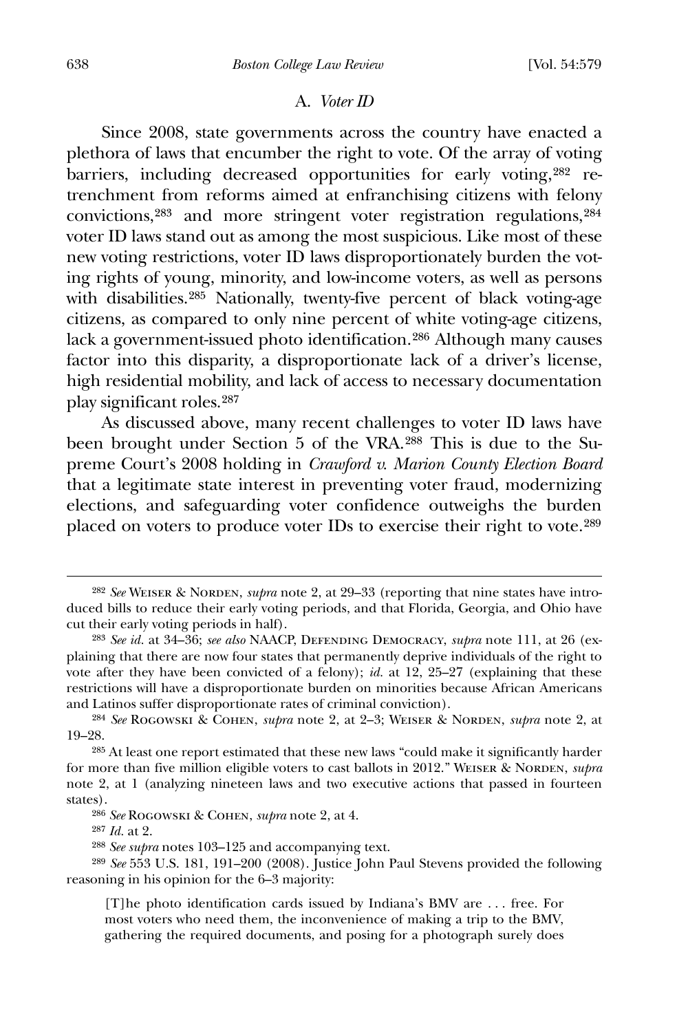#### A. *Voter ID*

 Since 2008, state governments across the country have enacted a plethora of laws that encumber the right to vote. Of the array of voting barriers, including decreased opportunities for early voting,[282](#page-60-0) retrenchment from reforms aimed at enfranchising citizens with felony convictions,[283](#page-60-1) and more stringent voter registration regulations,[284](#page-60-2) voter ID laws stand out as among the most suspicious. Like most of these new voting restrictions, voter ID laws disproportionately burden the voting rights of young, minority, and low-income voters, as well as persons with disabilities.<sup>[285](#page-60-3)</sup> Nationally, twenty-five percent of black voting-age citizens, as compared to only nine percent of white voting-age citizens, lack a government-issued photo identification.[286](#page-60-4) Although many causes factor into this disparity, a disproportionate lack of a driver's license, high residential mobility, and lack of access to necessary documentation play significant roles.287

 As discussed above, many recent challenges to voter ID laws have been brought under Section 5 of the VRA.[288](#page-60-5) This is due to the Supreme Court's 2008 holding in *Crawford v. Marion County Election Board* that a legitimate state interest in preventing voter fraud, modernizing elections, and safeguarding voter confidence outweighs the burden placed on voters to produce voter IDs to exercise their right to vote.[289](#page-60-6)

<span id="page-60-0"></span><sup>282</sup> *See* Weiser & Norden, *supra* note 2, at 29–33 (reporting that nine states have introduced bills to reduce their early voting periods, and that Florida, Georgia, and Ohio have cut their early voting periods in half).

<span id="page-60-1"></span><sup>283</sup> *See id.* at 34–36; *see also* NAACP, Defending Democracy, *supra* note 111, at 26 (explaining that there are now four states that permanently deprive individuals of the right to vote after they have been convicted of a felony); *id.* at 12, 25–27 (explaining that these restrictions will have a disproportionate burden on minorities because African Americans and Latinos suffer disproportionate rates of criminal conviction).

<span id="page-60-2"></span><sup>284</sup> *See* Rogowski & Cohen, *supra* note 2, at 2–3; Weiser & Norden, *supra* note 2, at 19–28.

<span id="page-60-3"></span><sup>285</sup> At least one report estimated that these new laws "could make it significantly harder for more than five million eligible voters to cast ballots in 2012." WEISER & NORDEN, *supra* note 2, at 1 (analyzing nineteen laws and two executive actions that passed in fourteen states).

<sup>286</sup> *See* Rogowski & Cohen, *supra* note 2, at 4.

<sup>287</sup> *Id.* at 2.

<sup>288</sup> *See supra* notes 103–125 and accompanying text.

<span id="page-60-6"></span><span id="page-60-5"></span><span id="page-60-4"></span><sup>289</sup> *See* 553 U.S. 181, 191–200 (2008). Justice John Paul Stevens provided the following reasoning in his opinion for the 6–3 majority:

<sup>[</sup>T]he photo identification cards issued by Indiana's BMV are . . . free. For most voters who need them, the inconvenience of making a trip to the BMV, gathering the required documents, and posing for a photograph surely does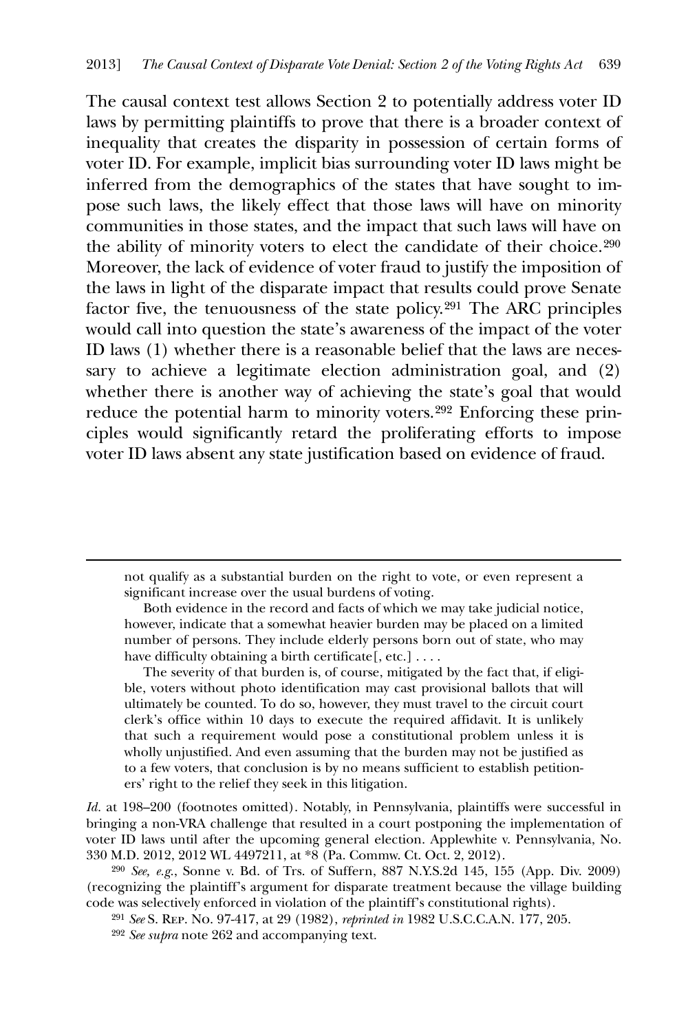The causal context test allows Section 2 to potentially address voter ID laws by permitting plaintiffs to prove that there is a broader context of inequality that creates the disparity in possession of certain forms of voter ID. For example, implicit bias surrounding voter ID laws might be inferred from the demographics of the states that have sought to impose such laws, the likely effect that those laws will have on minority communities in those states, and the impact that such laws will have on the ability of minority voters to elect the candidate of their choice.[290](#page-61-0) Moreover, the lack of evidence of voter fraud to justify the imposition of the laws in light of the disparate impact that results could prove Senate factor five, the tenuousness of the state policy.[291](#page-61-1) The ARC principles would call into question the state's awareness of the impact of the voter ID laws (1) whether there is a reasonable belief that the laws are necessary to achieve a legitimate election administration goal, and (2) whether there is another way of achieving the state's goal that would reduce the potential harm to minority voters.[292](#page-61-2) Enforcing these principles would significantly retard the proliferating efforts to impose voter ID laws absent any state justification based on evidence of fraud.

 not qualify as a substantial burden on the right to vote, or even represent a significant increase over the usual burdens of voting.

 Both evidence in the record and facts of which we may take judicial notice, however, indicate that a somewhat heavier burden may be placed on a limited number of persons. They include elderly persons born out of state, who may have difficulty obtaining a birth certificate [, etc.] . . . .

 The severity of that burden is, of course, mitigated by the fact that, if eligible, voters without photo identification may cast provisional ballots that will ultimately be counted. To do so, however, they must travel to the circuit court clerk's office within 10 days to execute the required affidavit. It is unlikely that such a requirement would pose a constitutional problem unless it is wholly unjustified. And even assuming that the burden may not be justified as to a few voters, that conclusion is by no means sufficient to establish petitioners' right to the relief they seek in this litigation.

*Id.* at 198–200 (footnotes omitted). Notably, in Pennsylvania, plaintiffs were successful in bringing a non-VRA challenge that resulted in a court postponing the implementation of voter ID laws until after the upcoming general election. Applewhite v. Pennsylvania, No. 330 M.D. 2012, 2012 WL 4497211, at \*8 (Pa. Commw. Ct. Oct. 2, 2012).

<span id="page-61-2"></span><span id="page-61-1"></span><span id="page-61-0"></span>290 *See, e.g.*, Sonne v. Bd. of Trs. of Suffern, 887 N.Y.S.2d 145, 155 (App. Div. 2009) (recognizing the plaintiff's argument for disparate treatment because the village building code was selectively enforced in violation of the plaintiff's constitutional rights).

291 *See* S. Rep. No. 97-417, at 29 (1982), *reprinted in* 1982 U.S.C.C.A.N. 177, 205.

292 *See supra* note 262 and accompanying text.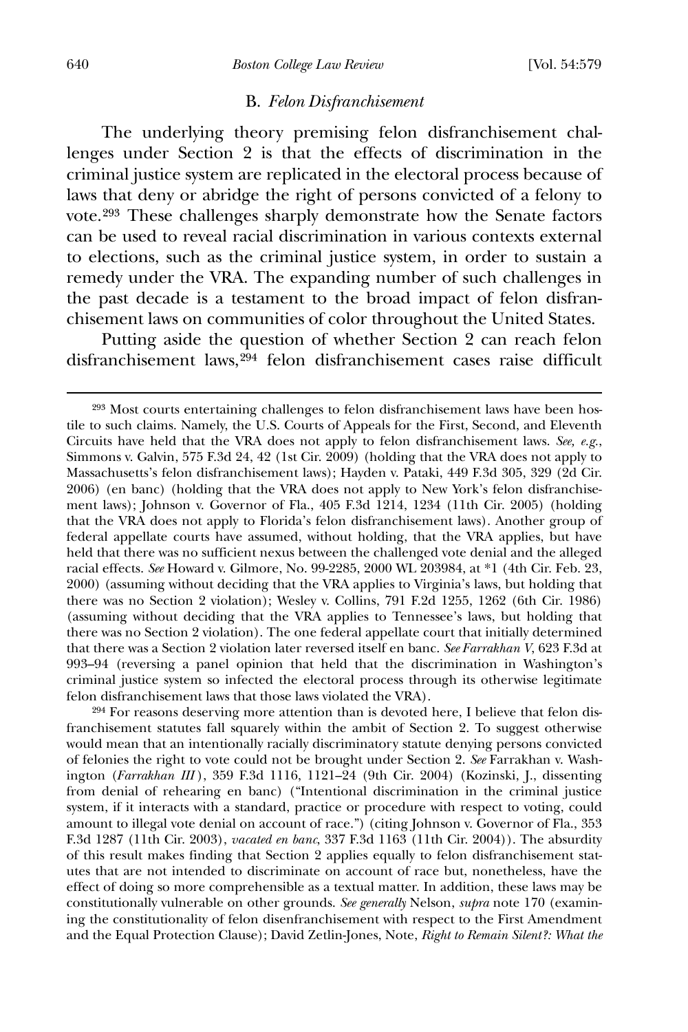#### B. *Felon Disfranchisement*

 The underlying theory premising felon disfranchisement challenges under Section 2 is that the effects of discrimination in the criminal justice system are replicated in the electoral process because of laws that deny or abridge the right of persons convicted of a felony to vote.[293](#page-62-0) These challenges sharply demonstrate how the Senate factors can be used to reveal racial discrimination in various contexts external to elections, such as the criminal justice system, in order to sustain a remedy under the VRA. The expanding number of such challenges in the past decade is a testament to the broad impact of felon disfranchisement laws on communities of color throughout the United States.

 Putting aside the question of whether Section 2 can reach felon disfranchisement laws,[294](#page-62-1) felon disfranchisement cases raise difficult

<span id="page-62-1"></span>294 For reasons deserving more attention than is devoted here, I believe that felon disfranchisement statutes fall squarely within the ambit of Section 2. To suggest otherwise would mean that an intentionally racially discriminatory statute denying persons convicted of felonies the right to vote could not be brought under Section 2. *See* Farrakhan v. Washington (*Farrakhan III* ), 359 F.3d 1116, 1121–24 (9th Cir. 2004) (Kozinski, J., dissenting from denial of rehearing en banc) ("Intentional discrimination in the criminal justice system, if it interacts with a standard, practice or procedure with respect to voting, could amount to illegal vote denial on account of race.") (citing Johnson v. Governor of Fla., 353 F.3d 1287 (11th Cir. 2003), *vacated en banc*, 337 F.3d 1163 (11th Cir. 2004)). The absurdity of this result makes finding that Section 2 applies equally to felon disfranchisement statutes that are not intended to discriminate on account of race but, nonetheless, have the effect of doing so more comprehensible as a textual matter. In addition, these laws may be constitutionally vulnerable on other grounds. *See generally* Nelson, *supra* note 170 (examining the constitutionality of felon disenfranchisement with respect to the First Amendment and the Equal Protection Clause); David Zetlin-Jones, Note, *Right to Remain Silent?: What the* 

<span id="page-62-0"></span><sup>293</sup> Most courts entertaining challenges to felon disfranchisement laws have been hostile to such claims. Namely, the U.S. Courts of Appeals for the First, Second, and Eleventh Circuits have held that the VRA does not apply to felon disfranchisement laws. *See, e.g.*, Simmons v. Galvin, 575 F.3d 24, 42 (1st Cir. 2009) (holding that the VRA does not apply to Massachusetts's felon disfranchisement laws); Hayden v. Pataki, 449 F.3d 305, 329 (2d Cir. 2006) (en banc) (holding that the VRA does not apply to New York's felon disfranchisement laws); Johnson v. Governor of Fla., 405 F.3d 1214, 1234 (11th Cir. 2005) (holding that the VRA does not apply to Florida's felon disfranchisement laws). Another group of federal appellate courts have assumed, without holding, that the VRA applies, but have held that there was no sufficient nexus between the challenged vote denial and the alleged racial effects. *See* Howard v. Gilmore, No. 99-2285, 2000 WL 203984, at \*1 (4th Cir. Feb. 23, 2000) (assuming without deciding that the VRA applies to Virginia's laws, but holding that there was no Section 2 violation); Wesley v. Collins, 791 F.2d 1255, 1262 (6th Cir. 1986) (assuming without deciding that the VRA applies to Tennessee's laws, but holding that there was no Section 2 violation). The one federal appellate court that initially determined that there was a Section 2 violation later reversed itself en banc. *See Farrakhan V*, 623 F.3d at 993–94 (reversing a panel opinion that held that the discrimination in Washington's criminal justice system so infected the electoral process through its otherwise legitimate felon disfranchisement laws that those laws violated the VRA).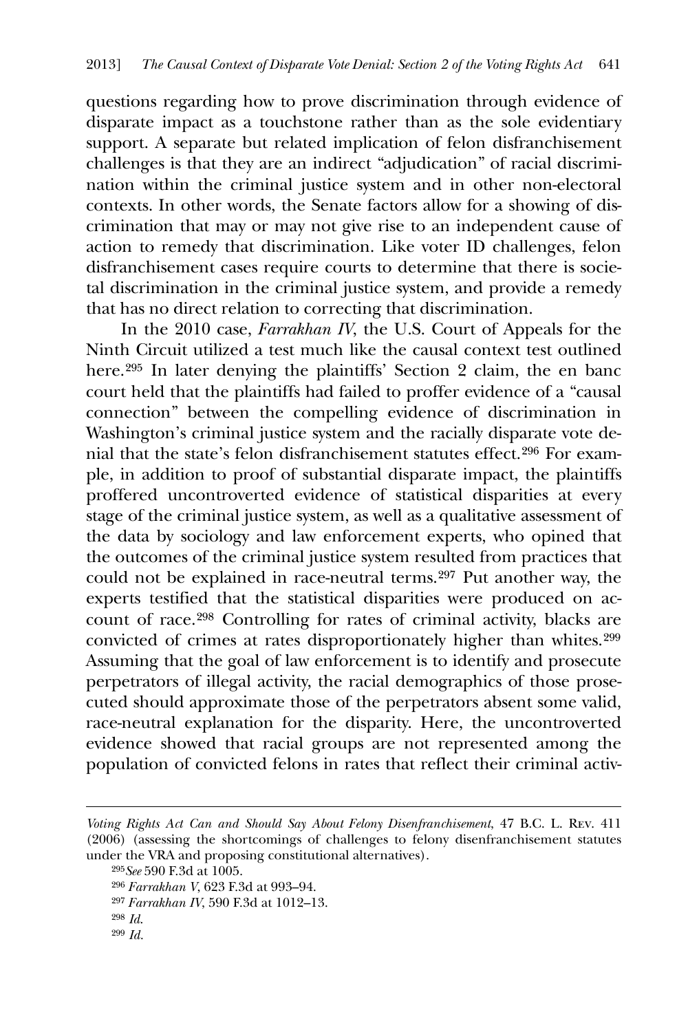questions regarding how to prove discrimination through evidence of disparate impact as a touchstone rather than as the sole evidentiary support. A separate but related implication of felon disfranchisement challenges is that they are an indirect "adjudication" of racial discrimination within the criminal justice system and in other non-electoral contexts. In other words, the Senate factors allow for a showing of discrimination that may or may not give rise to an independent cause of action to remedy that discrimination. Like voter ID challenges, felon disfranchisement cases require courts to determine that there is societal discrimination in the criminal justice system, and provide a remedy that has no direct relation to correcting that discrimination.

 In the 2010 case, *Farrakhan IV*, the U.S. Court of Appeals for the Ninth Circuit utilized a test much like the causal context test outlined here.<sup>[295](#page-63-0)</sup> In later denying the plaintiffs' Section 2 claim, the en banc court held that the plaintiffs had failed to proffer evidence of a "causal connection" between the compelling evidence of discrimination in Washington's criminal justice system and the racially disparate vote denial that the state's felon disfranchisement statutes effect.[296](#page-63-1) For example, in addition to proof of substantial disparate impact, the plaintiffs proffered uncontroverted evidence of statistical disparities at every stage of the criminal justice system, as well as a qualitative assessment of the data by sociology and law enforcement experts, who opined that the outcomes of the criminal justice system resulted from practices that could not be explained in race-neutral terms.[297](#page-63-2) Put another way, the experts testified that the statistical disparities were produced on account of race.[298](#page-63-3) Controlling for rates of criminal activity, blacks are convicted of crimes at rates disproportionately higher than whites.[299](#page-63-4) Assuming that the goal of law enforcement is to identify and prosecute perpetrators of illegal activity, the racial demographics of those prosecuted should approximate those of the perpetrators absent some valid, race-neutral explanation for the disparity. Here, the uncontroverted evidence showed that racial groups are not represented among the population of convicted felons in rates that reflect their criminal activ-

<u>.</u>

<span id="page-63-4"></span>299 *Id.*

<span id="page-63-1"></span><span id="page-63-0"></span>*Voting Rights Act Can and Should Say About Felony Disenfranchisement*, 47 B.C. L. Rev. 411 (2006) (assessing the shortcomings of challenges to felony disenfranchisement statutes under the VRA and proposing constitutional alternatives).

<sup>295</sup>*See* 590 F.3d at 1005.

<sup>296</sup> *Farrakhan V*, 623 F.3d at 993–94.

<span id="page-63-3"></span><span id="page-63-2"></span><sup>297</sup> *Farrakhan IV*, 590 F.3d at 1012–13.

<sup>298</sup> *Id*.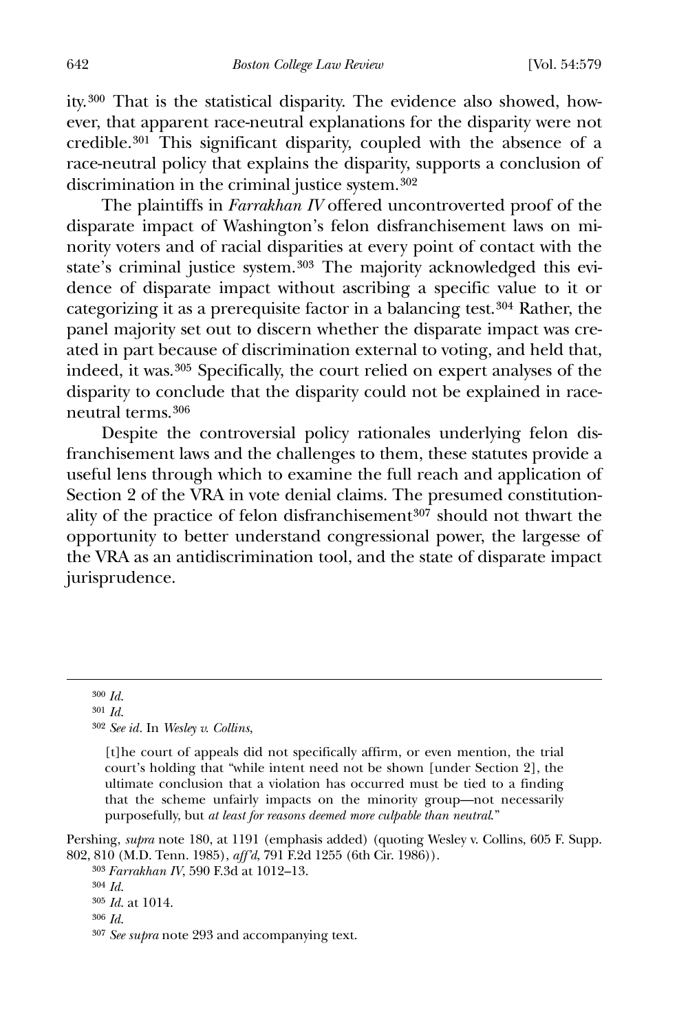ity.[300](#page-64-0) That is the statistical disparity. The evidence also showed, however, that apparent race-neutral explanations for the disparity were not credible.[301](#page-64-1) This significant disparity, coupled with the absence of a race-neutral policy that explains the disparity, supports a conclusion of discrimination in the criminal justice system.[302](#page-64-2)

 The plaintiffs in *Farrakhan IV* offered uncontroverted proof of the disparate impact of Washington's felon disfranchisement laws on minority voters and of racial disparities at every point of contact with the state's criminal justice system.[303](#page-64-3) The majority acknowledged this evidence of disparate impact without ascribing a specific value to it or categorizing it as a prerequisite factor in a balancing test.[304](#page-64-4) Rather, the panel majority set out to discern whether the disparate impact was created in part because of discrimination external to voting, and held that, indeed, it was.[305](#page-64-5) Specifically, the court relied on expert analyses of the disparity to conclude that the disparity could not be explained in raceneutral terms.[306](#page-64-6)

 Despite the controversial policy rationales underlying felon disfranchisement laws and the challenges to them, these statutes provide a useful lens through which to examine the full reach and application of Section 2 of the VRA in vote denial claims. The presumed constitution-ality of the practice of felon disfranchisement<sup>[307](#page-64-7)</sup> should not thwart the opportunity to better understand congressional power, the largesse of the VRA as an antidiscrimination tool, and the state of disparate impact jurisprudence.

300 *Id*.

<span id="page-64-2"></span><span id="page-64-1"></span><span id="page-64-0"></span> $\overline{a}$ 

302 *See id.* In *Wesley v. Collins*,

[t]he court of appeals did not specifically affirm, or even mention, the trial court's holding that "while intent need not be shown [under Section 2], the ultimate conclusion that a violation has occurred must be tied to a finding that the scheme unfairly impacts on the minority group—not necessarily purposefully, but *at least for reasons deemed more culpable than neutral*."

<span id="page-64-5"></span><span id="page-64-4"></span><span id="page-64-3"></span>Pershing, *supra* note 180, at 1191 (emphasis added) (quoting Wesley v. Collins, 605 F. Supp. 802, 810 (M.D. Tenn. 1985), *aff'd*, 791 F.2d 1255 (6th Cir. 1986)).

303 *Farrakhan IV*, 590 F.3d at 1012–13.

<sup>301</sup> *Id*.

<sup>304</sup> *Id*.

<sup>305</sup> *Id*. at 1014.

<span id="page-64-6"></span><sup>306</sup> *Id*.

<span id="page-64-7"></span><sup>307</sup> *See supra* note 293 and accompanying text.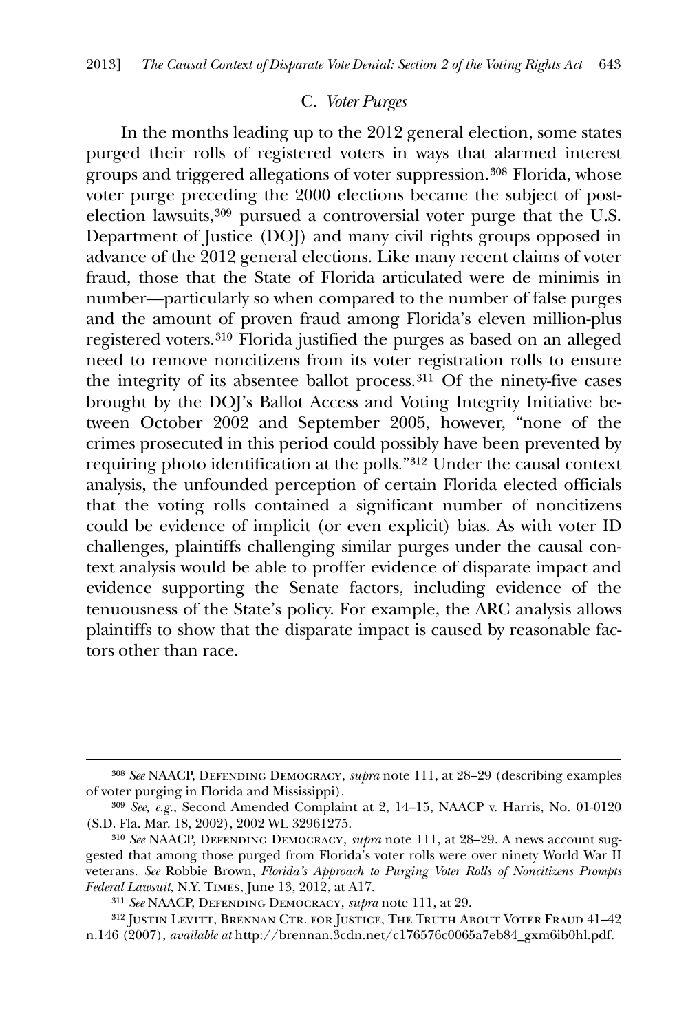## C. *Voter Purges*

 In the months leading up to the 2012 general election, some states purged their rolls of registered voters in ways that alarmed interest groups and triggered allegations of voter suppression.[308](#page-65-0) Florida, whose voter purge preceding the 2000 elections became the subject of postelection lawsuits,[309](#page-65-1) pursued a controversial voter purge that the U.S. Department of Justice (DOJ) and many civil rights groups opposed in advance of the 2012 general elections. Like many recent claims of voter fraud, those that the State of Florida articulated were de minimis in number—particularly so when compared to the number of false purges and the amount of proven fraud among Florida's eleven million-plus registered voters.[310](#page-65-2) Florida justified the purges as based on an alleged need to remove noncitizens from its voter registration rolls to ensure the integrity of its absentee ballot process.[311](#page-65-3) Of the ninety-five cases brought by the DOJ's Ballot Access and Voting Integrity Initiative between October 2002 and September 2005, however, "none of the crimes prosecuted in this period could possibly have been prevented by requiring photo identification at the polls."[312](#page-65-4) Under the causal context analysis, the unfounded perception of certain Florida elected officials that the voting rolls contained a significant number of noncitizens could be evidence of implicit (or even explicit) bias. As with voter ID challenges, plaintiffs challenging similar purges under the causal context analysis would be able to proffer evidence of disparate impact and evidence supporting the Senate factors, including evidence of the tenuousness of the State's policy. For example, the ARC analysis allows plaintiffs to show that the disparate impact is caused by reasonable factors other than race.

<span id="page-65-0"></span><sup>308</sup> *See* NAACP, Defending Democracy, *supra* note 111, at 28–29 (describing examples of voter purging in Florida and Mississippi).

<span id="page-65-1"></span><sup>309</sup> *See, e.g.*, Second Amended Complaint at 2, 14–15, NAACP v. Harris, No. 01-0120 (S.D. Fla. Mar. 18, 2002), 2002 WL 32961275.

<span id="page-65-2"></span><sup>310</sup> *See* NAACP, Defending Democracy, *supra* note 111, at 28–29. A news account suggested that among those purged from Florida's voter rolls were over ninety World War II veterans. *See* Robbie Brown, *Florida's Approach to Purging Voter Rolls of Noncitizens Prompts Federal Lawsuit*, N.Y. Times, June 13, 2012, at A17.

<sup>311</sup> *See* NAACP, Defending Democracy, *supra* note 111, at 29.

<span id="page-65-4"></span><span id="page-65-3"></span><sup>312</sup> Justin Levitt, Brennan Ctr. for Justice, The Truth About Voter Fraud 41–42 n.146 (2007), *available at* http://brennan.3cdn.net/c176576c0065a7eb84\_gxm6ib0hl.pdf.